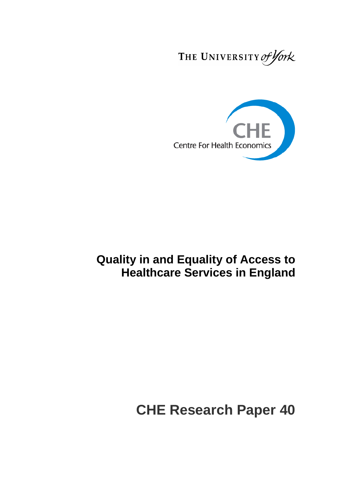THE UNIVERSITY of York



## **Quality in and Equality of Access to Healthcare Services in England**

# **CHE Research Paper 40**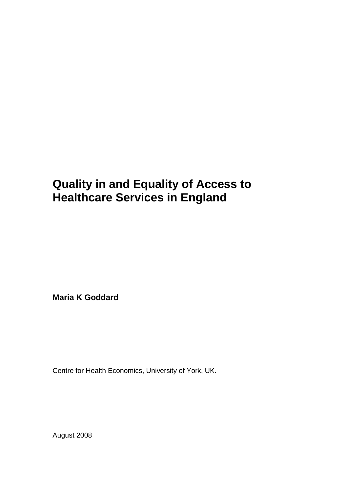## **Quality in and Equality of Access to Healthcare Services in England**

**Maria K Goddard**

Centre for Health Economics, University of York, UK.

August 2008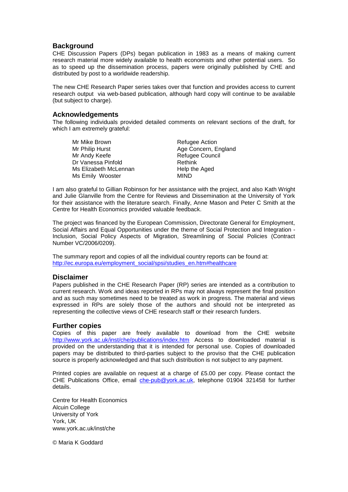## **Background**

CHE Discussion Papers (DPs) began publication in 1983 as a means of making current research material more widely available to health economists and other potential users. So as to speed up the dissemination process, papers were originally published by CHE and distributed by post to a worldwide readership.

The new CHE Research Paper series takes over that function and provides access to current research output via web-based publication, although hard copy will continue to be available (but subject to charge).

## **Acknowledgements**

The following individuals provided detailed comments on relevant sections of the draft, for which I am extremely grateful:

Mr Mike Brown **Refugee Action** Mr Philip Hurst **Age Concern**, England Mr Andy Keefe Refugee Council Dr Vanessa Pinfold Rethink Ms Elizabeth McLennan and Help the Aged<br>
Ms Emily Wooster MIND Ms Emily Wooster

I am also grateful to Gillian Robinson for her assistance with the project, and also Kath Wright and Julie Glanville from the Centre for Reviews and Dissemination at the University of York for their assistance with the literature search. Finally, Anne Mason and Peter C Smith at the Centre for Health Economics provided valuable feedback.

The project was financed by the European Commission, Directorate General for Employment, Social Affairs and Equal Opportunities under the theme of Social Protection and Integration -Inclusion, Social Policy Aspects of Migration, Streamlining of Social Policies (Contract Number VC/2006/0209).

The summary report and copies of all the individual country reports can be found at: [http://ec.europa.eu/employment\\_social/spsi/studies\\_en.htm#healthcare](http://ec.europa.eu/employment_social/spsi/studies_en.htm#healthcare)

## **Disclaimer**

Papers published in the CHE Research Paper (RP) series are intended as a contribution to current research. Work and ideas reported in RPs may not always represent the final position and as such may sometimes need to be treated as work in progress. The material and views expressed in RPs are solely those of the authors and should not be interpreted as representing the collective views of CHE research staff or their research funders.

## **Further copies**

Copies of this paper are freely available to download from the CHE website <http://www.york.ac.uk/inst/che/publications/index.htm> Access to downloaded material is provided on the understanding that it is intended for personal use. Copies of downloaded papers may be distributed to third-parties subject to the proviso that the CHE publication source is properly acknowledged and that such distribution is not subject to any payment.

Printed copies are available on request at a charge of £5.00 per copy. Please contact the CHE Publications Office, email [che-pub@york.ac.uk,](mailto:che-pub@york.ac.uk) telephone 01904 321458 for further details.

Centre for Health Economics Alcuin College University of York York, UK www.york.ac.uk/inst/che

© Maria K Goddard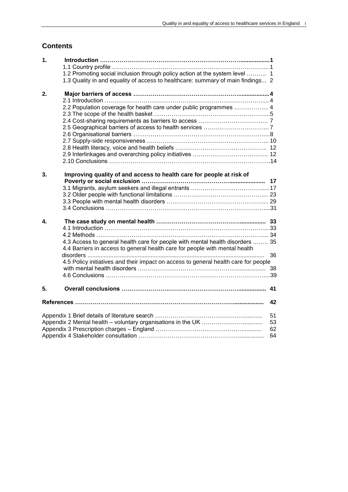## **Contents**

| 1. |                                                                                     |    |
|----|-------------------------------------------------------------------------------------|----|
|    |                                                                                     |    |
|    | 1.2 Promoting social inclusion through policy action at the system level  1         |    |
|    | 1.3 Quality in and equality of access to healthcare: summary of main findings 2     |    |
| 2. |                                                                                     |    |
|    |                                                                                     |    |
|    | 2.2 Population coverage for health care under public programmes  4                  |    |
|    |                                                                                     |    |
|    |                                                                                     |    |
|    |                                                                                     |    |
|    |                                                                                     |    |
|    |                                                                                     |    |
|    |                                                                                     |    |
|    |                                                                                     |    |
|    |                                                                                     |    |
| 3. | Improving quality of and access to health care for people at risk of                |    |
|    |                                                                                     |    |
|    |                                                                                     |    |
|    |                                                                                     |    |
|    |                                                                                     |    |
|    |                                                                                     |    |
| 4. |                                                                                     |    |
|    |                                                                                     |    |
|    |                                                                                     |    |
|    | 4.3 Access to general health care for people with mental health disorders  35       |    |
|    | 4.4 Barriers in access to general health care for people with mental health         |    |
|    |                                                                                     | 36 |
|    | 4.5 Policy initiatives and their impact on access to general health care for people |    |
|    |                                                                                     |    |
|    |                                                                                     |    |
| 5. |                                                                                     |    |
|    |                                                                                     | 42 |
|    |                                                                                     |    |
|    |                                                                                     | 51 |
|    |                                                                                     | 53 |
|    |                                                                                     | 62 |
| 64 |                                                                                     |    |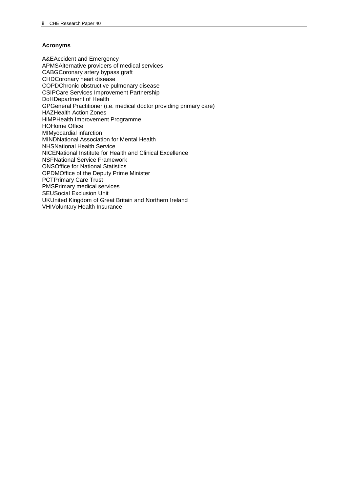## **Acronyms**

A&EAccident and Emergency APMSAlternative providers of medical services CABGCoronary artery bypass graft CHDCoronary heart disease COPDChronic obstructive pulmonary disease CSIPCare Services Improvement Partnership DoHDepartment of Health GPGeneral Practitioner (i.e. medical doctor providing primary care) HAZHealth Action Zones HiMPHealth Improvement Programme HOHome Office MIMyocardial infarction MINDNational Association for Mental Health NHSNational Health Service NICENational Institute for Health and Clinical Excellence NSFNational Service Framework ONSOffice for National Statistics OPDMOffice of the Deputy Prime Minister PCTPrimary Care Trust PMSPrimary medical services SEUSocial Exclusion Unit UKUnited Kingdom of Great Britain and Northern Ireland VHIVoluntary Health Insurance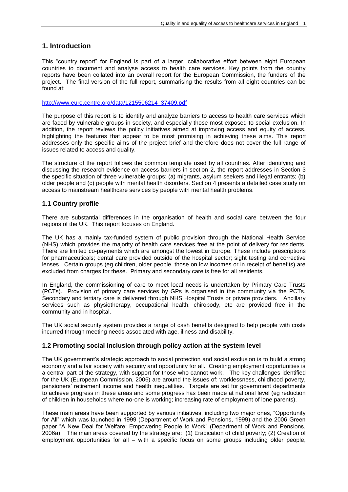## **1. Introduction**

This "country report" for England is part of a larger, collaborative effort between eight European countries to document and analyse access to health care services. Key points from the country reports have been collated into an overall report for the European Commission, the funders of the project. The final version of the full report, summarising the results from all eight countries can be found at:

[http://www.euro.centre.org/data/1215506214\\_37409.pdf](http://www.euro.centre.org/data/1215506214_37409.pdf)

The purpose of this report is to identify and analyze barriers to access to health care services which are faced by vulnerable groups in society, and especially those most exposed to social exclusion. In addition, the report reviews the policy initiatives aimed at improving access and equity of access, highlighting the features that appear to be most promising in achieving these aims. This report addresses only the specific aims of the project brief and therefore does not cover the full range of issues related to access and quality.

The structure of the report follows the common template used by all countries. After identifying and discussing the research evidence on access barriers in section 2, the report addresses in Section 3 the specific situation of three vulnerable groups: (a) migrants, asylum seekers and illegal entrants; (b) older people and (c) people with mental health disorders. Section 4 presents a detailed case study on access to mainstream healthcare services by people with mental health problems.

## **1.1 Country profile**

There are substantial differences in the organisation of health and social care between the four regions of the UK. This report focuses on England.

The UK has a mainly tax-funded system of public provision through the National Health Service (NHS) which provides the majority of health care services free at the point of delivery for residents. There are limited co-payments which are amongst the lowest in Europe. These include prescriptions for pharmaceuticals; dental care provided outside of the hospital sector; sight testing and corrective lenses. Certain groups (eg children, older people, those on low incomes or in receipt of benefits) are excluded from charges for these. Primary and secondary care is free for all residents.

In England, the commissioning of care to meet local needs is undertaken by Primary Care Trusts (PCTs). Provision of primary care services by GPs is organised in the community via the PCTs. Secondary and tertiary care is delivered through NHS Hospital Trusts or private providers. Ancillary services such as physiotherapy, occupational health, chiropody, etc are provided free in the community and in hospital.

The UK social security system provides a range of cash benefits designed to help people with costs incurred through meeting needs associated with age, illness and disability.

## **1.2 Promoting social inclusion through policy action at the system level**

The UK government"s strategic approach to social protection and social exclusion is to build a strong economy and a fair society with security and opportunity for all. Creating employment opportunities is a central part of the strategy, with support for those who cannot work. The key challenges identified for the UK (European Commission, 2006) are around the issues of: worklessness, childhood poverty, pensioners" retirement income and health inequalities. Targets are set for government departments to achieve progress in these areas and some progress has been made at national level (eg reduction of children in households where no-one is working; increasing rate of employment of lone parents).

These main areas have been supported by various initiatives, including two major ones, "Opportunity for All" which was launched in 1999 (Department of Work and Pensions, 1999) and the 2006 Green paper "A New Deal for Welfare: Empowering People to Work" (Department of Work and Pensions, 2006a). The main areas covered by the strategy are: (1) Eradication of child poverty; (2) Creation of employment opportunities for all – with a specific focus on some groups including older people,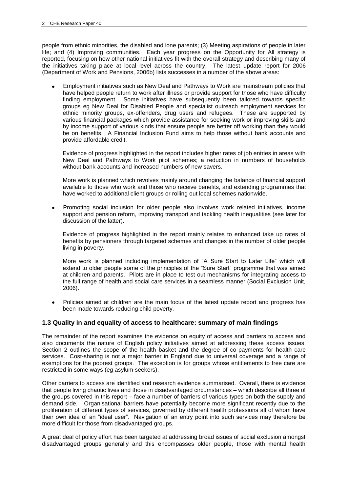people from ethnic minorities, the disabled and lone parents; (3) Meeting aspirations of people in later life; and (4) Improving communities. Each year progress on the Opportunity for All strategy is reported, focusing on how other national initiatives fit with the overall strategy and describing many of the initiatives taking place at local level across the country. The latest update report for 2006 (Department of Work and Pensions, 2006b) lists successes in a number of the above areas:

Employment initiatives such as New Deal and Pathways to Work are mainstream policies that have helped people return to work after illness or provide support for those who have difficulty finding employment. Some initiatives have subsequently been tailored towards specific groups eg New Deal for Disabled People and specialist outreach employment services for ethnic minority groups, ex-offenders, drug users and refugees. These are supported by various financial packages which provide assistance for seeking work or improving skills and by income support of various kinds that ensure people are better off working than they would be on benefits. A Financial Inclusion Fund aims to help those without bank accounts and provide affordable credit.

Evidence of progress highlighted in the report includes higher rates of job entries in areas with New Deal and Pathways to Work pilot schemes; a reduction in numbers of households without bank accounts and increased numbers of new savers.

More work is planned which revolves mainly around changing the balance of financial support available to those who work and those who receive benefits, and extending programmes that have worked to additional client groups or rolling out local schemes nationwide.

Promoting social inclusion for older people also involves work related initiatives, income support and pension reform, improving transport and tackling health inequalities (see later for discussion of the latter).

Evidence of progress highlighted in the report mainly relates to enhanced take up rates of benefits by pensioners through targeted schemes and changes in the number of older people living in poverty.

More work is planned including implementation of "A Sure Start to Later Life" which will extend to older people some of the principles of the "Sure Start" programme that was aimed at children and parents. Pilots are in place to test out mechanisms for integrating access to the full range of health and social care services in a seamless manner (Social Exclusion Unit, 2006).

Policies aimed at children are the main focus of the latest update report and progress has been made towards reducing child poverty.

## **1.3 Quality in and equality of access to healthcare: summary of main findings**

The remainder of the report examines the evidence on equity of access and barriers to access and also documents the nature of English policy initiatives aimed at addressing these access issues. Section 2 outlines the scope of the health basket and the degree of co-payments for health care services. Cost-sharing is not a major barrier in England due to universal coverage and a range of exemptions for the poorest groups. The exception is for groups whose entitlements to free care are restricted in some ways (eg asylum seekers).

Other barriers to access are identified and research evidence summarised. Overall, there is evidence that people living chaotic lives and those in disadvantaged circumstances – which describe all three of the groups covered in this report – face a number of barriers of various types on both the supply and demand side. Organisational barriers have potentially become more significant recently due to the proliferation of different types of services, governed by different health professions all of whom have their own idea of an "ideal user". Navigation of an entry point into such services may therefore be more difficult for those from disadvantaged groups.

A great deal of policy effort has been targeted at addressing broad issues of social exclusion amongst disadvantaged groups generally and this encompasses older people, those with mental health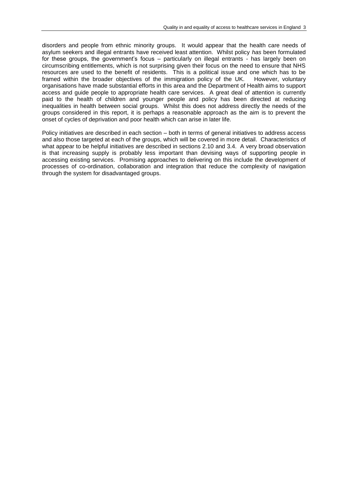disorders and people from ethnic minority groups. It would appear that the health care needs of asylum seekers and illegal entrants have received least attention. Whilst policy *has* been formulated for these groups, the government's focus – particularly on illegal entrants - has largely been on circumscribing entitlements, which is not surprising given their focus on the need to ensure that NHS resources are used to the benefit of residents. This is a political issue and one which has to be framed within the broader objectives of the immigration policy of the UK. However, voluntary organisations have made substantial efforts in this area and the Department of Health aims to support access and guide people to appropriate health care services. A great deal of attention is currently paid to the health of children and younger people and policy has been directed at reducing inequalities in health between social groups. Whilst this does not address directly the needs of the groups considered in this report, it is perhaps a reasonable approach as the aim is to prevent the onset of cycles of deprivation and poor health which can arise in later life.

Policy initiatives are described in each section – both in terms of general initiatives to address access and also those targeted at each of the groups, which will be covered in more detail. Characteristics of what appear to be helpful initiatives are described in sections 2.10 and 3.4. A very broad observation is that increasing supply is probably less important than devising ways of supporting people in accessing existing services. Promising approaches to delivering on this include the development of processes of co-ordination, collaboration and integration that reduce the complexity of navigation through the system for disadvantaged groups.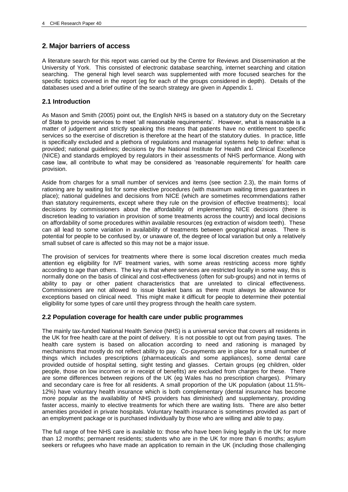## **2. Major barriers of access**

A literature search for this report was carried out by the Centre for Reviews and Dissemination at the University of York. This consisted of electronic database searching, internet searching and citation searching. The general high level search was supplemented with more focused searches for the specific topics covered in the report (eg for each of the groups considered in depth). Details of the databases used and a brief outline of the search strategy are given in Appendix 1.

## **2.1 Introduction**

As Mason and Smith (2005) point out, the English NHS is based on a statutory duty on the Secretary of State to provide services to meet 'all reasonable requirements'. However, what is reasonable is a matter of judgement and strictly speaking this means that patients have no entitlement to specific services so the exercise of discretion is therefore at the heart of the statutory duties. In practice, little is specifically excluded and a plethora of regulations and managerial systems help to define: what is provided; national guidelines; decisions by the National Institute for Health and Clinical Excellence (NICE) and standards employed by regulators in their assessments of NHS performance. Along with case law, all contribute to what may be considered as "reasonable requirements" for health care provision.

Aside from charges for a small number of services and items (see section 2.3), the main forms of rationing are by waiting list for some elective procedures (with maximum waiting times guarantees in place); national guidelines and decisions from NICE (which are sometimes recommendations rather than statutory requirements, except where they rule on the provision of effective treatments); local decisions by commissioners about the affordability of implementing NICE decisions (there is discretion leading to variation in provision of some treatments across the country) and local decisions on affordability of some procedures within available resources (eg extraction of wisdom teeth). These can all lead to some variation in availability of treatments between geographical areas. There is potential for people to be confused by, or unaware of, the degree of local variation but only a relatively small subset of care is affected so this may not be a major issue.

The provision of services for treatments where there is some local discretion creates much media attention eg eligibility for IVF treatment varies, with some areas restricting access more tightly according to age than others. The key is that where services are restricted locally in some way, this is normally done on the basis of clinical and cost-effectiveness (often for sub-groups) and not in terms of ability to pay or other patient characteristics that are unrelated to clinical effectiveness. Commissioners are not allowed to issue blanket bans as there must always be allowance for exceptions based on clinical need. This might make it difficult for people to determine their potential eligibility for some types of care until they progress through the health care system.

## **2.2 Population coverage for health care under public programmes**

The mainly tax-funded National Health Service (NHS) is a universal service that covers all residents in the UK for free health care at the point of delivery. It is not possible to opt out from paying taxes. The health care system is based on allocation according to need and rationing is managed by mechanisms that mostly do not reflect ability to pay. Co-payments are in place for a small number of things which includes prescriptions (pharmaceuticals and some appliances), some dental care provided outside of hospital setting, sight testing and glasses. Certain groups (eg children, older people, those on low incomes or in receipt of benefits) are excluded from charges for these. There are some differences between regions of the UK (eg Wales has no prescription charges). Primary and secondary care is free for all residents. A small proportion of the UK population (about 11.5%- 12%) have voluntary health insurance which is both complementary (dental insurance has become more popular as the availability of NHS providers has diminished) and supplementary, providing faster access, mainly to elective treatments for which there are waiting lists. There are also better amenities provided in private hospitals. Voluntary health insurance is sometimes provided as part of an employment package or is purchased individually by those who are willing and able to pay.

The full range of free NHS care is available to: those who have been living legally in the UK for more than 12 months; permanent residents; students who are in the UK for more than 6 months; asylum seekers or refugees who have made an application to remain in the UK (including those challenging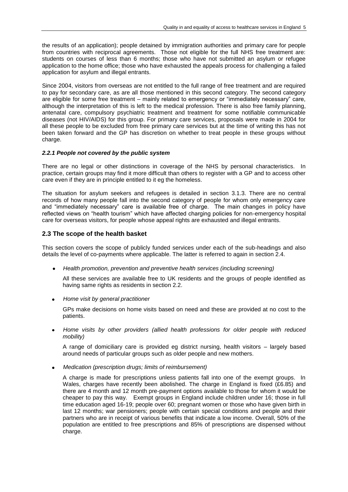the results of an application); people detained by immigration authorities and primary care for people from countries with reciprocal agreements. Those not eligible for the full NHS free treatment are: students on courses of less than 6 months; those who have not submitted an asylum or refugee application to the home office; those who have exhausted the appeals process for challenging a failed application for asylum and illegal entrants.

Since 2004, visitors from overseas are not entitled to the full range of free treatment and are required to pay for secondary care, as are all those mentioned in this second category. The second category are eligible for some free treatment – mainly related to emergency or "immediately necessary" care, although the interpretation of this is left to the medical profession. There is also free family planning, antenatal care, compulsory psychiatric treatment and treatment for some notifiable communicable diseases (not HIV/AIDS) for this group. For primary care services, proposals were made in 2004 for all these people to be excluded from free primary care services but at the time of writing this has not been taken forward and the GP has discretion on whether to treat people in these groups without charge.

#### *2.2.1 People not covered by the public system*

There are no legal or other distinctions in coverage of the NHS by personal characteristics. In practice, certain groups may find it more difficult than others to register with a GP and to access other care even if they are in principle entitled to it eg the homeless.

The situation for asylum seekers and refugees is detailed in section 3.1.3. There are no central records of how many people fall into the second category of people for whom only emergency care and "immediately necessary" care is available free of charge. The main changes in policy have reflected views on "health tourism" which have affected charging policies for non-emergency hospital care for overseas visitors, for people whose appeal rights are exhausted and illegal entrants.

#### **2.3 The scope of the health basket**

This section covers the scope of publicly funded services under each of the sub-headings and also details the level of co-payments where applicable. The latter is referred to again in section 2.4.

*Health promotion, prevention and preventive health services (including screening)*

All these services are available free to UK residents and the groups of people identified as having same rights as residents in section 2.2.

*Home visit by general practitioner*  $\bullet$ 

GPs make decisions on home visits based on need and these are provided at no cost to the patients.

*Home visits by other providers (allied health professions for older people with reduced mobility)*

A range of domiciliary care is provided eg district nursing, health visitors – largely based around needs of particular groups such as older people and new mothers.

*Medication (prescription drugs; limits of reimbursement)*

A charge is made for prescriptions unless patients fall into one of the exempt groups. In Wales, charges have recently been abolished. The charge in England is fixed (£6.85) and there are 4 month and 12 month pre-payment options available to those for whom it would be cheaper to pay this way. Exempt groups in England include children under 16; those in full time education aged 16-19; people over 60; pregnant women or those who have given birth in last 12 months; war pensioners; people with certain special conditions and people and their partners who are in receipt of various benefits that indicate a low income. Overall, 50% of the population are entitled to free prescriptions and 85% of prescriptions are dispensed without charge.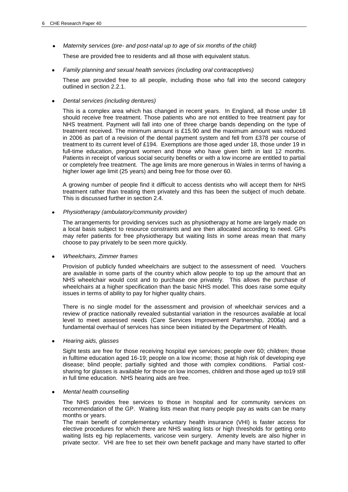*Maternity services (pre- and post-natal up to age of six months of the child)*

These are provided free to residents and all those with equivalent status.

*Family planning and sexual health services (including oral contraceptives)*  $\bullet$ 

These are provided free to all people, including those who fall into the second category outlined in section 2.2.1.

*Dental services (including dentures)*

This is a complex area which has changed in recent years. In England, all those under 18 should receive free treatment. Those patients who are not entitled to free treatment pay for NHS treatment. Payment will fall into one of three charge bands depending on the type of treatment received. The minimum amount is £15.90 and the maximum amount was reduced in 2006 as part of a revision of the dental payment system and fell from £378 per course of treatment to its current level of £194. Exemptions are those aged under 18, those under 19 in full-time education, pregnant women and those who have given birth in last 12 months. Patients in receipt of various social security benefits or with a low income are entitled to partial or completely free treatment. The age limits are more generous in Wales in terms of having a higher lower age limit (25 years) and being free for those over 60.

A growing number of people find it difficult to access dentists who will accept them for NHS treatment rather than treating them privately and this has been the subject of much debate. This is discussed further in section 2.4.

*Physiotherapy (ambulatory/community provider)*

The arrangements for providing services such as physiotherapy at home are largely made on a local basis subject to resource constraints and are then allocated according to need. GPs may refer patients for free physiotherapy but waiting lists in some areas mean that many choose to pay privately to be seen more quickly.

*Wheelchairs, Zimmer frames*

Provision of publicly funded wheelchairs are subject to the assessment of need. Vouchers are available in some parts of the country which allow people to top up the amount that an NHS wheelchair would cost and to purchase one privately. This allows the purchase of wheelchairs at a higher specification than the basic NHS model. This does raise some equity issues in terms of ability to pay for higher quality chairs.

There is no single model for the assessment and provision of wheelchair services and a review of practice nationally revealed substantial variation in the resources available at local level to meet assessed needs (Care Services Improvement Partnership, 2006a) and a fundamental overhaul of services has since been initiated by the Department of Health.

*Hearing aids, glasses*

Sight tests are free for those receiving hospital eye services; people over 60; children; those in fulltime education aged 16-19; people on a low income; those at high risk of developing eye disease; blind people; partially sighted and those with complex conditions. Partial costsharing for glasses is available for those on low incomes, children and those aged up to19 still in full time education. NHS hearing aids are free.

#### *Mental health counselling*

The NHS provides free services to those in hospital and for community services on recommendation of the GP. Waiting lists mean that many people pay as waits can be many months or years.

The main benefit of complementary voluntary health insurance (VHI) is faster access for elective procedures for which there are NHS waiting lists or high thresholds for getting onto waiting lists eg hip replacements, varicose vein surgery. Amenity levels are also higher in private sector. VHI are free to set their own benefit package and many have started to offer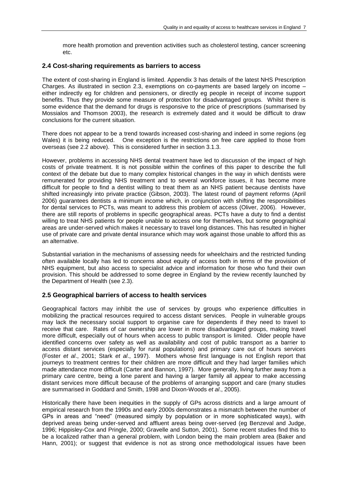more health promotion and prevention activities such as cholesterol testing, cancer screening etc.

#### **2.4 Cost-sharing requirements as barriers to access**

The extent of cost-sharing in England is limited. Appendix 3 has details of the latest NHS Prescription Charges. As illustrated in section 2.3, exemptions on co-payments are based largely on income – either indirectly eg for children and pensioners, or directly eg people in receipt of income support benefits. Thus they provide some measure of protection for disadvantaged groups. Whilst there is some evidence that the demand for drugs is responsive to the price of prescriptions (summarised by Mossialos and Thomson 2003), the research is extremely dated and it would be difficult to draw conclusions for the current situation.

There does not appear to be a trend towards increased cost-sharing and indeed in some regions (eg Wales) it is being reduced. One exception is the restrictions on free care applied to those from overseas (see 2.2 above). This is considered further in section 3.1.3.

However, problems in accessing NHS dental treatment have led to discussion of the impact of high costs of private treatment. It is not possible within the confines of this paper to describe the full context of the debate but due to many complex historical changes in the way in which dentists were remunerated for providing NHS treatment and to several workforce issues, it has become more difficult for people to find a dentist willing to treat them as an NHS patient because dentists have shifted increasingly into private practice (Gibson, 2003). The latest round of payment reforms (April 2006) guarantees dentists a minimum income which, in conjunction with shifting the responsibilities for dental services to PCTs, was meant to address this problem of access (Oliver, 2006). However, there are still reports of problems in specific geographical areas. PCTs have a duty to find a dentist willing to treat NHS patients for people unable to access one for themselves, but some geographical areas are under-served which makes it necessary to travel long distances. This has resulted in higher use of private care and private dental insurance which may work against those unable to afford this as an alternative.

Substantial variation in the mechanisms of assessing needs for wheelchairs and the restricted funding often available locally has led to concerns about equity of access both in terms of the provision of NHS equipment, but also access to specialist advice and information for those who fund their own provision. This should be addressed to some degree in England by the review recently launched by the Department of Health (see 2.3).

## **2.5 Geographical barriers of access to health services**

Geographical factors may inhibit the use of services by groups who experience difficulties in mobilizing the practical resources required to access distant services. People in vulnerable groups may lack the necessary social support to organise care for dependents if they need to travel to receive that care. Rates of car ownership are lower in more disadvantaged groups, making travel more difficult, especially out of hours when access to public transport is limited. Older people have identified concerns over safety as well as availability and cost of public transport as a barrier to access distant services (especially for rural populations) and primary care out of hours services (Foster *et al*., 2001; Stark *et al*., 1997). Mothers whose first language is not English report that journeys to treatment centres for their children are more difficult and they had larger families which made attendance more difficult (Carter and Bannon, 1997). More generally, living further away from a primary care centre, being a lone parent and having a larger family all appear to make accessing distant services more difficult because of the problems of arranging support and care (many studies are summarised in Goddard and Smith, 1998 and Dixon-Woods *et al*., 2005).

Historically there have been inequities in the supply of GPs across districts and a large amount of empirical research from the 1990s and early 2000s demonstrates a mismatch between the number of GPs in areas and "need" (measured simply by population or in more sophisticated ways), with deprived areas being under-served and affluent areas being over-served (eg Benzeval and Judge, 1996; Hippisley-Cox and Pringle, 2000; Gravelle and Sutton, 2001). Some recent studies find this to be a localized rather than a general problem, with London being the main problem area (Baker and Hann, 2001); or suggest that evidence is not as strong once methodological issues have been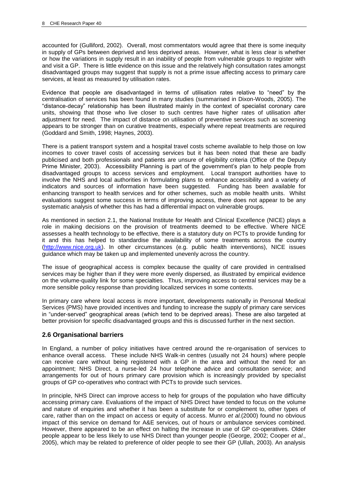accounted for (Gulliford, 2002). Overall, most commentators would agree that there is some inequity in supply of GPs between deprived and less deprived areas. However, what is less clear is whether or how the variations in supply result in an inability of people from vulnerable groups to register with and visit a GP. There is little evidence on this issue and the relatively high consultation rates amongst disadvantaged groups may suggest that supply is not a prime issue affecting access to primary care services, at least as measured by utilisation rates.

Evidence that people are disadvantaged in terms of utilisation rates relative to "need" by the centralisation of services has been found in many studies (summarised in Dixon-Woods, 2005). The "distance-decay" relationship has been illustrated mainly in the context of specialist coronary care units, showing that those who live closer to such centres have higher rates of utilisation after adjustment for need. The impact of distance on utilisation of preventive services such as screening appears to be stronger than on curative treatments, especially where repeat treatments are required (Goddard and Smith, 1998; Haynes, 2003).

There is a patient transport system and a hospital travel costs scheme available to help those on low incomes to cover travel costs of accessing services but it has been noted that these are badly publicised and both professionals and patients are unsure of eligibility criteria (Office of the Deputy Prime Minister, 2003). Accessibility Planning is part of the government's plan to help people from disadvantaged groups to access services and employment. Local transport authorities have to involve the NHS and local authorities in formulating plans to enhance accessibility and a variety of indicators and sources of information have been suggested. Funding has been available for enhancing transport to health services and for other schemes, such as mobile health units. Whilst evaluations suggest some success in terms of improving access, there does not appear to be any systematic analysis of whether this has had a differential impact on vulnerable groups.

As mentioned in section 2.1, the National Institute for Health and Clinical Excellence (NICE) plays a role in making decisions on the provision of treatments deemed to be effective. Where NICE assesses a health technology to be effective, there is a statutory duty on PCTs to provide funding for it and this has helped to standardise the availability of some treatments across the country [\(http://www.nice.org.uk\)](http://www.nice.org.uk/). In other circumstances (e.g. public health interventions), NICE issues guidance which may be taken up and implemented unevenly across the country.

The issue of geographical access is complex because the quality of care provided in centralised services may be higher than if they were more evenly dispersed, as illustrated by empirical evidence on the volume-quality link for some specialties. Thus, improving access to central services may be a more sensible policy response than providing localized services in some contexts.

In primary care where local access is more important, developments nationally in Personal Medical Services (PMS) have provided incentives and funding to increase the supply of primary care services in "under-served" geographical areas (which tend to be deprived areas). These are also targeted at better provision for specific disadvantaged groups and this is discussed further in the next section.

## **2.6 Organisational barriers**

In England, a number of policy initiatives have centred around the re-organisation of services to enhance overall access. These include NHS Walk-in centres (usually not 24 hours) where people can receive care without being registered with a GP in the area and without the need for an appointment; NHS Direct, a nurse-led 24 hour telephone advice and consultation service; and arrangements for out of hours primary care provision which is increasingly provided by specialist groups of GP co-operatives who contract with PCTs to provide such services.

In principle, NHS Direct can improve access to help for groups of the population who have difficulty accessing primary care. Evaluations of the impact of NHS Direct have tended to focus on the volume and nature of enquiries and whether it has been a substitute for or complement to, other types of care, rather than on the impact on access or equity of access. Munro *et al.*(2000) found no obvious impact of this service on demand for A&E services, out of hours or ambulance services combined. However, there appeared to be an effect on halting the increase in use of GP co-operatives. Older people appear to be less likely to use NHS Direct than younger people (George, 2002; Cooper *et al*., 2005), which may be related to preference of older people to see their GP (Ullah, 2003). An analysis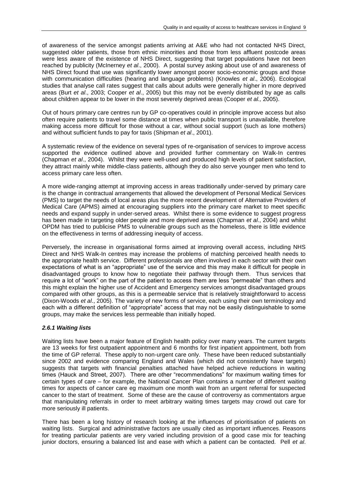of awareness of the service amongst patients arriving at A&E who had not contacted NHS Direct, suggested older patients, those from ethnic minorities and those from less affluent postcode areas were less aware of the existence of NHS Direct, suggesting that target populations have not been reached by publicity (McInerney *et al*., 2000). A postal survey asking about use of and awareness of NHS Direct found that use was significantly lower amongst poorer socio-economic groups and those with communication difficulties (hearing and language problems) (Knowles *et al*., 2006). Ecological studies that analyse call rates suggest that calls about adults were generally higher in more deprived areas (Burt *et al*., 2003; Cooper *et al*., 2005) but this may not be evenly distributed by age as calls about children appear to be lower in the most severely deprived areas (Cooper *et al.,* 2005).

Out of hours primary care centres run by GP co-operatives could in principle improve access but also often require patients to travel some distance at times when public transport is unavailable, therefore making access more difficult for those without a car, without social support (such as lone mothers) and without sufficient funds to pay for taxis (Shipman *et al*., 2001).

A systematic review of the evidence on several types of re-organisation of services to improve access supported the evidence outlined above and provided further commentary on Walk-In centres (Chapman *et al*., 2004). Whilst they were well-used and produced high levels of patient satisfaction, they attract mainly white middle-class patients, although they do also serve younger men who tend to access primary care less often.

A more wide-ranging attempt at improving access in areas traditionally under-served by primary care is the change in contractual arrangements that allowed the development of Personal Medical Services (PMS) to target the needs of local areas plus the more recent development of Alternative Providers of Medical Care (APMS) aimed at encouraging suppliers into the primary care market to meet specific needs and expand supply in under-served areas. Whilst there is some evidence to suggest progress has been made in targeting older people and more deprived areas (Chapman *et al*., 2004) and whilst OPDM has tried to publicise PMS to vulnerable groups such as the homeless, there is little evidence on the effectiveness in terms of addressing inequity of access.

Perversely, the increase in organisational forms aimed at improving overall access, including NHS Direct and NHS Walk-In centres may increase the problems of matching perceived health needs to the appropriate health service. Different professionals are often involved in each sector with their own expectations of what is an "appropriate" use of the service and this may make it difficult for people in disadvantaged groups to know how to negotiate their pathway through them. Thus services that require a lot of "work" on the part of the patient to access them are less "permeable" than others and this might explain the higher use of Accident and Emergency services amongst disadvantaged groups compared with other groups, as this is a permeable service that is relatively straightforward to access (Dixon-Woods *et al*., 2005). The variety of new forms of service, each using their own terminology and each with a different definition of "appropriate" access that may not be easily distinguishable to some groups, may make the services less permeable than initially hoped.

## *2.6.1 Waiting lists*

Waiting lists have been a major feature of English health policy over many years. The current targets are 13 weeks for first outpatient appointment and 6 months for first inpatient appointment, both from the time of GP referral. These apply to non-urgent care only. These have been reduced substantially since 2002 and evidence comparing England and Wales (which did not consistently have targets) suggests that targets with financial penalties attached have helped achieve reductions in waiting times (Hauck and Street, 2007). There are other "recommendations" for maximum waiting times for certain types of care – for example, the National Cancer Plan contains a number of different waiting times for aspects of cancer care eg maximum one month wait from an urgent referral for suspected cancer to the start of treatment. Some of these are the cause of controversy as commentators argue that manipulating referrals in order to meet arbitrary waiting times targets may crowd out care for more seriously ill patients.

There has been a long history of research looking at the influences of prioritisation of patients on waiting lists. Surgical and administrative factors are usually cited as important influences. Reasons for treating particular patients are very varied including provision of a good case mix for teaching junior doctors, ensuring a balanced list and ease with which a patient can be contacted. Pell *et al*.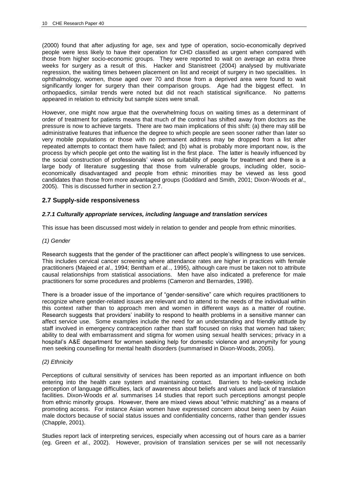(2000) found that after adjusting for age, sex and type of operation, socio-economically deprived people were less likely to have their operation for CHD classified as urgent when compared with those from higher socio-economic groups. They were reported to wait on average an extra three weeks for surgery as a result of this. Hacker and Stanistreet (2004) analysed by multivariate regression, the waiting times between placement on list and receipt of surgery in two specialities. In ophthalmology, women, those aged over 70 and those from a deprived area were found to wait significantly longer for surgery than their comparison groups. Age had the biggest effect. In orthopaedics, similar trends were noted but did not reach statistical significance. No patterns appeared in relation to ethnicity but sample sizes were small.

However, one might now argue that the overwhelming focus on waiting times as a determinant of order of treatment for patients means that much of the control has shifted away from doctors as the pressure is now to achieve targets. There are two main implications of this shift: (a) there may still be administrative features that influence the degree to which people are seen sooner rather than later so very mobile populations or those with no permanent address may be dropped from a list after repeated attempts to contact them have failed; and (b) what is probably more important now, is the process by which people get onto the waiting list in the first place. The latter is heavily influenced by the social construction of professionals' views on suitability of people for treatment and there is a large body of literature suggesting that those from vulnerable groups, including older, socioeconomically disadvantaged and people from ethnic minorities may be viewed as less good candidates than those from more advantaged groups (Goddard and Smith, 2001; Dixon-Woods *et al*., 2005). This is discussed further in section 2.7.

## **2.7 Supply-side responsiveness**

#### *2.7.1 Culturally appropriate services, including language and translation services*

This issue has been discussed most widely in relation to gender and people from ethnic minorities.

#### *(1) Gender*

Research suggests that the gender of the practitioner can affect people's willingness to use services. This includes cervical cancer screening where attendance rates are higher in practices with female practitioners (Majeed *et al*., 1994; Bentham *et al.*., 1995), although care must be taken not to attribute causal relationships from statistical associations. Men have also indicated a preference for male practitioners for some procedures and problems (Cameron and Bernardes, 1998).

There is a broader issue of the importance of "gender-sensitive" care which requires practitioners to recognize where gender-related issues are relevant and to attend to the needs of the individual within this context rather than to approach men and women in different ways as a matter of routine. Research suggests that providers" inability to respond to health problems in a sensitive manner can affect service use. Some examples include the need for an understanding and friendly attitude by staff involved in emergency contraception rather than staff focused on risks that women had taken; ability to deal with embarrassment and stigma for women using sexual health services; privacy in a hospital's A&E department for women seeking help for domestic violence and anonymity for young men seeking counselling for mental health disorders (summarised in Dixon-Woods, 2005).

#### *(2) Ethnicity*

Perceptions of cultural sensitivity of services has been reported as an important influence on both entering into the health care system and maintaining contact. Barriers to help-seeking include perception of language difficulties, lack of awareness about beliefs and values and lack of translation facilities. Dixon-Woods *et al*. summarises 14 studies that report such perceptions amongst people from ethnic minority groups. However, there are mixed views about "ethnic matching" as a means of promoting access. For instance Asian women have expressed concern about being seen by Asian male doctors because of social status issues and confidentiality concerns, rather than gender issues (Chapple, 2001).

Studies report lack of interpreting services, especially when accessing out of hours care as a barrier (eg. Green *et al*., 2002). However, provision of translation services per se will not necessarily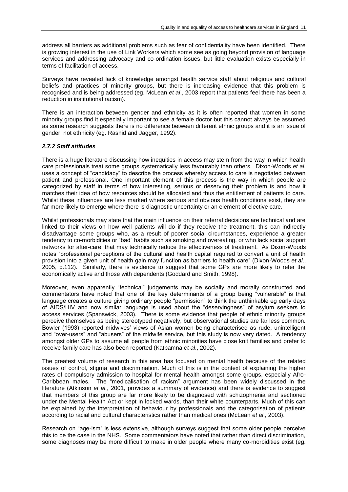address all barriers as additional problems such as fear of confidentiality have been identified. There is growing interest in the use of Link Workers which some see as going beyond provision of language services and addressing advocacy and co-ordination issues, but little evaluation exists especially in terms of facilitation of access.

Surveys have revealed lack of knowledge amongst health service staff about religious and cultural beliefs and practices of minority groups, but there is increasing evidence that this problem is recognised and is being addressed (eg. McLean *et al*., 2003 report that patients feel there has been a reduction in institutional racism).

There is an interaction between gender and ethnicity as it is often reported that women in some minority groups find it especially important to see a female doctor but this cannot always be assumed as some research suggests there is no difference between different ethnic groups and it is an issue of gender, not ethnicity (eg. Rashid and Jagger, 1992).

#### *2.7.2 Staff attitudes*

There is a huge literature discussing how inequities in access may stem from the way in which health care professionals treat some groups systematically less favourably than others. Dixon-Woods *et al*. uses a concept of "candidacy" to describe the process whereby access to care is negotiated between patient and professional. One important element of this process is the way in which people are categorized by staff in terms of how interesting, serious or deserving their problem is and how it matches their idea of how resources should be allocated and thus the entitlement of patients to care. Whilst these influences are less marked where serious and obvious health conditions exist, they are far more likely to emerge where there is diagnostic uncertainty or an element of elective care.

Whilst professionals may state that the main influence on their referral decisions are technical and are linked to their views on how well patients will do if they receive the treatment, this can indirectly disadvantage some groups who, as a result of poorer social circumstances, experience a greater tendency to co-morbidities or "bad" habits such as smoking and overeating, or who lack social support networks for after-care, that may technically reduce the effectiveness of treatment. As Dixon-Woods notes "professional perceptions of the cultural and health capital required to convert a unit of health provision into a given unit of health gain may function as barriers to health care" (Dixon-Woods *et al*., 2005, p.112). Similarly, there is evidence to suggest that some GPs are more likely to refer the economically active and those with dependents (Goddard and Smith, 1998).

Moreover, even apparently "technical" judgements may be socially and morally constructed and commentators have noted that one of the key determinants of a group being "vulnerable" is that language creates a culture giving ordinary people "permission" to think the unthinkable eg early days of AIDS/HIV and now similar language is used about the "deservingness" of asylum seekers to access services (Spanswick, 2003). There is some evidence that people of ethnic minority groups perceive themselves as being stereotyped negatively, but observational studies are far less common. Bowler (1993) reported midwives" views of Asian women being characterised as rude, unintelligent and "over-users" and "abusers" of the midwife service, but this study is now very dated. A tendency amongst older GPs to assume all people from ethnic minorities have close knit families and prefer to receive family care has also been reported (Katbamna *et al*., 2002).

The greatest volume of research in this area has focused on mental health because of the related issues of control, stigma and discrimination. Much of this is in the context of explaining the higher rates of compulsory admission to hospital for mental health amongst some groups, especially Afro-Caribbean males. The "medicalisation of racism" argument has been widely discussed in the literature (Atkinson *et al*., 2001, provides a summary of evidence) and there is evidence to suggest that members of this group are far more likely to be diagnosed with schizophrenia and sectioned under the Mental Health Act or kept in locked wards, than their white counterparts. Much of this can be explained by the interpretation of behaviour by professionals and the categorisation of patients according to racial and cultural characteristics rather than medical ones (McLean *et al*., 2003).

Research on "age-ism" is less extensive, although surveys suggest that some older people perceive this to be the case in the NHS. Some commentators have noted that rather than direct discrimination, some diagnoses may be more difficult to make in older people where many co-morbidities exist (eg.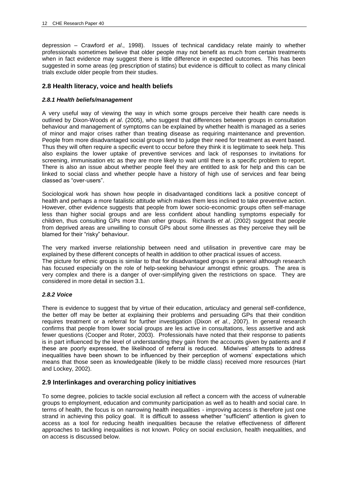depression – Crawford *et al*., 1998). Issues of technical candidacy relate mainly to whether professionals sometimes believe that older people may not benefit as much from certain treatments when in fact evidence may suggest there is little difference in expected outcomes. This has been suggested in some areas (eg prescription of statins) but evidence is difficult to collect as many clinical trials exclude older people from their studies.

## **2.8 Health literacy, voice and health beliefs**

#### *2.8.1 Health beliefs/management*

A very useful way of viewing the way in which some groups perceive their health care needs is outlined by Dixon-Woods *et al*. (2005), who suggest that differences between groups in consultation behaviour and management of symptoms can be explained by whether health is managed as a series of minor and major crises rather than treating disease as requiring maintenance and prevention. People from more disadvantaged social groups tend to judge their need for treatment as event based. Thus they will often require a specific event to occur before they think it is legitimate to seek help. This also explains the lower uptake of preventive services and lack of responses to invitations for screening, immunisation etc as they are more likely to wait until there is a specific problem to report. There is also an issue about whether people feel they are entitled to ask for help and this can be linked to social class and whether people have a history of high use of services and fear being classed as "over-users".

Sociological work has shown how people in disadvantaged conditions lack a positive concept of health and perhaps a more fatalistic attitude which makes them less inclined to take preventive action. However, other evidence suggests that people from lower socio-economic groups often self-manage less than higher social groups and are less confident about handling symptoms especially for children, thus consulting GPs more than other groups. Richards *et al*. (2002) suggest that people from deprived areas are unwilling to consult GPs about some illnesses as they perceive they will be blamed for their "risky" behaviour.

The very marked inverse relationship between need and utilisation in preventive care may be explained by these different concepts of health in addition to other practical issues of access. The picture for ethnic groups is similar to that for disadvantaged groups in general although research has focused especially on the role of help-seeking behaviour amongst ethnic groups. The area is very complex and there is a danger of over-simplifying given the restrictions on space. They are considered in more detail in section 3.1.

#### *2.8.2 Voice*

There is evidence to suggest that by virtue of their education, articulacy and general self-confidence, the better off may be better at explaining their problems and persuading GPs that their condition requires treatment or a referral for further investigation (Dixon *et al*., 2007). In general research confirms that people from lower social groups are les active in consultations, less assertive and ask fewer questions (Cooper and Roter, 2003). Professionals have noted that their response to patients is in part influenced by the level of understanding they gain from the accounts given by patients and if these are poorly expressed, the likelihood of referral is reduced. Midwives" attempts to address inequalities have been shown to be influenced by their perception of womens" expectations which means that those seen as knowledgeable (likely to be middle class) received more resources (Hart and Lockey, 2002).

## **2.9 Interlinkages and overarching policy initiatives**

To some degree, policies to tackle social exclusion all reflect a concern with the access of vulnerable groups to employment, education and community participation as well as to health and social care. In terms of health, the focus is on narrowing health inequalities - improving access is therefore just one strand in achieving this policy goal. It is difficult to assess whether "sufficient" attention is given to access as a tool for reducing health inequalities because the relative effectiveness of different approaches to tackling inequalities is not known. Policy on social exclusion, health inequalities, and on access is discussed below.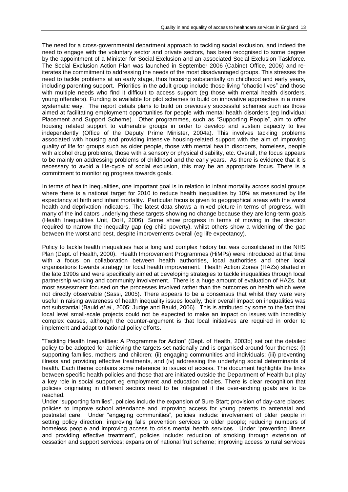The need for a cross-governmental department approach to tackling social exclusion, and indeed the need to engage with the voluntary sector and private sectors, has been recognised to some degree by the appointment of a Minister for Social Exclusion and an associated Social Exclusion Taskforce. The Social Exclusion Action Plan was launched in September 2006 (Cabinet Office, 2006) and reiterates the commitment to addressing the needs of the most disadvantaged groups. This stresses the need to tackle problems at an early stage, thus focusing substantially on childhood and early years, including parenting support. Priorities in the adult group include those living "chaotic lives" and those with multiple needs who find it difficult to access support (eg those with mental health disorders, young offenders). Funding is available for pilot schemes to build on innovative approaches in a more systematic way. The report details plans to build on previously successful schemes such as those aimed at facilitating employment opportunities for people with mental health disorders (eg Individual Placement and Support Scheme). Other programmes, such as "Supporting People", aim to offer housing related support to vulnerable groups in order to develop and sustain capacity to live independently (Office of the Deputy Prime Minister, 2004a). This involves tackling problems associated with housing and providing intensive housing-related support with the aim of improving quality of life for groups such as older people, those with mental health disorders, homeless, people with alcohol drug problems, those with a sensory or physical disability, etc. Overall, the focus appears to be mainly on addressing problems of childhood and the early years. As there is evidence that it is necessary to avoid a life-cycle of social exclusion, this may be an appropriate focus. There is a commitment to monitoring progress towards goals.

In terms of health inequalities, one important goal is in relation to infant mortality across social groups where there is a national target for 2010 to reduce health inequalities by 10% as measured by life expectancy at birth and infant mortality. Particular focus is given to geographical areas with the worst health and deprivation indicators. The latest data shows a mixed picture in terms of progress, with many of the indicators underlying these targets showing no change because they are long-term goals (Health Inequalities Unit, DoH, 2006). Some show progress in terms of moving in the direction required to narrow the inequality gap (eg child poverty), whilst others show a widening of the gap between the worst and best, despite improvements overall (eg life expectancy).

Policy to tackle health inequalities has a long and complex history but was consolidated in the NHS Plan (Dept. of Health, 2000). Health Improvement Programmes (HiMPs) were introduced at that time with a focus on collaboration between health authorities, local authorities and other local organisations towards strategy for local health improvement. Health Action Zones (HAZs) started in the late 1990s and were specifically aimed at developing strategies to tackle inequalities through local partnership working and community involvement. There is a huge amount of evaluation of HAZs, but most assessment focused on the processes involved rather than the outcomes on health which were not directly observable (Sassi, 2005). There appears to be a consensus that whilst they were very useful in raising awareness of health inequality issues locally, their overall impact on inequalities was not substantial (Bauld *et al*., 2005; Judge and Bauld, 2006). This is attributed by some to the fact that local level small-scale projects could not be expected to make an impact on issues with incredibly complex causes, although the counter-argument is that local initiatives are required in order to implement and adapt to national policy efforts.

"Tackling Health Inequalities: A Programme for Action" (Dept. of Health, 2003b) set out the detailed policy to be adopted for achieving the targets set nationally and is organised around four themes: (i) supporting families, mothers and children; (ii) engaging communities and individuals; (iii) preventing illness and providing effective treatments, and (iv) addressing the underlying social determinants of health. Each theme contains some reference to issues of access. The document highlights the links between specific health policies and those that are initiated outside the Department of Health but play a key role in social support eg employment and education policies. There is clear recognition that policies originating in different sectors need to be integrated if the over-arching goals are to be reached.

Under "supporting families", policies include the expansion of Sure Start; provision of day-care places; policies to improve school attendance and improving access for young parents to antenatal and postnatal care. Under "engaging communities", policies include: involvement of older people in setting policy direction; improving falls prevention services to older people; reducing numbers of homeless people and improving access to crisis mental health services. Under "preventing illness and providing effective treatment", policies include: reduction of smoking through extension of cessation and support services; expansion of national fruit scheme; improving access to rural services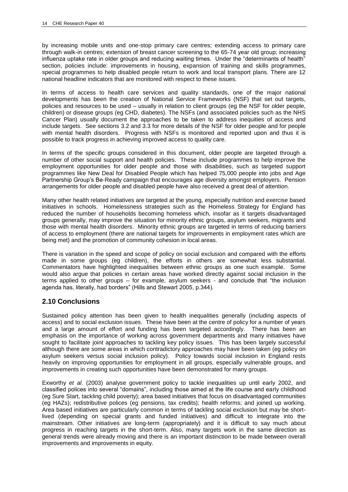by increasing mobile units and one-stop primary care centres; extending access to primary care through walk-in centres; extension of breast cancer screening to the 65-74 year old group; increasing influenza uptake rate in older groups and reducing waiting times. Under the "determinants of health" section, policies include: improvements in housing, expansion of training and skills programmes, special programmes to help disabled people return to work and local transport plans. There are 12 national headline indicators that are monitored with respect to these issues.

In terms of access to health care services and quality standards, one of the major national developments has been the creation of National Service Frameworks (NSF) that set out targets, policies and resources to be used – usually in relation to client groups (eg the NSF for older people, children) or disease groups (eg CHD, diabetes). The NSFs (and associated policies such as the NHS Cancer Plan) usually document the approaches to be taken to address inequities of access and include targets. See sections 3.2 and 3.3 for more details of the NSF for older people and for people with mental health disorders. Progress with NSFs is monitored and reported upon and thus it is possible to track progress in achieving improved access to quality care.

In terms of the specific groups considered in this document, older people are targeted through a number of other social support and health policies. These include programmes to help improve the employment opportunities for older people and those with disabilities, such as targeted support programmes like New Deal for Disabled People which has helped 75,000 people into jobs and Age Partnership Group"s Be-Ready campaign that encourages age diversity amongst employers. Pension arrangements for older people and disabled people have also received a great deal of attention.

Many other health related initiatives are targeted at the young, especially nutrition and exercise based initiatives in schools. Homelessness strategies such as the Homeless Strategy for England has reduced the number of households becoming homeless which, insofar as it targets disadvantaged groups generally, may improve the situation for minority ethnic groups, asylum seekers, migrants and those with mental health disorders. Minority ethnic groups are targeted in terms of reducing barriers of access to employment (there are national targets for improvements in employment rates which are being met) and the promotion of community cohesion in local areas.

There is variation in the speed and scope of policy on social exclusion and compared with the efforts made in some groups (eg children), the efforts in others are somewhat less substantial. Commentators have highlighted inequalities between ethnic groups as one such example. Some would also argue that policies in certain areas have worked directly against social inclusion in the terms applied to other groups – for example, asylum seekers - and conclude that "the inclusion agenda has, literally, had borders" (Hills and Stewart 2005, p.344).

## **2.10 Conclusions**

Sustained policy attention has been given to health inequalities generally (including aspects of access) and to social exclusion issues. These have been at the centre of policy for a number of years and a large amount of effort and funding has been targeted accordingly. There has been an emphasis on the importance of working across government departments and many initiatives have sought to facilitate joint approaches to tackling key policy issues. This has been largely successful although there are some areas in which contradictory approaches may have been taken (eg policy on asylum seekers versus social inclusion policy). Policy towards social inclusion in England rests heavily on improving opportunities for employment in all groups, especially vulnerable groups, and improvements in creating such opportunities have been demonstrated for many groups.

Exworthy *et al*. (2003) analyse government policy to tackle inequalities up until early 2002, and classified polices into several "domains", including those aimed at the life course and early childhood (eg Sure Start, tackling child poverty); area based initiatives that focus on disadvantaged communities (eg HAZs); redistributive polices (eg pensions, tax credits); health reforms; and joined up working. Area based initiatives are particularly common in terms of tackling social exclusion but may be shortlived (depending on special grants and funded initiatives) and difficult to integrate into the mainstream. Other initiatives are long-term (appropriately) and it is difficult to say much about progress in reaching targets in the short-term. Also, many targets work in the same direction as general trends were already moving and there is an important distinction to be made between overall improvements and improvements in equity.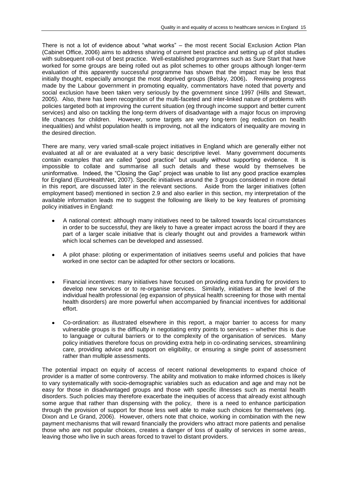There is not a lot of evidence about "what works" – the most recent Social Exclusion Action Plan (Cabinet Office, 2006) aims to address sharing of current best practice and setting up of pilot studies with subsequent roll-out of best practice. Well-established programmes such as Sure Start that have worked for some groups are being rolled out as pilot schemes to other groups although longer-term evaluation of this apparently successful programme has shown that the impact may be less that initially thought, especially amongst the most deprived groups (Belsky, 2006)**.** Reviewing progress made by the Labour government in promoting equality, commentators have noted that poverty and social exclusion have been taken very seriously by the government since 1997 (Hills and Stewart, 2005). Also, there has been recognition of the multi-faceted and inter-linked nature of problems with policies targeted both at improving the current situation (eg through income support and better current services) and also on tackling the long-term drivers of disadvantage with a major focus on improving life chances for children. However, some targets are very long-term (eg reduction on health inequalities) and whilst population health is improving, not all the indicators of inequality are moving in the desired direction.

There are many, very varied small-scale project initiatives in England which are generally either not evaluated at all or are evaluated at a very basic descriptive level. Many government documents contain examples that are called "good practice" but usually without supporting evidence. It is impossible to collate and summarise all such details and these would by themselves be uninformative. Indeed, the "Closing the Gap" project was unable to list any good practice examples for England (EuroHealthNet, 2007). Specific initiatives around the 3 groups considered in more detail in this report, are discussed later in the relevant sections. Aside from the larger initiatives (often employment based) mentioned in section 2.9 and also earlier in this section, my interpretation of the available information leads me to suggest the following are likely to be key features of promising policy initiatives in England:

- A national context: although many initiatives need to be tailored towards local circumstances in order to be successful, they are likely to have a greater impact across the board if they are part of a larger scale initiative that is clearly thought out and provides a framework within which local schemes can be developed and assessed.
- A pilot phase: piloting or experimentation of initiatives seems useful and policies that have worked in one sector can be adapted for other sectors or locations.
- Financial incentives: many initiatives have focused on providing extra funding for providers to develop new services or to re-organise services. Similarly, initiatives at the level of the individual health professional (eg expansion of physical health screening for those with mental health disorders) are more powerful when accompanied by financial incentives for additional effort.
- Co-ordination: as illustrated elsewhere in this report, a major barrier to access for many vulnerable groups is the difficulty in negotiating entry points to services – whether this is due to language or cultural barriers or to the complexity of the organisation of services. Many policy initiatives therefore focus on providing extra help in co-ordinating services, streamlining care, providing advice and support on eligibility, or ensuring a single point of assessment rather than multiple assessments.

The potential impact on equity of access of recent national developments to expand choice of provider is a matter of some controversy. The ability and motivation to make informed choices is likely to vary systematically with socio-demographic variables such as education and age and may not be easy for those in disadvantaged groups and those with specific illnesses such as mental health disorders. Such policies may therefore exacerbate the inequities of access that already exist although some argue that rather than dispensing with the policy, there is a need to enhance participation through the provision of support for those less well able to make such choices for themselves (eg. Dixon and Le Grand, 2006). However, others note that choice, working in combination with the new payment mechanisms that will reward financially the providers who attract more patients and penalise those who are not popular choices, creates a danger of loss of quality of services in some areas, leaving those who live in such areas forced to travel to distant providers.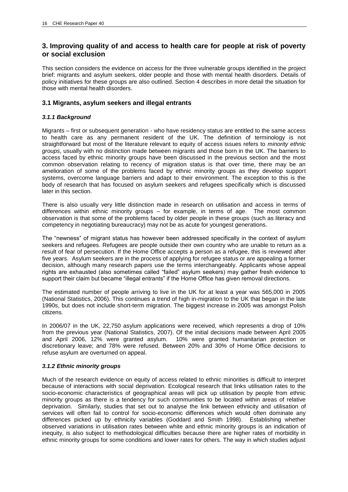## **3. Improving quality of and access to health care for people at risk of poverty or social exclusion**

This section considers the evidence on access for the three vulnerable groups identified in the project brief: migrants and asylum seekers, older people and those with mental health disorders. Details of policy initiatives for these groups are also outlined. Section 4 describes in more detail the situation for those with mental health disorders.

## **3.1 Migrants, asylum seekers and illegal entrants**

## *3.1.1 Background*

Migrants – first or subsequent generation - who have residency status are entitled to the same access to health care as any permanent resident of the UK. The definition of terminology is not straightforward but most of the literature relevant to equity of access issues refers to *minority ethnic groups*, usually with no distinction made between migrants and those born in the UK. The barriers to access faced by ethnic minority groups have been discussed in the previous section and the most common observation relating to recency of migration status is that over time, there may be an amelioration of some of the problems faced by ethnic minority groups as they develop support systems, overcome language barriers and adapt to their environment. The exception to this is the body of research that has focused on asylum seekers and refugees specifically which is discussed later in this section.

There is also usually very little distinction made in research on utilisation and access in terms of differences within ethnic minority groups – for example, in terms of age. The most common observation is that some of the problems faced by older people in these groups (such as literacy and competency in negotiating bureaucracy) may not be as acute for youngest generations.

The "newness" of migrant status has however been addressed specifically in the context of asylum seekers and refugees. Refugees are people outside their own country who are unable to return as a result of fear of persecution. If the Home Office accepts a person as a refugee, this is reviewed after five years. Asylum seekers are in the process of applying for refugee status or are appealing a former decision, although many research papers use the terms interchangeably. Applicants whose appeal rights are exhausted (also sometimes called "failed" asylum seekers) may gather fresh evidence to support their claim but became "illegal entrants" if the Home Office has given removal directions.

The estimated number of people arriving to live in the UK for at least a year was 565,000 in 2005 (National Statistics, 2006). This continues a trend of high in-migration to the UK that began in the late 1990s, but does not include short-term migration. The biggest increase in 2005 was amongst Polish citizens.

In 2006/07 in the UK, 22,750 asylum applications were received, which represents a drop of 10% from the previous year (National Statistics, 2007). Of the initial decisions made between April 2005 and April 2006, 12% were granted asylum. 10% were granted humanitarian protection or discretionary leave; and 78% were refused. Between 20% and 30% of Home Office decisions to refuse asylum are overturned on appeal.

## *3.1.2 Ethnic minority groups*

Much of the research evidence on equity of access related to ethnic minorities is difficult to interpret because of interactions with social deprivation. Ecological research that links utilisation rates to the socio-economic characteristics of geographical areas will pick up utilisation by people from ethnic minority groups as there is a tendency for such communities to be located within areas of relative deprivation. Similarly, studies that set out to analyse the link between ethnicity and utilisation of services will often fail to control for socio-economic differences which would often dominate any differences picked up by ethnicity variables (Goddard and Smith 1998). Establishing whether observed variations in utilisation rates between white and ethnic minority groups is an indication of inequity, is also subject to methodological difficulties because there are higher rates of morbidity in ethnic minority groups for some conditions and lower rates for others. The way in which studies adjust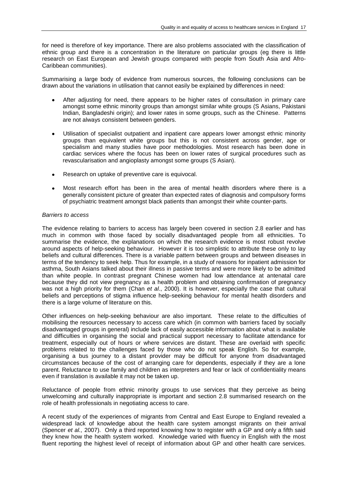for need is therefore of key importance. There are also problems associated with the classification of ethnic group and there is a concentration in the literature on particular groups (eg there is little research on East European and Jewish groups compared with people from South Asia and Afro-Caribbean communities).

Summarising a large body of evidence from numerous sources, the following conclusions can be drawn about the variations in utilisation that cannot easily be explained by differences in need:

- After adjusting for need, there appears to be higher rates of consultation in primary care amongst some ethnic minority groups than amongst similar white groups (S Asians, Pakistani Indian, Bangladeshi origin); and lower rates in some groups, such as the Chinese. Patterns are not always consistent between genders.
- Utilisation of specialist outpatient and inpatient care appears lower amongst ethnic minority groups than equivalent white groups but this is not consistent across gender, age or specialism and many studies have poor methodologies. Most research has been done in cardiac services where the focus has been on lower rates of surgical procedures such as revascularisation and angioplasty amongst some groups (S Asian).
- Research on uptake of preventive care is equivocal.
- Most research effort has been in the area of mental health disorders where there is a generally consistent picture of greater than expected rates of diagnosis and compulsory forms of psychiatric treatment amongst black patients than amongst their white counter-parts.

#### *Barriers to access*

The evidence relating to barriers to access has largely been covered in section 2.8 earlier and has much in common with those faced by socially disadvantaged people from all ethnicities. To summarise the evidence, the explanations on which the research evidence is most robust revolve around aspects of help-seeking behaviour. However it is too simplistic to attribute these only to lay beliefs and cultural differences. There is a variable pattern between groups and between diseases in terms of the tendency to seek help. Thus for example, in a study of reasons for inpatient admission for asthma, South Asians talked about their illness in passive terms and were more likely to be admitted than white people. In contrast pregnant Chinese women had low attendance at antenatal care because they did not view pregnancy as a health problem and obtaining confirmation of pregnancy was not a high priority for them (Chan *et al.*, 2000). It is however, especially the case that cultural beliefs and perceptions of stigma influence help-seeking behaviour for mental health disorders and there is a large volume of literature on this.

Other influences on help-seeking behaviour are also important. These relate to the difficulties of mobilising the resources necessary to access care which (in common with barriers faced by socially disadvantaged groups in general) include lack of easily accessible information about what is available and difficulties in organising the social and practical support necessary to facilitate attendance for treatment, especially out of hours or where services are distant. These are overlaid with specific problems related to the challenges faced by those who do not speak English. So for example, organising a bus journey to a distant provider may be difficult for anyone from disadvantaged circumstances because of the cost of arranging care for dependents, especially if they are a lone parent. Reluctance to use family and children as interpreters and fear or lack of confidentiality means even if translation is available it may not be taken up.

Reluctance of people from ethnic minority groups to use services that they perceive as being unwelcoming and culturally inappropriate is important and section 2.8 summarised research on the role of health professionals in negotiating access to care.

A recent study of the experiences of migrants from Central and East Europe to England revealed a widespread lack of knowledge about the health care system amongst migrants on their arrival (Spencer *et al.,* 2007). Only a third reported knowing how to register with a GP and only a fifth said they knew how the health system worked. Knowledge varied with fluency in English with the most fluent reporting the highest level of receipt of information about GP and other health care services.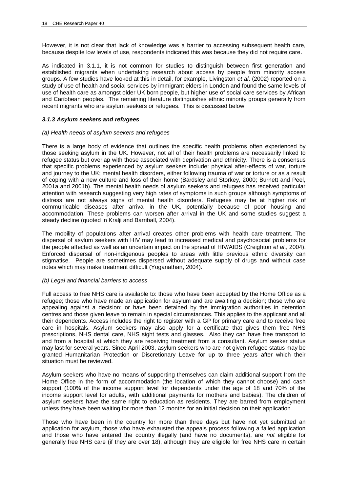However, it is not clear that lack of knowledge was a barrier to accessing subsequent health care, because despite low levels of use, respondents indicated this was because they did not require care.

As indicated in 3.1.1, it is not common for studies to distinguish between first generation and established migrants when undertaking research about access by people from minority access groups. A few studies have looked at this in detail, for example, Livingston *et al*. (2002) reported on a study of use of health and social services by immigrant elders in London and found the same levels of use of health care as amongst older UK born people, but higher use of social care services by African and Caribbean peoples. The remaining literature distinguishes ethnic minority groups generally from recent migrants who are asylum seekers or refugees. This is discussed below.

#### *3.1.3 Asylum seekers and refugees*

#### *(a) Health needs of asylum seekers and refugees*

There is a large body of evidence that outlines the specific health problems often experienced by those seeking asylum in the UK. However, not all of their health problems are necessarily linked to refugee status but overlap with those associated with deprivation and ethnicity. There is a consensus that specific problems experienced by asylum seekers include: physical after-effects of war, torture and journey to the UK; mental health disorders, either following trauma of war or torture or as a result of coping with a new culture and loss of their home (Bardsley and Storkey, 2000; Burnett and Peel, 2001a and 2001b). The mental health needs of asylum seekers and refugees has received particular attention with research suggesting very high rates of symptoms in such groups although symptoms of distress are not always signs of mental health disorders. Refugees may be at higher risk of communicable diseases after arrival in the UK, potentially because of poor housing and accommodation. These problems can worsen after arrival in the UK and some studies suggest a steady decline (quoted in Kralji and Barriball, 2004).

The mobility of populations after arrival creates other problems with health care treatment. The dispersal of asylum seekers with HIV may lead to increased medical and psychosocial problems for the people affected as well as an uncertain impact on the spread of HIV/AIDS (Creighton *et al*., 2004). Enforced dispersal of non-indigenous peoples to areas with little previous ethnic diversity can stigmatise. People are sometimes dispersed without adequate supply of drugs and without case notes which may make treatment difficult (Yoganathan, 2004).

#### *(b) Legal and financial barriers to access*

Full access to free NHS care is available to: those who have been accepted by the Home Office as a refugee; those who have made an application for asylum and are awaiting a decision; those who are appealing against a decision; or have been detained by the immigration authorities in detention centres and those given leave to remain in special circumstances. This applies to the applicant and all their dependents. Access includes the right to register with a GP for primary care and to receive free care in hospitals. Asylum seekers may also apply for a certificate that gives them free NHS prescriptions, NHS dental care, NHS sight tests and glasses. Also they can have free transport to and from a hospital at which they are receiving treatment from a consultant. Asylum seeker status may last for several years. Since April 2003, asylum seekers who are not given refugee status may be granted Humanitarian Protection or Discretionary Leave for up to three years after which their situation must be reviewed.

Asylum seekers who have no means of supporting themselves can claim additional support from the Home Office in the form of accommodation (the location of which they cannot choose) and cash support (100% of the income support level for dependents under the age of 18 and 70% of the income support level for adults, with additional payments for mothers and babies). The children of asylum seekers have the same right to education as residents. They are barred from employment unless they have been waiting for more than 12 months for an initial decision on their application.

Those who have been in the country for more than three days but have not yet submitted an application for asylum, those who have exhausted the appeals process following a failed application and those who have entered the country illegally (and have no documents), are *not* eligible for generally free NHS care (if they are over 18), although they are eligible for free NHS care in certain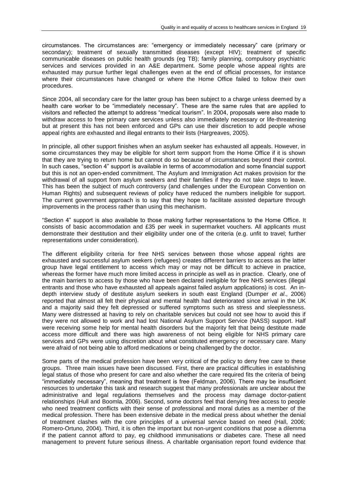circumstances. The circumstances are: "emergency or immediately necessary" care (primary or secondary); treatment of sexually transmitted diseases (except HIV); treatment of specific communicable diseases on public health grounds (eg TB); family planning, compulsory psychiatric services and services provided in an A&E department. Some people whose appeal rights are exhausted may pursue further legal challenges even at the end of official processes, for instance where their circumstances have changed or where the Home Office failed to follow their own procedures.

Since 2004, all secondary care for the latter group has been subject to a charge unless deemed by a health care worker to be "immediately necessary". These are the same rules that are applied to visitors and reflected the attempt to address "medical tourism". In 2004, proposals were also made to withdraw access to free primary care services unless also immediately necessary or life-threatening but at present this has not been enforced and GPs can use their discretion to add people whose appeal rights are exhausted and illegal entrants to their lists (Hargreaves, 2005).

In principle, all other support finishes when an asylum seeker has exhausted all appeals. However, in some circumstances they may be eligible for short term support from the Home Office if it is shown that they are trying to return home but cannot do so because of circumstances beyond their control. In such cases, "section 4" support is available in terms of accommodation and some financial support but this is not an open-ended commitment. The Asylum and Immigration Act makes provision for the withdrawal of all support from asylum seekers and their families if they do not take steps to leave. This has been the subject of much controversy (and challenges under the European Convention on Human Rights) and subsequent reviews of policy have reduced the numbers ineligible for support. The current government approach is to say that they hope to facilitate assisted departure through improvements in the process rather than using this mechanism.

"Section 4" support is also available to those making further representations to the Home Office. It consists of basic accommodation and £35 per week in supermarket vouchers. All applicants must demonstrate their destitution and their eligibility under one of the criteria (e.g. unfit to travel; further representations under consideration).

The different eligibility criteria for free NHS services between those whose appeal rights are exhausted and successful asylum seekers (refugees) creates different barriers to access as the latter group have legal entitlement to access which may or may not be difficult to achieve in practice, whereas the former have much more limited access in principle as well as in practice. Clearly, one of the main barriers to access by those who have been declared ineligible for free NHS services (illegal entrants and those who have exhausted all appeals against failed asylum applications) is cost. An indepth interview study of destitute asylum seekers in south east England (Dumper *et al*., 2006) reported that almost all felt their physical and mental health had deteriorated since arrival in the UK and a majority said they felt depressed or suffered symptoms such as stress and sleeplessness. Many were distressed at having to rely on charitable services but could not see how to avoid this if they were not allowed to work and had lost National Asylum Support Service (NASS) support. Half were receiving some help for mental health disorders but the majority felt that being destitute made access more difficult and there was high awareness of not being eligible for NHS primary care services and GPs were using discretion about what constituted emergency or necessary care. Many were afraid of not being able to afford medications or being challenged by the doctor.

Some parts of the medical profession have been very critical of the policy to deny free care to these groups. Three main issues have been discussed. First, there are practical difficulties in establishing legal status of those who present for care and also whether the care required fits the criteria of being "immediately necessary", meaning that treatment is free (Feldman, 2006). There may be insufficient resources to undertake this task and research suggest that many professionals are unclear about the administrative and legal regulations themselves and the process may damage doctor-patient relationships (Hull and Boomla, 2006). Second, some doctors feel that denying free access to people who need treatment conflicts with their sense of professional and moral duties as a member of the medical profession. There has been extensive debate in the medical press about whether the denial of treatment clashes with the core principles of a universal service based on need (Hall, 2006; Romero-Ortuno, 2004). Third, it is often the important but non-urgent conditions that pose a dilemma if the patient cannot afford to pay, eg childhood immunisations or diabetes care. These all need management to prevent future serious illness. A charitable organisation report found evidence that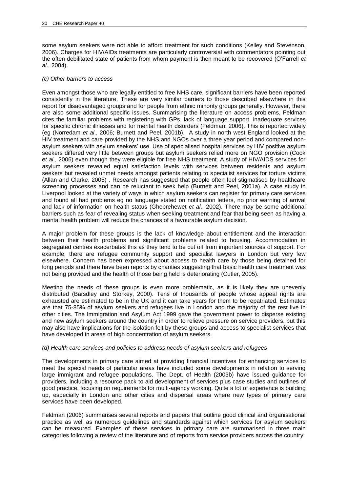some asylum seekers were not able to afford treatment for such conditions (Kelley and Stevenson, 2006). Charges for HIV/AIDs treatments are particularly controversial with commentators pointing out the often debilitated state of patients from whom payment is then meant to be recovered (O"Farrell *et al*., 2004).

#### *(c) Other barriers to access*

Even amongst those who are legally entitled to free NHS care, significant barriers have been reported consistently in the literature. These are very similar barriers to those described elsewhere in this report for disadvantaged groups and for people from ethnic minority groups generally. However, there are also some additional specific issues. Summarising the literature on access problems, Feldman cites the familiar problems with registering with GPs, lack of language support, inadequate services for specific chronic illnesses and for mental health disorders (Feldman, 2006). This is reported widely (eg (Norredam *et al*., 2006; Burnett and Peel, 2001b). A study in north west England looked at the HIV treatment and care provided by the NHS and NGOs over a three year period and compared nonasylum seekers with asylum seekers' use. Use of specialised hospital services by HIV positive asylum seekers differed very little between groups but asylum seekers relied more on NGO provision (Cook *et al*., 2006) even though they were eligible for free NHS treatment. A study of HIV/AIDS services for asylum seekers revealed equal satisfaction levels with services between residents and asylum seekers but revealed unmet needs amongst patients relating to specialist services for torture victims (Allan and Clarke, 2005) . Research has suggested that people often feel stigmatised by healthcare screening processes and can be reluctant to seek help (Burnett and Peel, 2001a). A case study in Liverpool looked at the variety of ways in which asylum seekers can register for primary care services and found all had problems eg no language stated on notification letters, no prior warning of arrival and lack of information on health status (Ghebrehewet *et al*., 2002). There may be some additional barriers such as fear of revealing status when seeking treatment and fear that being seen as having a mental health problem will reduce the chances of a favourable asylum decision.

A major problem for these groups is the lack of knowledge about entitlement and the interaction between their health problems and significant problems related to housing. Accommodation in segregated centres exacerbates this as they tend to be cut off from important sources of support. For example, there are refugee community support and specialist lawyers in London but very few elsewhere. Concern has been expressed about access to health care by those being detained for long periods and there have been reports by charities suggesting that basic health care treatment was not being provided and the health of those being held is deteriorating (Cutler, 2005).

Meeting the needs of these groups is even more problematic, as it is likely they are unevenly distributed (Barsdley and Storkey, 2000). Tens of thousands of people whose appeal rights are exhausted are estimated to be in the UK and it can take years for them to be repatriated. Estimates are that 75-85% of asylum seekers and refugees live in London and the majority of the rest live in other cities. The Immigration and Asylum Act 1999 gave the government power to disperse existing and new asylum seekers around the country in order to relieve pressure on service providers, but this may also have implications for the isolation felt by these groups and access to specialist services that have developed in areas of high concentration of asylum seekers.

#### *(d) Health care services and policies to address needs of asylum seekers and refugees*

The developments in primary care aimed at providing financial incentives for enhancing services to meet the special needs of particular areas have included some developments in relation to serving large immigrant and refugee populations. The Dept. of Health (2003b) have issued guidance for providers, including a resource pack to aid development of services plus case studies and outlines of good practice, focusing on requirements for multi-agency working. Quite a lot of experience is building up, especially in London and other cities and dispersal areas where new types of primary care services have been developed.

Feldman (2006) summarises several reports and papers that outline good clinical and organisational practice as well as numerous guidelines and standards against which services for asylum seekers can be measured. Examples of these services in primary care are summarised in three main categories following a review of the literature and of reports from service providers across the country: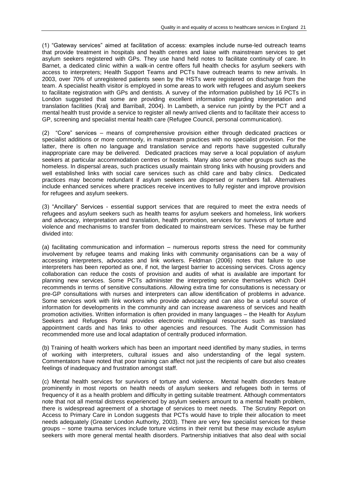(1) "Gateway services" aimed at facilitation of access: examples include nurse-led outreach teams that provide treatment in hospitals and health centres and liaise with mainstream services to get asylum seekers registered with GPs. They use hand held notes to facilitate continuity of care. In Barnet, a dedicated clinic within a walk-in centre offers full health checks for asylum seekers with access to interpreters; Health Support Teams and PCTs have outreach teams to new arrivals. In 2003, over 70% of unregistered patients seen by the HSTs were registered on discharge from the team. A specialist health visitor is employed in some areas to work with refugees and asylum seekers to facilitate registration with GPs and dentists. A survey of the information published by 16 PCTs in London suggested that some are providing excellent information regarding interpretation and translation facilities (Kralj and Barriball, 2004). In Lambeth, a service run jointly by the PCT and a mental health trust provide a service to register all newly arrived clients and to facilitate their access to GP, screening and specialist mental health care (Refugee Council, personal communication).

(2) "Core" services – means of comprehensive provision either through dedicated practices or specialist additions or more commonly, in mainstream practices with no specialist provision. For the latter, there is often no language and translation service and reports have suggested culturally inappropriate care may be delivered. Dedicated practices may serve a local population of asylum seekers at particular accommodation centres or hostels. Many also serve other groups such as the homeless. In dispersal areas, such practices usually maintain strong links with housing providers and well established links with social care services such as child care and baby clinics. Dedicated practices may become redundant if asylum seekers are dispersed or numbers fall. Alternatives include enhanced services where practices receive incentives to fully register and improve provision for refugees and asylum seekers.

(3) "Ancillary" Services - essential support services that are required to meet the extra needs of refugees and asylum seekers such as health teams for asylum seekers and homeless, link workers and advocacy, interpretation and translation, health promotion, services for survivors of torture and violence and mechanisms to transfer from dedicated to mainstream services. These may be further divided into:

(a) facilitating communication and information – numerous reports stress the need for community involvement by refugee teams and making links with community organisations can be a way of accessing interpreters, advocates and link workers. Feldman (2006) notes that failure to use interpreters has been reported as one, if not, the largest barrier to accessing services. Cross agency collaboration can reduce the costs of provision and audits of what is available are important for planning new services. Some PCTs administer the interpreting service themselves which DoH recommends in terms of sensitive consultations. Allowing extra time for consultations is necessary or pre-GP consultations with nurses and interpreters can allow identification of problems in advance. Some services work with link workers who provide advocacy and can also be a useful source of information for developments in the community and can increase awareness of services and health promotion activities. Written information is often provided in many languages – the Health for Asylum Seekers and Refugees Portal provides electronic multilingual resources such as translated appointment cards and has links to other agencies and resources. The Audit Commission has recommended more use and local adaptation of centrally produced information.

(b) Training of health workers which has been an important need identified by many studies, in terms of working with interpreters, cultural issues and also understanding of the legal system. Commentators have noted that poor training can affect not just the recipients of care but also creates feelings of inadequacy and frustration amongst staff.

(c) Mental health services for survivors of torture and violence. Mental health disorders feature prominently in most reports on health needs of asylum seekers and refugees both in terms of frequency of it as a health problem and difficulty in getting suitable treatment. Although commentators note that not all mental distress experienced by asylum seekers amount to a mental health problem, there is widespread agreement of a shortage of services to meet needs. The Scrutiny Report on Access to Primary Care in London suggests that PCTs would have to triple their allocation to meet needs adequately (Greater London Authority, 2003). There are very few specialist services for these groups – some trauma services include torture victims in their remit but these may exclude asylum seekers with more general mental health disorders. Partnership initiatives that also deal with social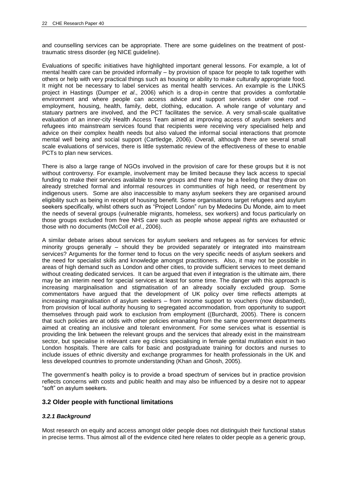and counselling services can be appropriate. There are some guidelines on the treatment of posttraumatic stress disorder (eg NICE guideline).

Evaluations of specific initiatives have highlighted important general lessons. For example, a lot of mental health care can be provided informally – by provision of space for people to talk together with others or help with very practical things such as housing or ability to make culturally appropriate food. It might not be necessary to label services as mental health services. An example is the LINKS project in Hastings (Dumper *et al*., 2006) which is a drop-in centre that provides a comfortable environment and where people can access advice and support services under one roof – employment, housing, health, family, debt, clothing, education. A whole range of voluntary and statuary partners are involved, and the PCT facilitates the service. A very small-scale qualitative evaluation of an inner-city Health Access Team aimed at improving access of asylum seekers and refugees into mainstream services found that recipients were receiving very specialised help and advice on their complex health needs but also valued the informal social interactions that promote mental well being and social support (Cartledge, 2006). Overall, although there are several small scale evaluations of services, there is little systematic review of the effectiveness of these to enable PCTs to plan new services.

There is also a large range of NGOs involved in the provision of care for these groups but it is not without controversy. For example, involvement may be limited because they lack access to special funding to make their services available to new groups and there may be a feeling that they draw on already stretched formal and informal resources in communities of high need, or resentment by indigenous users. Some are also inaccessible to many asylum seekers they are organised around eligibility such as being in receipt of housing benefit. Some organisations target refugees and asylum seekers specifically, whilst others such as "Project London" run by Medecins Du Monde, aim to meet the needs of several groups (vulnerable migrants, homeless, sex workers) and focus particularly on those groups excluded from free NHS care such as people whose appeal rights are exhausted or those with no documents (McColl *et al*., 2006).

A similar debate arises about services for asylum seekers and refugees as for services for ethnic minority groups generally – should they be provided separately or integrated into mainstream services? Arguments for the former tend to focus on the very specific needs of asylum seekers and the need for specialist skills and knowledge amongst practitioners. Also, it may not be possible in areas of high demand such as London and other cities, to provide sufficient services to meet demand without creating dedicated services. It can be argued that even if integration is the ultimate aim, there may be an interim need for special services at least for some time. The danger with this approach is increasing marginalisation and stigmatisation of an already socially excluded group. Some commentators have argued that the development of UK policy over time reflects attempts at increasing marginalisation of asylum seekers – from income support to vouchers (now disbanded), from provision of local authority housing to segregated accommodation, from opportunity to support themselves through paid work to exclusion from employment ((Burchardt, 2005). There is concern that such policies are at odds with other policies emanating from the same government departments aimed at creating an inclusive and tolerant environment. For some services what is essential is providing the link between the relevant groups and the services that already exist in the mainstream sector, but specialise in relevant care eg clinics specialising in female genital mutilation exist in two London hospitals. There are calls for basic and postgraduate training for doctors and nurses to include issues of ethnic diversity and exchange programmes for health professionals in the UK and less developed countries to promote understanding (Khan and Ghosh, 2005).

The government's health policy is to provide a broad spectrum of services but in practice provision reflects concerns with costs and public health and may also be influenced by a desire not to appear "soft" on asylum seekers.

## **3.2 Older people with functional limitations**

#### *3.2.1 Background*

Most research on equity and access amongst older people does not distinguish their functional status in precise terms. Thus almost all of the evidence cited here relates to older people as a generic group,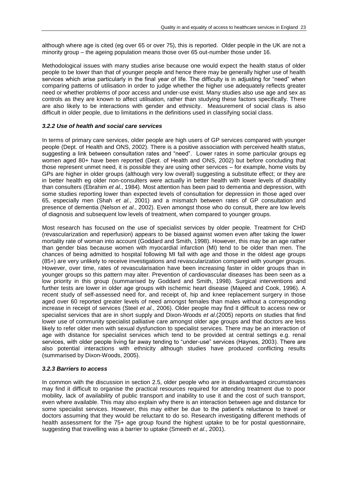although where age is cited (eg over 65 or over 75), this is reported. Older people in the UK are not a minority group – the ageing population means those over 65 out-number those under 16.

Methodological issues with many studies arise because one would expect the health status of older people to be lower than that of younger people and hence there may be generally higher use of health services which arise particularly in the final year of life. The difficulty is in adjusting for "need" when comparing patterns of utilisation in order to judge whether the higher use adequately reflects greater need or whether problems of poor access and under-use exist. Many studies also use age and sex as controls as they are known to affect utilisation, rather than studying these factors specifically. There are also likely to be interactions with gender and ethnicity. Measurement of social class is also difficult in older people, due to limitations in the definitions used in classifying social class.

#### *3.2.2 Use of health and social care services*

In terms of primary care services, older people are high users of GP services compared with younger people (Dept. of Health and ONS, 2002). There is a positive association with perceived health status, suggesting a link between consultation rates and "need". Lower rates in some particular groups eg women aged 80+ have been reported (Dept. of Health and ONS, 2002) but before concluding that those represent unmet need, it is possible they are using other services – for example, home visits by GPs are higher in older groups (although very low overall) suggesting a substitute effect; or they are in better health eg older non-consulters were actually in better health with lower levels of disability than consulters (Ebrahim *et al*., 1984). Most attention has been paid to dementia and depression, with some studies reporting lower than expected levels of consultation for depression in those aged over 65, especially men (Shah *et al*., 2001) and a mismatch between rates of GP consultation and presence of dementia (Nelson *et al*., 2002). Even amongst those who do consult, there are low levels of diagnosis and subsequent low levels of treatment, when compared to younger groups.

Most research has focused on the use of specialist services by older people. Treatment for CHD (revascularization and reperfusion) appears to be biased against women even after taking the lower mortality rate of woman into account (Goddard and Smith, 1998). However, this may be an age rather than gender bias because women with myocardial infarction (MI) tend to be older than men. The chances of being admitted to hospital following MI fall with age and those in the oldest age groups (85+) are very unlikely to receive investigations and revascularization compared with younger groups. However, over time, rates of revascularisation have been increasing faster in older groups than in younger groups so this pattern may alter. Prevention of cardiovascular diseases has been seen as a low priority in this group (summarised by Goddard and Smith, 1998). Surgical interventions and further tests are lower in older age groups with ischemic heart disease (Majeed and Cook, 1996). A recent study of self-assessed need for, and receipt of, hip and knee replacement surgery in those aged over 60 reported greater levels of need amongst females than males without a corresponding increase in receipt of services (Steel *et al*., 2006). Older people may find it difficult to access new or specialist services that are in short supply and Dixon-Woods *et al*.(2005) reports on studies that find lower use of community specialist palliative care amongst older age groups and that doctors are less likely to refer older men with sexual dysfunction to specialist services. There may be an interaction of age with distance for specialist services which tend to be provided at central settings e.g. renal services, with older people living far away tending to "under-use" services (Haynes, 2003). There are also potential interactions with ethnicity although studies have produced conflicting results (summarised by Dixon-Woods, 2005).

#### *3.2.3 Barriers to access*

In common with the discussion in section 2.5, older people who are in disadvantaged circumstances may find it difficult to organise the practical resources required for attending treatment due to poor mobility, lack of availability of public transport and inability to use it and the cost of such transport, even where available. This may also explain why there is an interaction between age and distance for some specialist services. However, this may either be due to the patient"s reluctance to travel or doctors assuming that they would be reluctant to do so. Research investigating different methods of health assessment for the 75+ age group found the highest uptake to be for postal questionnaire, suggesting that travelling was a barrier to uptake (Smeeth *et al*., 2001).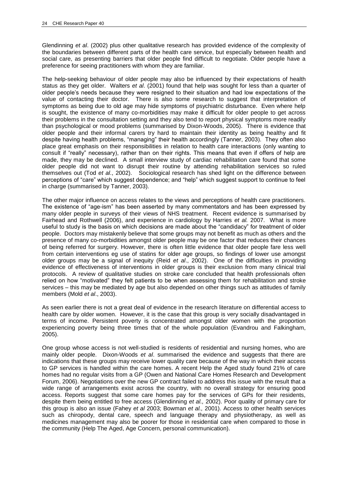Glendinning *et al*. (2002) plus other qualitative research has provided evidence of the complexity of the boundaries between different parts of the health care service, but especially between health and social care, as presenting barriers that older people find difficult to negotiate. Older people have a preference for seeing practitioners with whom they are familiar.

The help-seeking behaviour of older people may also be influenced by their expectations of health status as they get older. Walters *et al*. (2001) found that help was sought for less than a quarter of older people"s needs because they were resigned to their situation and had low expectations of the value of contacting their doctor. There is also some research to suggest that interpretation of symptoms as being due to old age may hide symptoms of psychiatric disturbance. Even where help is sought, the existence of many co-morbidities may make it difficult for older people to get across their problems in the consultation setting and they also tend to report physical symptoms more readily than psychological or mood problems (summarised by Dixon-Woods, 2005). There is evidence that older people and their informal carers try hard to maintain their identity as being healthy and fit despite having health problems, "managing" their health accordingly (Tanner, 2003). They often also place great emphasis on their responsibilities in relation to health care interactions (only wanting to consult if "really" necessary), rather than on their rights. This means that even if offers of help are made, they may be declined. A small interview study of cardiac rehabilitation care found that some older people did not want to disrupt their routine by attending rehabilitation services so ruled themselves out (Tod *et al*., 2002). Sociological research has shed light on the difference between perceptions of "care" which suggest dependence; and "help" which suggest support to continue to feel in charge (summarised by Tanner, 2003).

The other major influence on access relates to the views and perceptions of health care practitioners. The existence of "age-ism" has been asserted by many commentators and has been expressed by many older people in surveys of their views of NHS treatment. Recent evidence is summarised by Fairhead and Rothwell (2006), and experience in cardiology by Harries *et al.* 2007. What is more useful to study is the basis on which decisions are made about the "candidacy" for treatment of older people. Doctors may mistakenly believe that some groups may not benefit as much as others and the presence of many co-morbidities amongst older people may be one factor that reduces their chances of being referred for surgery. However, there is often little evidence that older people fare less well from certain interventions eg use of statins for older age groups, so findings of lower use amongst older groups may be a signal of inequity (Reid *et al*., 2002). One of the difficulties in providing evidence of effectiveness of interventions in older groups is their exclusion from many clinical trial protocols. A review of qualitative studies on stroke care concluded that health professionals often relied on how "motivated" they felt patients to be when assessing them for rehabilitation and stroke services – this may be mediated by age but also depended on other things such as attitudes of family members (Mold *et al*., 2003).

As seen earlier there is not a great deal of evidence in the research literature on differential access to health care by older women. However, it is the case that this group is very socially disadvantaged in terms of income. Persistent poverty is concentrated amongst older women with the proportion experiencing poverty being three times that of the whole population (Evandrou and Falkingham, 2005).

One group whose access is not well-studied is residents of residential and nursing homes, who are mainly older people. Dixon-Woods *et al*. summarised the evidence and suggests that there are indications that these groups may receive lower quality care because of the way in which their access to GP services is handled within the care homes. A recent Help the Aged study found 21% of care homes had no regular visits from a GP (Owen and National Care Homes Research and Development Forum, 2006). Negotiations over the new GP contract failed to address this issue with the result that a wide range of arrangements exist across the country, with no overall strategy for ensuring good access. Reports suggest that some care homes pay for the services of GPs for their residents, despite them being entitled to free access (Glendinning *et al.,* 2002). Poor quality of primary care for this group is also an issue (Fahey *et al* 2003; Bowman *et al.,* 2001). Access to other health services such as chiropody, dental care, speech and language therapy and physiotherapy, as well as medicines management may also be poorer for those in residential care when compared to those in the community (Help The Aged, Age Concern, personal communication).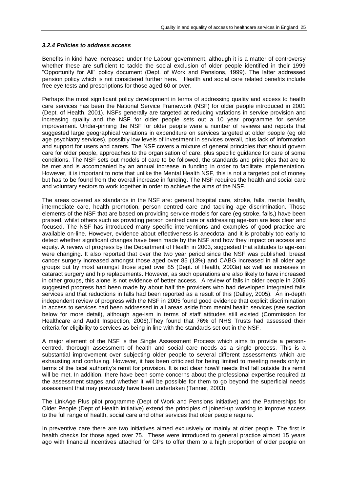#### *3.2.4 Policies to address access*

Benefits in kind have increased under the Labour government, although it is a matter of controversy whether these are sufficient to tackle the social exclusion of older people identified in their 1999 "Opportunity for All" policy document (Dept. of Work and Pensions, 1999). The latter addressed pension policy which is not considered further here. Health and social care related benefits include free eye tests and prescriptions for those aged 60 or over.

Perhaps the most significant policy development in terms of addressing quality and access to health care services has been the National Service Framework (NSF) for older people introduced in 2001 (Dept. of Health, 2001). NSFs generally are targeted at reducing variations in service provision and increasing quality and the NSF for older people sets out a 10 year programme for service improvement. Under-pinning the NSF for older people were a number of reviews and reports that suggested large geographical variations in expenditure on services targeted at older people (eg old age psychiatry services), possibly low levels of investment in services overall, plus lack of information and support for users and carers. The NSF covers a mixture of general principles that should govern care for older people, approaches to the organisation of care, plus specific guidance for care of some conditions. The NSF sets out models of care to be followed, the standards and principles that are to be met and is accompanied by an annual increase in funding in order to facilitate implementation. However, it is important to note that unlike the Mental Health NSF, this is not a targeted pot of money but has to be found from the overall increase in funding. The NSF requires the health and social care and voluntary sectors to work together in order to achieve the aims of the NSF.

The areas covered as standards in the NSF are: general hospital care, stroke, falls, mental health, intermediate care, health promotion, person centred care and tackling age discrimination. Those elements of the NSF that are based on providing service models for care (eg stroke, falls,) have been praised, whilst others such as providing person centred care or addressing age-ism are less clear and focused. The NSF has introduced many specific interventions and examples of good practice are available on-line. However, evidence about effectiveness is anecdotal and it is probably too early to detect whether significant changes have been made by the NSF and how they impact on access and equity. A review of progress by the Department of Health in 2003, suggested that attitudes to age-ism were changing. It also reported that over the two year period since the NSF was published, breast cancer surgery increased amongst those aged over 85 (13%) and CABG increased in all older age groups but by most amongst those aged over 85 (Dept. of Health, 2003a) as well as increases in cataract surgery and hip replacements. However, as such operations are also likely to have increased in other groups, this alone is not evidence of better access. A review of falls in older people in 2005 suggested progress had been made by about half the providers who had developed integrated falls services and that reductions in falls had been reported as a result of this (Dalley, 2005). An in-depth independent review of progress with the NSF in 2005 found good evidence that explicit discrimination in access to services had been addressed in all areas aside from mental health services (see section below for more detail), although age-ism in terms of staff attitudes still existed (Commission for Healthcare and Audit Inspection, 2006).They found that 76% of NHS Trusts had assessed their criteria for eligibility to services as being in line with the standards set out in the NSF.

A major element of the NSF is the Single Assessment Process which aims to provide a personcentred, thorough assessment of health and social care needs as a single process. This is a substantial improvement over subjecting older people to several different assessments which are exhausting and confusing. However, it has been criticized for being limited to meeting needs only in terms of the local authority"s remit for provision. It is not clear how/if needs that fall outside this remit will be met. In addition, there have been some concerns about the professional expertise required at the assessment stages and whether it will be possible for them to go beyond the superficial needs assessment that may previously have been undertaken (Tanner, 2003).

The LinkAge Plus pilot programme (Dept of Work and Pensions initiative) and the Partnerships for Older People (Dept of Health initiative) extend the principles of joined-up working to improve access to the full range of health, social care and other services that older people require.

In preventive care there are two initiatives aimed exclusively or mainly at older people. The first is health checks for those aged over 75. These were introduced to general practice almost 15 years ago with financial incentives attached for GPs to offer them to a high proportion of older people on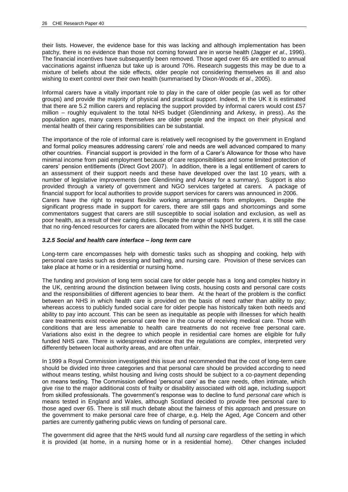their lists. However, the evidence base for this was lacking and although implementation has been patchy, there is no evidence than those not coming forward are in worse health (Jagger *et al*., 1996). The financial incentives have subsequently been removed. Those aged over 65 are entitled to annual vaccinations against influenza but take up is around 70%. Research suggests this may be due to a mixture of beliefs about the side effects, older people not considering themselves as ill and also wishing to exert control over their own health (summarised by Dixon-Woods *et al*., 2005).

Informal carers have a vitally important role to play in the care of older people (as well as for other groups) and provide the majority of physical and practical support. Indeed, in the UK it is estimated that there are 5.2 million carers and replacing the support provided by informal carers would cost £57 million – roughly equivalent to the total NHS budget (Glendinning and Arkesy, in press). As the population ages, many carers themselves are older people and the impact on their physical and mental health of their caring responsibilities can be substantial.

The importance of the role of informal care is relatively well recognised by the government in England and formal policy measures addressing carers" role and needs are well advanced compared to many other countries. Financial support is provided in the form of a Carer"s Allowance for those who have minimal income from paid employment because of care responsibilities and some limited protection of carers" pension entitlements (Direct Govt 2007). In addition, there is a legal entitlement of carers to an assessment of their support needs and these have developed over the last 10 years, with a number of legislative improvements (see Glendinning and Arksey for a summary). Support is also provided through a variety of government and NGO services targeted at carers. A package of financial support for local authorities to provide support services for carers was announced in 2006. Carers have the right to request flexible working arrangements from employers. Despite the significant progress made in support for carers, there are still gaps and shortcomings and some commentators suggest that carers are still susceptible to social isolation and exclusion, as well as poor health, as a result of their caring duties. Despite the range of support for carers, it is still the case that no ring-fenced resources for carers are allocated from within the NHS budget.

#### *3.2.5 Social and health care interface – long term care*

Long-term care encompasses help with domestic tasks such as shopping and cooking, help with personal care tasks such as dressing and bathing, and nursing care. Provision of these services can take place at home or in a residential or nursing home.

The funding and provision of long term social care for older people has a long and complex history in the UK, centring around the distinction between living costs, housing costs and personal care costs and the responsibilities of different agencies to bear them. At the heart of the problem is the conflict between an NHS in which health care is provided on the basis of need rather than ability to pay; whereas access to publicly funded social care for older people has historically taken both needs and ability to pay into account. This can be seen as inequitable as people with illnesses for which health care treatments exist receive personal care free in the course of receiving medical care. Those with conditions that are less amenable to health care treatments do not receive free personal care. Variations also exist in the degree to which people in residential care homes are eligible for fully funded NHS care. There is widespread evidence that the regulations are complex, interpreted very differently between local authority areas, and are often unfair.

In 1999 a Royal Commission investigated this issue and recommended that the cost of long-term care should be divided into three categories and that personal care should be provided according to need without means testing, whilst housing and living costs should be subject to a co-payment depending on means testing. The Commission defined "personal care" as the care needs, often intimate, which give rise to the major additional costs of frailty or disability associated with old age, including support from skilled professionals. The government"s response was to decline to fund *personal care* which is means tested in England and Wales, although Scotland decided to provide free personal care to those aged over 65. There is still much debate about the fairness of this approach and pressure on the government to make personal care free of charge, e.g. Help the Aged, Age Concern and other parties are currently gathering public views on funding of personal care.

The government did agree that the NHS would fund all *nursing care* regardless of the setting in which it is provided (at home, in a nursing home or in a residential home). Other changes included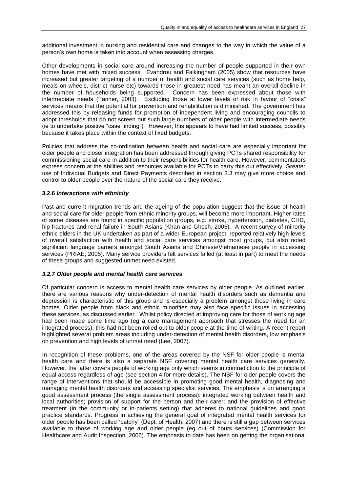additional investment in nursing and residential care and changes to the way in which the value of a person"s own home is taken into account when assessing charges.

Other developments in social care around increasing the number of people supported in their own homes have met with mixed success. Evandrou and Falkingham (2005) show that resources have increased but greater targeting of a number of health and social care services (such as home help, meals on wheels, district nurse etc) towards those in greatest need has meant an overall decline in the number of households being supported. Concern has been expressed about those with intermediate needs (Tanner, 2003). Excluding those at lower levels of risk in favour of "crisis" services means that the potential for prevention and rehabilitation is diminished. The government has addressed this by releasing funds for promotion of independent living and encouraging councils to adopt thresholds that do not screen out such large numbers of older people with intermediate needs (ie to undertake positive "case finding"). However, this appears to have had limited success, possibly because it takes place within the context of fixed budgets.

Policies that address the co-ordination between health and social care are especially important for older people and closer integration has been addressed through giving PCTs shared responsibility for commissioning social care in addition to their responsibilities for health care. However, commentators express concern at the abilities and resources available for PCTs to carry this out effectively. Greater use of Individual Budgets and Direct Payments described in section 3.3 may give more choice and control to older people over the nature of the social care they receive.

#### **3.2.6** *Interactions with ethnicity*

Past and current migration trends and the ageing of the population suggest that the issue of health and social care for older people from ethnic minority groups, will become more important. Higher rates of some diseases are found in specific population groups, e.g. stroke, hypertension, diabetes, CHD, hip fractures and renal failure in South Asians (Khan and Ghosh, 2005). A recent survey of minority ethnic elders in the UK undertaken as part of a wider European project, reported relatively high levels of overall satisfaction with health and social care services amongst most groups, but also noted significant language barriers amongst South Asians and Chinese/Vietnamese people in accessing services (PRIAE, 2005). Many service providers felt services failed (at least in part) to meet the needs of these groups and suggested unmet need existed.

#### *3.2.7 Older people and mental health care services*

Of particular concern is access to mental health care services by older people. As outlined earlier, there are various reasons why under-detection of mental health disorders such as dementia and depression is characteristic of this group and is especially a problem amongst those living in care homes. Older people from black and ethnic minorities may also face specific issues in accessing these services, as discussed earlier. Whilst policy directed at improving care for those of working age had been made some time ago (eg a care management approach that stresses the need for an integrated process), this had not been rolled out to older people at the time of writing. A recent report highlighted several problem areas including under-detection of mental health disorders, low emphasis on prevention and high levels of unmet need (Lee, 2007).

In recognition of these problems, one of the areas covered by the NSF for older people is mental health care and there is also a separate NSF covering mental health care services generally. However, the latter covers people of working age only which seems in contradiction to the principle of equal access regardless of age (see section 4 for more details). The NSF for older people covers the range of interventions that should be accessible in promoting good mental health, diagnosing and managing mental health disorders and accessing specialist services. The emphasis is on arranging a good assessment process (the single assessment process); integrated working between health and local authorities; provision of support for the person and their carer; and the provision of effective treatment (in the community or in-patients setting) that adheres to national guidelines and good practice standards. Progress in achieving the general goal of integrated mental health services for older people has been called "patchy" (Dept. of Health, 2007) and there is still a gap between services available to those of working age and older people (eg out of hours services) (Commission for Healthcare and Audit Inspection, 2006). The emphasis to date has been on getting the organisational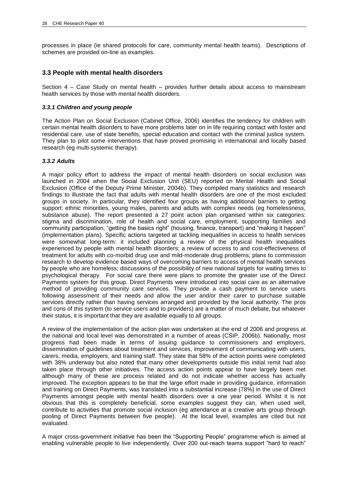processes in place (ie shared protocols for care, community mental health teams). Descriptions of schemes are provided on-line as examples.

## **3.3 People with mental health disorders**

Section 4 – Case Study on mental health – provides further details about access to mainstream health services by those with mental health disorders.

## *3.3.1 Children and young people*

The Action Plan on Social Exclusion (Cabinet Office, 2006) identifies the tendency for children with certain mental health disorders to have more problems later on in life requiring contact with foster and residential care, use of state benefits, special education and contact with the criminal justice system. They plan to pilot some interventions that have proved promising in international and locally based research (eg multi-systemic therapy).

## *3.3.2 Adults*

A major policy effort to address the impact of mental health disorders on social exclusion was launched in 2004 when the Social Exclusion Unit (SEU) reported on Mental Health and Social Exclusion (Office of the Deputy Prime Minister, 2004b). They compiled many statistics and research findings to illustrate the fact that adults with mental health disorders are one of the most excluded groups in society. In particular, they identified four groups as having additional barriers to getting support: ethnic minorities, young males, parents and adults with complex needs (eg homelessness, substance abuse). The report presented a 27 point action plan organised within six categories: stigma and discrimination, role of health and social care, employment, supporting families and community participation, "getting the basics right" (housing, finance, transport) and "making it happen" (implementation plans). Specific actions targeted at tackling inequalities in access to health services were somewhat long-term: it included planning a review of the physical health inequalities experienced by people with mental health disorders; a review of access to and cost-effectiveness of treatment for adults with co-morbid drug use and mild-moderate drug problems; plans to commission research to develop evidence based ways of overcoming barriers to access of mental health services by people who are homeless; discussions of the possibility of new national targets for waiting times to psychological therapy. For social care there were plans to promote the greater use of the Direct Payments system for this group. Direct Payments were introduced into social care as an alternative method of providing community care services. They provide a cash payment to service users following assessment of their needs and allow the user and/or their carer to purchase suitable services directly rather than having services arranged and provided by the local authority. The pros and cons of this system (to service users and to providers) are a matter of much debate, but whatever their status, it is important that they are available equally to all groups.

A review of the implementation of the action plan was undertaken at the end of 2006 and progress at the national and local level was demonstrated in a number of areas (CSIP, 2006b). Nationally, most progress had been made in terms of issuing guidance to commissioners and employers, dissemination of guidelines about treatment and services, improvement of communicating with users, carers, media, employers, and training staff. They state that 58% of the action points were completed with 38% underway but also noted that many other developments outside this initial remit had also taken place through other initiatives. The access action points appear to have largely been met although many of these are process related and do not indicate whether access has actually improved. The exception appears to be that the large effort made in providing guidance, information and training on Direct Payments, was translated into a substantial increase (78%) in the use of Direct Payments amongst people with mental health disorders over a one year period. Whilst it is not obvious that this is completely beneficial, some examples suggest they can, when used well, contribute to activities that promote social inclusion (eg attendance at a creative arts group through pooling of Direct Payments between five people). At the local level, examples are cited but not evaluated.

A major cross-government initiative has been the "Supporting People" programme which is aimed at enabling vulnerable people to live independently. Over 200 out-reach teams support "hard to reach"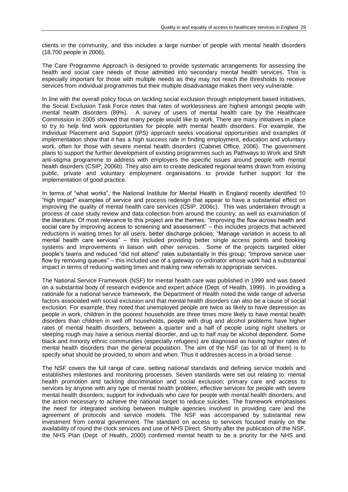clients in the community, and this includes a large number of people with mental health disorders (18,700 people in 2006).

The Care Programme Approach is designed to provide systematic arrangements for assessing the health and social care needs of those admitted into secondary mental health services. This is especially important for those with multiple needs as they may not reach the thresholds to receive services from individual programmes but their multiple disadvantage makes them very vulnerable.

In line with the overall policy focus on tackling social exclusion through employment based initiatives, the Social Exclusion Task Force notes that rates of worklessness are highest amongst people with mental health disorders (89%). A survey of users of mental health care by the Healthcare Commission in 2005 showed that many people would like to work. There are many initiatives in place to try to help find work opportunities for people with mental health disorders. For example, the Individual Placement and Support (IPS) approach seeks vocational opportunities and examples of implementation show that it has a high success rate in finding employment, education and voluntary work, often for those with severe mental health disorders (Cabinet Office, 2006). The government plans to support the further development of existing programmes such as Pathways to Work and Shift anti-stigma programme to address with employers the specific issues around people with mental health disorders (CSIP, 2006b). They also aim to create dedicated regional teams drawn from existing public, private and voluntary employment organisations to provide further support for the implementation of good practice.

In terms of "what works", the National Institute for Mental Health in England recently identified 10 "high impact" examples of service and process redesign that appear to have a substantial effect on improving the quality of mental health care services (CSIP, 2006c). This was undertaken through a process of case study review and data collection from around the country, as well as examination of the literature. Of most relevance to this project are the themes: "Improving the flow across health and social care by improving access to screening and assessment" – this includes projects that achieved reductions in waiting times for all users, better discharge policies; "Manage variation in access to all mental health care services" – this included providing better single access points and booking systems and improvements in liaison with other services. Some of the projects targeted older people"s teams and reduced "did not attend" rates substantially in this group; "Improve service user flow by removing queues" – this included use of a gateway co-ordinator whose work had a substantial impact in terms of reducing waiting times and making new referrals to appropriate services.

The National Service Framework (NSF) for mental health care was published in 1999 and was based on a substantial body of research evidence and expert advice (Dept. of Health, 1999). In providing a rationale for a national service framework, the Department of Health noted the wide range of adverse factors associated with social exclusion and that mental health disorders can also be a cause of social exclusion. For example, they noted that unemployed people are twice as likely to have depression as people in work, children in the poorest households are three times more likely to have mental health disorders than children in well off households, people with drug and alcohol problems have higher rates of mental health disorders, between a quarter and a half of people using night shelters or sleeping rough may have a serious mental disorder, and up to half may be alcohol dependent. Some black and minority ethnic communities (especially refugees) are diagnosed as having higher rates of mental health disorders than the general population. The aim of the NSF (as for all of them) is to specify what should be provided, to whom and when. Thus it addresses access in a broad sense.

The NSF covers the full range of care, setting national standards and defining service models and establishes milestones and monitoring processes. Seven standards were set out relating to: mental health promotion and tackling discrimination and social exclusion; primary care and access to services by anyone with any type of mental health problem; effective services for people with severe mental health disorders; support for individuals who care for people with mental health disorders; and the action necessary to achieve the national target to reduce suicides. The framework emphasises the need for integrated working between multiple agencies involved in providing care and the agreement of protocols and service models. The NSF was accompanied by substantial new investment from central government. The standard on access to services focused mainly on the availability of round the clock services and use of NHS Direct. Shortly after the publication of the NSF, the NHS Plan (Dept. of Health, 2000) confirmed mental health to be a priority for the NHS and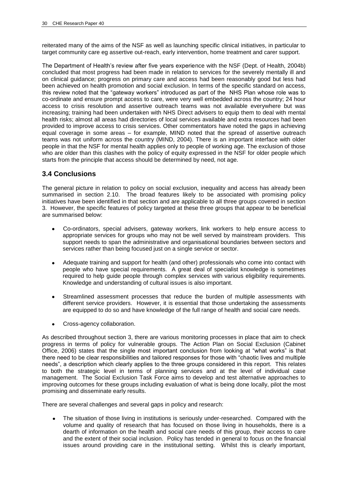reiterated many of the aims of the NSF as well as launching specific clinical initiatives, in particular to target community care eg assertive out-reach, early intervention, home treatment and carer support.

The Department of Health"s review after five years experience with the NSF (Dept. of Health, 2004b) concluded that most progress had been made in relation to services for the severely mentally ill and on clinical guidance; progress on primary care and access had been reasonably good but less had been achieved on health promotion and social exclusion. In terms of the specific standard on access, this review noted that the "gateway workers" introduced as part of the NHS Plan whose role was to co-ordinate and ensure prompt access to care, were very well embedded across the country; 24 hour access to crisis resolution and assertive outreach teams was not available everywhere but was increasing; training had been undertaken with NHS Direct advisers to equip them to deal with mental health risks; almost all areas had directories of local services available and extra resources had been provided to improve access to crisis services. Other commentators have noted the gaps in achieving equal coverage in some areas – for example, MIND noted that the spread of assertive outreach teams was not uniform across the country (MIND, 2004). There is an important interface with older people in that the NSF for mental health applies only to people of working age. The exclusion of those who are older than this clashes with the policy of equity expressed in the NSF for older people which starts from the principle that access should be determined by need, not age.

## **3.4 Conclusions**

The general picture in relation to policy on social exclusion, inequality and access has already been summarised in section 2.10. The broad features likely to be associated with promising policy initiatives have been identified in that section and are applicable to all three groups covered in section 3. However, the specific features of policy targeted at these three groups that appear to be beneficial are summarised below:

- Co-ordinators, special advisers, gateway workers, link workers to help ensure access to appropriate services for groups who may not be well served by mainstream providers. This support needs to span the administrative and organisational boundaries between sectors and services rather than being focused just on a single service or sector.
- Adequate training and support for health (and other) professionals who come into contact with people who have special requirements. A great deal of specialist knowledge is sometimes required to help guide people through complex services with various eligibility requirements. Knowledge and understanding of cultural issues is also important.
- Streamlined assessment processes that reduce the burden of multiple assessments with different service providers. However, it is essential that those undertaking the assessments are equipped to do so and have knowledge of the full range of health and social care needs.
- Cross-agency collaboration.

As described throughout section 3, there are various monitoring processes in place that aim to check progress in terms of policy for vulnerable groups. The Action Plan on Social Exclusion (Cabinet Office, 2006) states that the single most important conclusion from looking at "what works" is that there need to be clear responsibilities and tailored responses for those with "chaotic lives and multiple needs", a description which clearly applies to the three groups considered in this report. This relates to both the strategic level in terms of planning services and at the level of individual case management. The Social Exclusion Task Force aims to develop and test alternative approaches to improving outcomes for these groups including evaluation of what is being done locally, pilot the most promising and disseminate early results.

There are several challenges and several gaps in policy and research:

The situation of those living in institutions is seriously under-researched. Compared with the volume and quality of research that has focused on those living in households, there is a dearth of information on the health and social care needs of this group, their access to care and the extent of their social inclusion. Policy has tended in general to focus on the financial issues around providing care in the institutional setting. Whilst this is clearly important,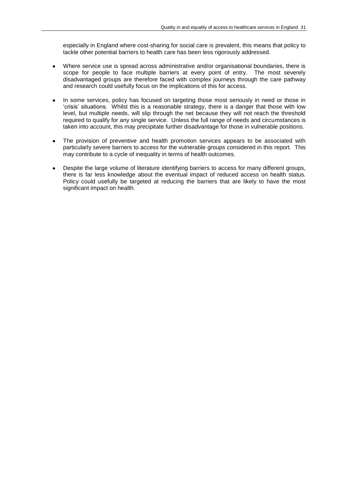especially in England where cost-sharing for social care is prevalent, this means that policy to tackle other potential barriers to health care has been less rigorously addressed.

- Where service use is spread across administrative and/or organisational boundaries, there is scope for people to face multiple barriers at every point of entry. The most severely disadvantaged groups are therefore faced with complex journeys through the care pathway and research could usefully focus on the implications of this for access.
- In some services, policy has focused on targeting those most seriously in need or those in "crisis" situations. Whilst this is a reasonable strategy, there is a danger that those with low level, but multiple needs, will slip through the net because they will not reach the threshold required to qualify for any single service. Unless the full range of needs and circumstances is taken into account, this may precipitate further disadvantage for those in vulnerable positions.
- The provision of preventive and health promotion services appears to be associated with  $\bullet$ particularly severe barriers to access for the vulnerable groups considered in this report. This may contribute to a cycle of inequality in terms of health outcomes.
- Despite the large volume of literature identifying barriers to access for many different groups,  $\bullet$ there is far less knowledge about the eventual impact of reduced access on health status. Policy could usefully be targeted at reducing the barriers that are likely to have the most significant impact on health.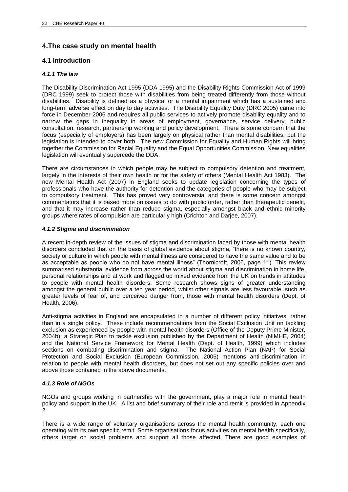# **4.The case study on mental health**

## **4.1 Introduction**

## *4.1.1 The law*

The Disability Discrimination Act 1995 (DDA 1995) and the Disability Rights Commission Act of 1999 (DRC 1999) seek to protect those with disabilities from being treated differently from those without disabilities. Disability is defined as a physical or a mental impairment which has a sustained and long-term adverse effect on day to day activities. The Disability Equality Duty (DRC 2005) came into force in December 2006 and requires all public services to actively promote disability equality and to narrow the gaps in inequality in areas of employment, governance, service delivery, public consultation, research, partnership working and policy development. There is some concern that the focus (especially of employers) has been largely on physical rather than mental disabilities, but the legislation is intended to cover both. The new Commission for Equality and Human Rights will bring together the Commission for Racial Equality and the Equal Opportunities Commission. New equalities legislation will eventually supercede the DDA.

There are circumstances in which people may be subject to compulsory detention and treatment, largely in the interests of their own health or for the safety of others (Mental Health Act 1983). The new Mental Health Act (2007) in England seeks to update legislation concerning the types of professionals who have the authority for detention and the categories of people who may be subject to compulsory treatment. This has proved very controversial and there is some concern amongst commentators that it is based more on issues to do with public order, rather than therapeutic benefit, and that it may increase rather than reduce stigma, especially amongst black and ethnic minority groups where rates of compulsion are particularly high (Crichton and Darjee, 2007).

## *4.1.2 Stigma and discrimination*

A recent in-depth review of the issues of stigma and discrimination faced by those with mental health disorders concluded that on the basis of global evidence about stigma, "there is no known country, society or culture in which people with mental illness are considered to have the same value and to be as acceptable as people who do not have mental illness" (Thornicroft, 2006, page 11). This review summarised substantial evidence from across the world about stigma and discrimination in home life, personal relationships and at work and flagged up mixed evidence from the UK on trends in attitudes to people with mental health disorders. Some research shows signs of greater understanding amongst the general public over a ten year period, whilst other signals are less favourable, such as greater levels of fear of, and perceived danger from, those with mental health disorders (Dept. of Health, 2006).

Anti-stigma activities in England are encapsulated in a number of different policy initiatives, rather than in a single policy. These include recommendations from the Social Exclusion Unit on tackling exclusion as experienced by people with mental health disorders (Office of the Deputy Prime Minister, 2004b); a Strategic Plan to tackle exclusion published by the Department of Health (NIMHE, 2004) and the National Service Framework for Mental Health (Dept. of Health, 1999) which includes sections on combating discrimination and stigma. The National Action Plan (NAP) for Social Protection and Social Exclusion (European Commission, 2006) mentions anti-discrimination in relation to people with mental health disorders, but does not set out any specific policies over and above those contained in the above documents.

## *4.1.3 Role of NGOs*

NGOs and groups working in partnership with the government, play a major role in mental health policy and support in the UK. A list and brief summary of their role and remit is provided in Appendix  $\overline{2}$ .

There is a wide range of voluntary organisations across the mental health community, each one operating with its own specific remit. Some organisations focus activities on mental health specifically, others target on social problems and support all those affected. There are good examples of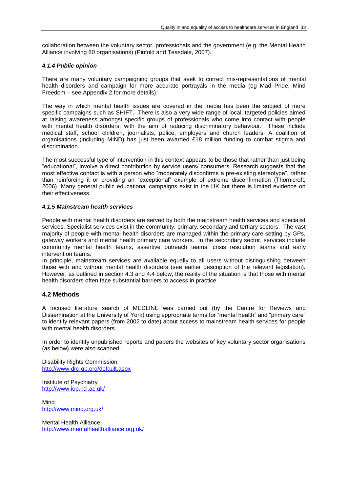collaboration between the voluntary sector, professionals and the government (e.g. the Mental Health Alliance involving 80 organisations) (Pinfold and Teasdale, 2007).

## *4.1.4 Public opinion*

There are many voluntary campaigning groups that seek to correct mis-representations of mental health disorders and campaign for more accurate portrayals in the media (eg Mad Pride, Mind Freedom – see Appendix 2 for more details).

The way in which mental health issues are covered in the media has been the subject of more specific campaigns such as SHIFT. There is also a very wide range of local, targeted policies aimed at raising awareness amongst specific groups of professionals who come into contact with people with mental health disorders, with the aim of reducing discriminatory behaviour. These include medical staff, school children, journalists, police, employers and church leaders. A coalition of organisations (including MIND) has just been awarded £18 million funding to combat stigma and discrimination.

The most successful type of intervention in this context appears to be those that rather than just being "educational", involve a direct contribution by service users/ consumers. Research suggests that the most effective contact is with a person who "moderately disconfirms a pre-existing stereotype", rather than reinforcing it or providing an "exceptional" example of extreme disconfirmation (Thornicroft, 2006). Many general public educational campaigns exist in the UK but there is limited evidence on their effectiveness.

## *4.1.5 Mainstream health services*

People with mental health disorders are served by both the mainstream health services and specialist services. Specialist services exist in the community, primary, secondary and tertiary sectors. The vast majority of people with mental health disorders are managed within the primary care setting by GPs, gateway workers and mental health primary care workers. In the secondary sector, services include community mental health teams, assertive outreach teams, crisis resolution teams and early intervention teams.

In principle, mainstream services are available equally to all users without distinguishing between those with and without mental health disorders (see earlier description of the relevant legislation). However, as outlined in section 4.3 and 4.4 below, the reality of the situation is that those with mental health disorders often face substantial barriers to access in practice.

## **4.2 Methods**

A focused literature search of MEDLINE was carried out (by the Centre for Reviews and Dissemination at the University of York) using appropriate terms for "mental health" and "primary care" to identify relevant papers (from 2002 to date) about access to mainstream health services for people with mental health disorders.

In order to identify unpublished reports and papers the websites of key voluntary sector organisations (as below) were also scanned:

Disability Rights Commission <http://www.drc-gb.org/default.aspx>

Institute of Psychiatry <http://www.iop.kcl.ac.uk/>

Mind <http://www.mind.org.uk/>

Mental Health Alliance <http://www.mentalhealthalliance.org.uk/>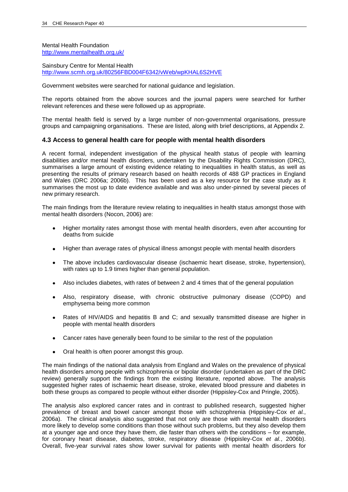Mental Health Foundation <http://www.mentalhealth.org.uk/>

Sainsbury Centre for Mental Health <http://www.scmh.org.uk/80256FBD004F6342/vWeb/wpKHAL6S2HVE>

Government websites were searched for national guidance and legislation.

The reports obtained from the above sources and the journal papers were searched for further relevant references and these were followed up as appropriate.

The mental health field is served by a large number of non-governmental organisations, pressure groups and campaigning organisations. These are listed, along with brief descriptions, at Appendix 2.

## **4.3 Access to general health care for people with mental health disorders**

A recent formal, independent investigation of the physical health status of people with learning disabilities and/or mental health disorders, undertaken by the Disability Rights Commission (DRC), summarises a large amount of existing evidence relating to inequalities in health status, as well as presenting the results of primary research based on health records of 488 GP practices in England and Wales (DRC 2006a; 2006b). This has been used as a key resource for the case study as it summarises the most up to date evidence available and was also under-pinned by several pieces of new primary research.

The main findings from the literature review relating to inequalities in health status amongst those with mental health disorders (Nocon, 2006) are:

- Higher mortality rates amongst those with mental health disorders, even after accounting for  $\bullet$ deaths from suicide
- Higher than average rates of physical illness amongst people with mental health disorders  $\bullet$
- The above includes cardiovascular disease (ischaemic heart disease, stroke, hypertension),  $\bullet$ with rates up to 1.9 times higher than general population.
- Also includes diabetes, with rates of between 2 and 4 times that of the general population
- Also, respiratory disease, with chronic obstructive pulmonary disease (COPD) and emphysema being more common
- Rates of HIV/AIDS and hepatitis B and C; and sexually transmitted disease are higher in  $\bullet$ people with mental health disorders
- Cancer rates have generally been found to be similar to the rest of the population  $\bullet$
- Oral health is often poorer amongst this group.

The main findings of the national data analysis from England and Wales on the prevalence of physical health disorders among people with schizophrenia or bipolar disorder (undertaken as part of the DRC review) generally support the findings from the existing literature, reported above. The analysis suggested higher rates of ischaemic heart disease, stroke, elevated blood pressure and diabetes in both these groups as compared to people without either disorder (Hippisley-Cox and Pringle, 2005).

The analysis also explored cancer rates and in contrast to published research, suggested higher prevalence of breast and bowel cancer amongst those with schizophrenia (Hippisley-Cox *et al.*, 2006a). The clinical analysis also suggested that not only are those with mental health disorders more likely to develop some conditions than those without such problems, but they also develop them at a younger age and once they have them, die faster than others with the conditions – for example, for coronary heart disease, diabetes, stroke, respiratory disease (Hippisley-Cox *et al.*, 2006b). Overall, five-year survival rates show lower survival for patients with mental health disorders for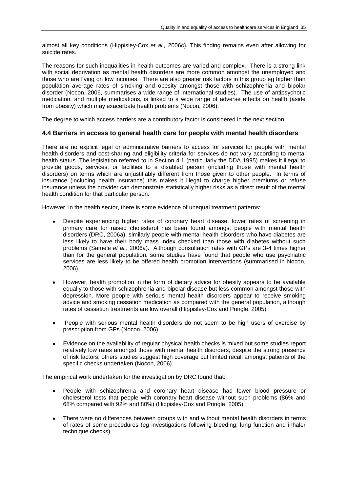almost all key conditions (Hippisley-Cox *et al.,* 2006c). This finding remains even after allowing for suicide rates.

The reasons for such inequalities in health outcomes are varied and complex. There is a strong link with social deprivation as mental health disorders are more common amongst the unemployed and those who are living on low incomes. There are also greater risk factors in this group eg higher than population average rates of smoking and obesity amongst those with schizophrenia and bipolar disorder (Nocon, 2006, summarises a wide range of international studies). The use of antipsychotic medication, and multiple medications, is linked to a wide range of adverse effects on health (aside from obesity) which may exacerbate health problems (Nocon, 2006).

The degree to which access barriers are a contributory factor is considered in the next section.

## **4.4 Barriers in access to general health care for people with mental health disorders**

There are no explicit legal or administrative barriers to access for services for people with mental health disorders and cost-sharing and eligibility criteria for services do not vary according to mental health status. The legislation referred to in Section 4.1 (particularly the DDA 1995) makes it illegal to provide goods, services, or facilities to a disabled person (including those with mental health disorders) on terms which are unjustifiably different from those given to other people. In terms of insurance (including health insurance) this makes it illegal to charge higher premiums or refuse insurance unless the provider can demonstrate statistically higher risks as a direct result of the mental health condition for that particular person.

However, in the health sector, there is some evidence of unequal treatment patterns:

- Despite experiencing higher rates of coronary heart disease, lower rates of screening in primary care for raised cholesterol has been found amongst people with mental health disorders (DRC, 2006a); similarly people with mental health disorders who have diabetes are less likely to have their body mass index checked than those with diabetes without such problems (Samele *et al.*, 2006a). Although consultation rates with GPs are 3-4 times higher than for the general population, some studies have found that people who use psychiatric services are less likely to be offered health promotion interventions (summarised in Nocon, 2006).
- However, health promotion in the form of dietary advice for obesity appears to be available equally to those with schizophrenia and bipolar disease but less common amongst those with depression. More people with serious mental health disorders appear to receive smoking advice and smoking cessation medication as compared with the general population, although rates of cessation treatments are low overall (Hippisley-Cox and Pringle, 2005).
- People with serious mental health disorders do not seem to be high users of exercise by prescription from GPs (Nocon, 2006).
- Evidence on the availability of regular physical health checks is mixed but some studies report  $\bullet$ relatively low rates amongst those with mental health disorders, despite the strong presence of risk factors; others studies suggest high coverage but limited recall amongst patients of the specific checks undertaken (Nocon, 2006).

The empirical work undertaken for the investigation by DRC found that:

- People with schizophrenia and coronary heart disease had fewer blood pressure or cholesterol tests that people with coronary heart disease without such problems (86% and 68% compared with 92% and 80%) (Hippisley-Cox and Pringle, 2005).
- There were no differences between groups with and without mental health disorders in terms of rates of some procedures (eg investigations following bleeding; lung function and inhaler technique checks).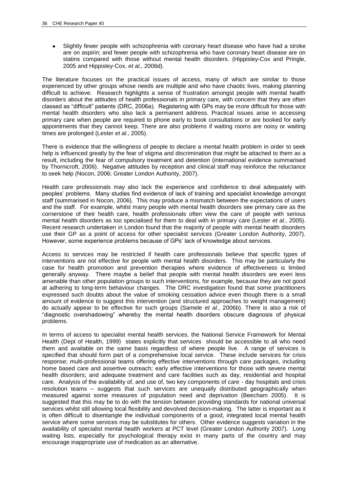Slightly fewer people with schizophrenia with coronary heart disease who have had a stroke are on aspirin; and fewer people with schizophrenia who have coronary heart disease are on statins compared with those without mental health disorders. (Hippisley-Cox and Pringle, 2005 and Hippisley-Cox, *et al.,* 2006d).

The literature focuses on the practical issues of access, many of which are similar to those experienced by other groups whose needs are multiple and who have chaotic lives, making planning difficult to achieve. Research highlights a sense of frustration amongst people with mental health disorders about the attitudes of health professionals in primary care, with concern that they are often classed as "difficult" patients (DRC, 2006a). Registering with GPs may be more difficult for those with mental health disorders who also lack a permanent address. Practical issues arise in accessing primary care when people are required to phone early to book consultations or are booked for early appointments that they cannot keep. There are also problems if waiting rooms are noisy or waiting times are prolonged (Lester *et al.*, 2005).

There is evidence that the willingness of people to declare a mental health problem in order to seek help is influenced greatly by the fear of stigma and discrimination that might be attached to them as a result, including the fear of compulsory treatment and detention (international evidence summarised by Thornicroft, 2006). Negative attitudes by reception and clinical staff may reinforce the reluctance to seek help (Nocon, 2006; Greater London Authority, 2007).

Health care professionals may also lack the experience and confidence to deal adequately with peoples" problems. Many studies find evidence of lack of training and specialist knowledge amongst staff (summarised in Nocon, 2006). This may produce a mismatch between the expectations of users and the staff. For example, whilst many people with mental health disorders see primary care as the cornerstone of their health care, health professionals often view the care of people with serious mental health disorders as too specialised for them to deal with in primary care (Lester *et al.*, 2005). Recent research undertaken in London found that the majority of people with mental health disorders use their GP as a point of access for other specialist services (Greater London Authority, 2007). However, some experience problems because of GPs" lack of knowledge about services.

Access to services may be restricted if health care professionals believe that specific types of interventions are not effective for people with mental health disorders. This may be particularly the case for health promotion and prevention therapies where evidence of effectiveness is limited generally anyway. There maybe a belief that people with mental health disorders are even less amenable than other population groups to such interventions, for example, because they are not good at adhering to long-term behaviour changes. The DRC investigation found that some practitioners expressed such doubts about the value of smoking cessation advice even though there is a small amount of evidence to suggest this intervention (and structured approaches to weight management) do actually appear to be effective for such groups (Samele *et al.*, 2006b). There is also a risk of "diagnostic overshadowing" whereby the mental health disorders obscure diagnosis of physical problems.

In terms of access to specialist mental health services, the National Service Framework for Mental Health (Dept of Health, 1999) states explicitly that services should be accessible to all who need them and available on the same basis regardless of where people live. A range of services is specified that should form part of a comprehensive local service. These include services for crisis response; multi-professional teams offering effective interventions through care packages, including home based care and assertive outreach; early effective interventions for those with severe mental health disorders; and adequate treatment and care facilities such as day, residential and hospital care. Analysis of the availability of, and use of, two key components of care - day hospitals and crisis resolution teams – suggests that such services are unequally distributed geographically when measured against some measures of population need and deprivation (Beecham 2005). It is suggested that this may be to do with the tension between providing standards for national universal services whilst still allowing local flexibility and devolved decision-making. The latter is important as it is often difficult to disentangle the individual components of a good, integrated local mental health service where some services may be substitutes for others. Other evidence suggests variation in the availability of specialist mental health workers at PCT level (Greater London Authority 2007). Long waiting lists, especially for psychological therapy exist in many parts of the country and may encourage inappropriate use of medication as an alternative.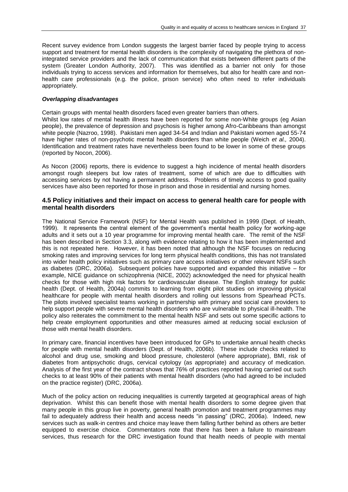Recent survey evidence from London suggests the largest barrier faced by people trying to access support and treatment for mental health disorders is the complexity of navigating the plethora of nonintegrated service providers and the lack of communication that exists between different parts of the system (Greater London Authority, 2007). This was identified as a barrier not only for those individuals trying to access services and information for themselves, but also for health care and nonhealth care professionals (e.g. the police, prison service) who often need to refer individuals appropriately.

## *Overlapping disadvantages*

Certain groups with mental health disorders faced even greater barriers than others.

Whilst low rates of mental health illness have been reported for some non-White groups (eg Asian people), the prevalence of depression and psychosis is higher among Afro-Caribbeans than amongst white people (Nazroo, 1998). Pakistani men aged 34-54 and Indian and Pakistani women aged 55-74 have higher rates of non-psychotic mental health disorders than white people (Weich *et al.,* 2004). Identification and treatment rates have nevertheless been found to be lower in some of these groups (reported by Nocon, 2006).

As Nocon (2006) reports, there is evidence to suggest a high incidence of mental health disorders amongst rough sleepers but low rates of treatment, some of which are due to difficulties with accessing services by not having a permanent address. Problems of timely access to good quality services have also been reported for those in prison and those in residential and nursing homes.

## **4.5 Policy initiatives and their impact on access to general health care for people with mental health disorders**

The National Service Framework (NSF) for Mental Health was published in 1999 (Dept. of Health, 1999). It represents the central element of the government"s mental health policy for working-age adults and it sets out a 10 year programme for improving mental health care. The remit of the NSF has been described in Section 3.3, along with evidence relating to how it has been implemented and this is not repeated here. However, it has been noted that although the NSF focuses on reducing smoking rates and improving services for long term physical health conditions, this has not translated into wider health policy initiatives such as primary care access initiatives or other relevant NSFs such as diabetes (DRC, 2006a). Subsequent policies have supported and expanded this initiative – for example, NICE guidance on schizophrenia (NICE, 2002) acknowledged the need for physical health checks for those with high risk factors for cardiovascular disease. The English strategy for public health (Dept. of Health, 2004a) commits to learning from eight pilot studies on improving physical healthcare for people with mental health disorders and rolling out lessons from Spearhead PCTs. The pilots involved specialist teams working in partnership with primary and social care providers to help support people with severe mental health disorders who are vulnerable to physical ill-health. The policy also reiterates the commitment to the mental health NSF and sets out some specific actions to help create employment opportunities and other measures aimed at reducing social exclusion of those with mental health disorders.

In primary care, financial incentives have been introduced for GPs to undertake annual health checks for people with mental health disorders (Dept. of Health, 2006b). These include checks related to alcohol and drug use, smoking and blood pressure, cholesterol (where appropriate), BMI, risk of diabetes from antipsychotic drugs, cervical cytology (as appropriate) and accuracy of medication. Analysis of the first year of the contract shows that 76% of practices reported having carried out such checks to at least 90% of their patients with mental health disorders (who had agreed to be included on the practice register) (DRC, 2006a).

Much of the policy action on reducing inequalities is currently targeted at geographical areas of high deprivation. Whilst this can benefit those with mental health disorders to some degree given that many people in this group live in poverty, general health promotion and treatment programmes may fail to adequately address their health and access needs "in passing" (DRC, 2006a). Indeed, new services such as walk-in centres and choice may leave them falling further behind as others are better equipped to exercise choice. Commentators note that there has been a failure to mainstream services, thus research for the DRC investigation found that health needs of people with mental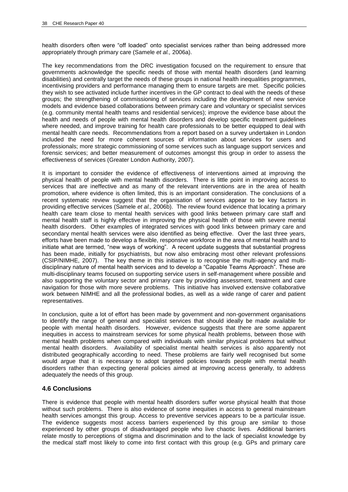health disorders often were "off loaded" onto specialist services rather than being addressed more appropriately through primary care (Samele *et al.,* 2006a).

The key recommendations from the DRC investigation focused on the requirement to ensure that governments acknowledge the specific needs of those with mental health disorders (and learning disabilities) and centrally target the needs of these groups in national health inequalities programmes, incentivising providers and performance managing them to ensure targets are met. Specific policies they wish to see activated include further incentives in the GP contract to deal with the needs of these groups; the strengthening of commissioning of services including the development of new service models and evidence based collaborations between primary care and voluntary or specialist services (e.g. community mental health teams and residential services); improve the evidence base about the health and needs of people with mental health disorders and develop specific treatment guidelines where needed, and improve training for health care professionals to be better equipped to deal with mental health care needs. Recommendations from a report based on a survey undertaken in London included the need for more coherent sources of information about services for users and professionals; more strategic commissioning of some services such as language support services and forensic services; and better measurement of outcomes amongst this group in order to assess the effectiveness of services (Greater London Authority, 2007).

It is important to consider the evidence of effectiveness of interventions aimed at improving the physical health of people with mental health disorders. There is little point in improving access to services that are ineffective and as many of the relevant interventions are in the area of health promotion, where evidence is often limited, this is an important consideration. The conclusions of a recent systematic review suggest that the organisation of services appear to be key factors in providing effective services (Samele *et al.,* 2006b). The review found evidence that locating a primary health care team close to mental health services with good links between primary care staff and mental health staff is highly effective in improving the physical health of those with severe mental health disorders. Other examples of integrated services with good links between primary care and secondary mental health services were also identified as being effective. Over the last three years, efforts have been made to develop a flexible, responsive workforce in the area of mental health and to initiate what are termed, "new ways of working". A recent update suggests that substantial progress has been made, initially for psychiatrists, but now also embracing most other relevant professions (CSIP/NIMHE, 2007). The key theme in this initiative is to recognise the multi-agency and multidisciplinary nature of mental health services and to develop a "Capable Teams Approach". These are multi-disciplinary teams focused on supporting service users in self-management where possible and also supporting the voluntary sector and primary care by providing assessment, treatment and care navigation for those with more severe problems. This initiative has involved extensive collaborative work between NIMHE and all the professional bodies, as well as a wide range of carer and patient representatives.

In conclusion, quite a lot of effort has been made by government and non-government organisations to identify the range of general and specialist services that should ideally be made available for people with mental health disorders. However, evidence suggests that there are some apparent inequities in access to mainstream services for some physical health problems, between those with mental health problems when compared with individuals with similar physical problems but without mental health disorders. Availability of specialist mental health services is also apparently not distributed geographically according to need. These problems are fairly well recognised but some would argue that it is necessary to adopt targeted policies towards people with mental health disorders rather than expecting general policies aimed at improving access generally, to address adequately the needs of this group.

## **4.6 Conclusions**

There is evidence that people with mental health disorders suffer worse physical health that those without such problems. There is also evidence of some inequities in access to general mainstream health services amongst this group. Access to preventive services appears to be a particular issue. The evidence suggests most access barriers experienced by this group are similar to those experienced by other groups of disadvantaged people who live chaotic lives. Additional barriers relate mostly to perceptions of stigma and discrimination and to the lack of specialist knowledge by the medical staff most likely to come into first contact with this group (e.g. GPs and primary care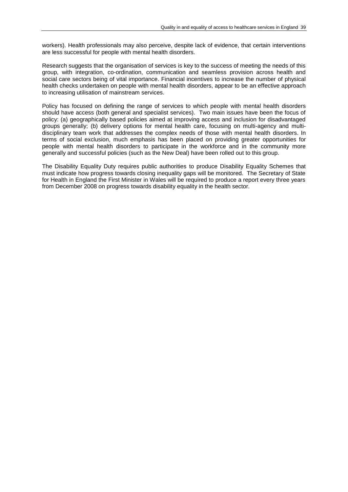workers). Health professionals may also perceive, despite lack of evidence, that certain interventions are less successful for people with mental health disorders.

Research suggests that the organisation of services is key to the success of meeting the needs of this group, with integration, co-ordination, communication and seamless provision across health and social care sectors being of vital importance. Financial incentives to increase the number of physical health checks undertaken on people with mental health disorders, appear to be an effective approach to increasing utilisation of mainstream services.

Policy has focused on defining the range of services to which people with mental health disorders should have access (both general and specialist services). Two main issues have been the focus of policy: (a) geographically based policies aimed at improving access and inclusion for disadvantaged groups generally; (b) delivery options for mental health care, focusing on multi-agency and multidisciplinary team work that addresses the complex needs of those with mental health disorders. In terms of social exclusion, much emphasis has been placed on providing greater opportunities for people with mental health disorders to participate in the workforce and in the community more generally and successful policies (such as the New Deal) have been rolled out to this group.

The Disability Equality Duty requires public authorities to produce Disability Equality Schemes that must indicate how progress towards closing inequality gaps will be monitored. The Secretary of State for Health in England the First Minister in Wales will be required to produce a report every three years from December 2008 on progress towards disability equality in the health sector.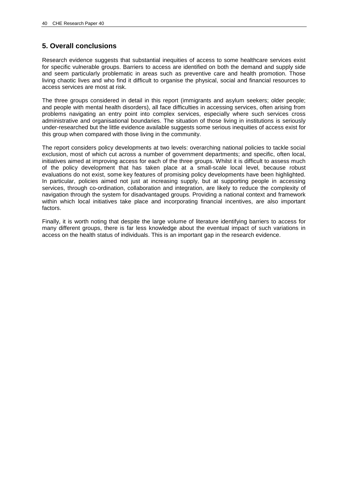# **5. Overall conclusions**

Research evidence suggests that substantial inequities of access to some healthcare services exist for specific vulnerable groups. Barriers to access are identified on both the demand and supply side and seem particularly problematic in areas such as preventive care and health promotion. Those living chaotic lives and who find it difficult to organise the physical, social and financial resources to access services are most at risk.

The three groups considered in detail in this report (immigrants and asylum seekers; older people; and people with mental health disorders), all face difficulties in accessing services, often arising from problems navigating an entry point into complex services, especially where such services cross administrative and organisational boundaries. The situation of those living in institutions is seriously under-researched but the little evidence available suggests some serious inequities of access exist for this group when compared with those living in the community.

The report considers policy developments at two levels: overarching national policies to tackle social exclusion, most of which cut across a number of government departments; and specific, often local, initiatives aimed at improving access for each of the three groups. Whilst it is difficult to assess much of the policy development that has taken place at a small-scale local level, because robust evaluations do not exist, some key features of promising policy developments have been highlighted. In particular, policies aimed not just at increasing supply, but at supporting people in accessing services, through co-ordination, collaboration and integration, are likely to reduce the complexity of navigation through the system for disadvantaged groups. Providing a national context and framework within which local initiatives take place and incorporating financial incentives, are also important factors.

Finally, it is worth noting that despite the large volume of literature identifying barriers to access for many different groups, there is far less knowledge about the eventual impact of such variations in access on the health status of individuals. This is an important gap in the research evidence.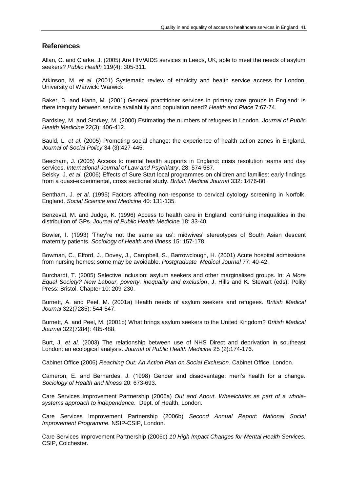## **References**

Allan, C. and Clarke, J. (2005) Are HIV/AIDS services in Leeds, UK, able to meet the needs of asylum seekers? *Public Health* 119(4): 305-311.

Atkinson, M. *et al*. (2001) Systematic review of ethnicity and health service access for London. University of Warwick: Warwick.

Baker, D. and Hann, M. (2001) General practitioner services in primary care groups in England: is there inequity between service availability and population need? *Health and Place* 7:67-74.

Bardsley, M. and Storkey, M. (2000) Estimating the numbers of refugees in London. *Journal of Public Health Medicine* 22(3): 406-412.

Bauld, L. *et al*. (2005) Promoting social change: the experience of health action zones in England. *Journal of Social Policy* 34 (3):427-445.

Beecham, J. (2005) Access to mental health supports in England: crisis resolution teams and day services. *International Journal of Law and Psychiatry*, 28: 574-587. Belsky, J. *et al*. (2006) Effects of Sure Start local programmes on children and families: early findings from a quasi-experimental, cross sectional study. *British Medical Journal* 332: 1476-80.

Bentham, J. *et al*. (1995) Factors affecting non-response to cervical cytology screening in Norfolk, England. *Social Science and Medicine* 40: 131-135.

Benzeval, M. and Judge, K. (1996) Access to health care in England: continuing inequalities in the distribution of GPs. *Journal of Public Health Medicine* 18: 33-40.

Bowler, I. (1993) 'They're not the same as us': midwives' stereotypes of South Asian descent maternity patients. *Sociology of Health and Illness* 15: 157-178.

Bowman, C., Elford, J., Dovey, J., Campbell, S., Barrowclough, H. (2001) Acute hospital admissions from nursing homes: some may be avoidable. *Postgraduate Medical Journal* 77: 40-42.

Burchardt, T. (2005) Selective inclusion: asylum seekers and other marginalised groups. In: *A More Equal Society? New Labour, poverty, inequality and exclusion*, J. Hills and K. Stewart (eds); Polity Press: Bristol. Chapter 10: 209-230.

Burnett, A. and Peel, M. (2001a) Health needs of asylum seekers and refugees. *British Medical Journal* 322(7285): 544-547.

Burnett, A. and Peel, M. (2001b) What brings asylum seekers to the United Kingdom? *British Medical Journal* 322(7284): 485-488.

Burt, J. *et al*. (2003) The relationship between use of NHS Direct and deprivation in southeast London: an ecological analysis. *Journal of Public Health Medicine* 25 (2):174-176.

Cabinet Office (2006) *Reaching Out: An Action Plan on Social Exclusion.* Cabinet Office, London.

Cameron, E. and Bernardes, J. (1998) Gender and disadvantage: men"s health for a change. *Sociology of Health and Illness* 20: 673-693.

Care Services Improvement Partnership (2006a) *Out and About*. *Wheelchairs as part of a wholesystems approach to independence.* Dept. of Health, London.

Care Services Improvement Partnership (2006b) *Second Annual Report: National Social Improvement Programme.* NSIP-CSIP, London.

Care Services Improvement Partnership (2006c) *10 High Impact Changes for Mental Health Services.* CSIP, Colchester.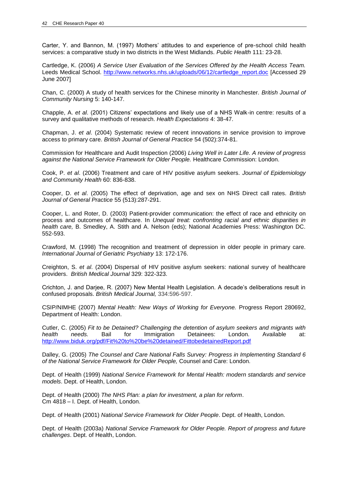Carter, Y. and Bannon, M. (1997) Mothers" attitudes to and experience of pre-school child health services: a comparative study in two districts in the West Midlands. *Public Health* 111: 23-28.

Cartledge, K. (2006) *A Service User Evaluation of the Services Offered by the Health Access Team.* Leeds Medical School. [http://www.networks.nhs.uk/uploads/06/12/cartledge\\_report.doc](http://www.networks.nhs.uk/uploads/06/12/cartledge_report.doc) [Accessed 29 June 2007]

Chan, C. (2000) A study of health services for the Chinese minority in Manchester. *British Journal of Community Nursing* 5: 140-147.

Chapple, A. *et al*. (2001) Citizens" expectations and likely use of a NHS Walk-in centre: results of a survey and qualitative methods of research. *Health Expectations* 4: 38-47.

Chapman, J. *et al*. (2004) Systematic review of recent innovations in service provision to improve access to primary care. *British Journal of General Practice* 54 (502):374-81.

Commission for Healthcare and Audit Inspection (2006) *Living Well in Later Life. A review of progress against the National Service Framework for Older People.* Healthcare Commission: London.

Cook, P. *et al*. (2006) Treatment and care of HIV positive asylum seekers. *Journal of Epidemiology and Community Health* 60: 836-838.

Cooper, D. *et al*. (2005) The effect of deprivation, age and sex on NHS Direct call rates. *British Journal of General Practice* 55 (513):287-291.

Cooper, L. and Roter, D. (2003) Patient-provider communication: the effect of race and ethnicity on process and outcomes of healthcare. In *Unequal treat: confronting racial and ethnic disparities in health care,* B. Smedley, A. Stith and A. Nelson (eds); National Academies Press: Washington DC. 552-593.

Crawford, M. (1998) The recognition and treatment of depression in older people in primary care. *International Journal of Geriatric Psychiatry* 13: 172-176.

Creighton, S. *et al*. (2004) Dispersal of HIV positive asylum seekers: national survey of healthcare providers. *British Medical Journal* 329: 322-323.

Crichton, J. and Darjee, R. (2007) New Mental Health Legislation. A decade"s deliberations result in confused proposals. *British Medical Journal,* 334:596-597.

CSIP/NIMHE (2007) *Mental Health: New Ways of Working for Everyone.* Progress Report 280692, Department of Health: London.

Cutler, C. (2005) *Fit to be Detained? Challenging the detention of asylum seekers and migrants with health needs.* Bail for Immigration Detainees: London. Available at: <http://www.biduk.org/pdf/Fit%20to%20be%20detained/FittobedetainedReport.pdf>

Dalley, G. (2005) *The Counsel and Care National Falls Survey: Progress in Implementing Standard 6 of the National Service Framework for Older People,* Counsel and Care: London.

Dept. of Health (1999) *National Service Framework for Mental Health: modern standards and service models*. Dept. of Health, London.

Dept. of Health (2000) *The NHS Plan: a plan for investment, a plan for reform*. Cm 4818 – I. Dept. of Health, London.

Dept. of Health (2001) *National Service Framework for Older People*. Dept. of Health, London.

Dept. of Health (2003a) *National Service Framework for Older People. Report of progress and future challenges*. Dept. of Health, London.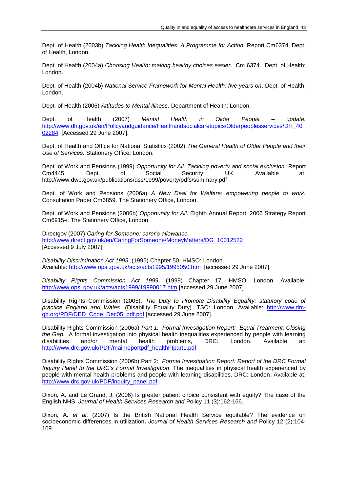Dept. of Health (2003b) *Tackling Health Inequalities: A Programme for Action.* Report Cm6374. Dept. of Health, London.

Dept. of Health (2004a) *Choosing Health: making healthy choices easier*. Cm 6374. Dept. of Health: London.

Dept. of Health (2004b) *National Service Framework for Mental Health: five years on*. Dept. of Health, London.

Dept. of Health (2006) *Attitudes to Mental Illness*. Department of Health: London.

Dept. of Health (2007) *Mental Health in Older People – update.* [http://www.dh.gov.uk/en/Policyandguidance/Healthandsocialcaretopics/Olderpeoplesservices/DH\\_40](http://www.dh.gov.uk/en/Policyandguidance/Healthandsocialcaretopics/Olderpeoplesservices/DH_4002284) [02284](http://www.dh.gov.uk/en/Policyandguidance/Healthandsocialcaretopics/Olderpeoplesservices/DH_4002284) [Accessed 29 June 2007].

Dept. of Health and Office for National Statistics (2002) *The General Health of Older People and their Use of Services.* Stationery Office: London.

Dept. of Work and Pensions (1999) *Opportunity for All. Tackling poverty and social exclusion.* Report Cm4445. Dept. of Social Security, UK. Available at: http://www.dwp.gov.uk/publications/dss/1999/poverty/pdfs/summary.pdf

Dept. of Work and Pensions (2006a) *A New Deal for Welfare: empowering people to work.*  Consultation Paper Cm6859. The Stationery Office, London.

Dept. of Work and Pensions (2006b) *Opportunity for All.* Eighth Annual Report. 2006 Strategy Report Cm6915-i. The Stationery Office, London.

Directgov (2007) *Caring for Someone: carer's allowance.* [http://www.direct.gov.uk/en/CaringForSomeone/MoneyMatters/DG\\_10012522](http://www.direct.gov.uk/en/CaringForSomeone/MoneyMatters/DG_10012522) [Accessed 9 July 2007]

*Disability Discrimination Act 1995*. (1995) Chapter 50. HMSO: London. Available:<http://www.opsi.gov.uk/acts/acts1995/1995050.htm>[accessed 29 June 2007].

*Disability Rights Commission Act 1999*. (1999) Chapter 17. HMSO: London. Available: <http://www.opsi.gov.uk/acts/acts1999/19990017.htm> [accessed 29 June 2007].

Disability Rights Commission (2005). *The Duty to Promote Disability Equality: statutory code of practice England and Wales*. (Disability Equality Duty). TSO: London. Available: [http://www.drc](http://www.drc-gb.org/PDF/DED_Code_Dec05_pdf.pdf)[gb.org/PDF/DED\\_Code\\_Dec05\\_pdf.pdf](http://www.drc-gb.org/PDF/DED_Code_Dec05_pdf.pdf) [accessed 29 June 2007].

Disability Rights Commission (2006a) *Part 1: Formal Investigation Report: Equal Treatment: Closing the Gap.* A formal investigation into physical health inequalities experienced by people with learning disabilities and/or mental health problems, DRC: London. Available at: [http://www.drc.gov.uk/PDF/mainreportpdf\\_healthFIpart1.pdf](http://www.drc.gov.uk/PDF/mainreportpdf_healthFIpart1.pdf)

Disability Rights Commission (2006b) Part 2: *Formal Investigation Report: Report of the DRC Formal Inquiry Panel to the DRC's Formal Investigation*. The inequalities in physical health experienced by people with mental health problems and people with learning disabilities. DRC: London. Available at: [http://www.drc.gov.uk/PDF/inquiry\\_panel.pdf](http://www.drc.gov.uk/PDF/inquiry_panel.pdf)

Dixon, A. and Le Grand, J. (2006) Is greater patient choice consistent with equity? The case of the English NHS. *Journal of Health Services Research and* Policy 11 (3):162-166.

Dixon, A. *et al*. (2007) [Is the British National Health Service equitable? The evidence on](http://www.ingentaconnect.com/content/rsm/jhsrp/2007/00000012/00000002/art00010;jsessionid=hwjl5cge1t09.victoria)  [socioeconomic differences in utilization](http://www.ingentaconnect.com/content/rsm/jhsrp/2007/00000012/00000002/art00010;jsessionid=hwjl5cge1t09.victoria)**.** *Journal of Health Services Research and* Policy 12 (2):104- 109.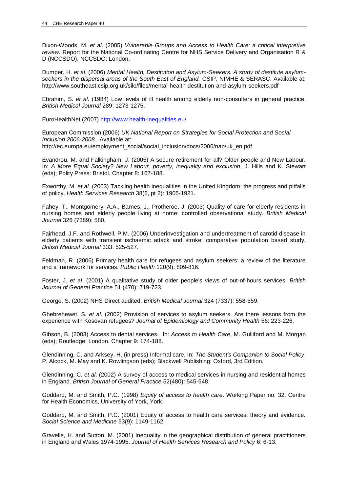Dixon-Woods, M. *et al*. (2005) *Vulnerable Groups and Access to Health Care: a critical interpretive review.* Report for the National Co-ordinating Centre for NHS Service Delivery and Organisation R & D (NCCSDO). NCCSDO: London.

Dumper, H. *et al*. (2006) *Mental Health, Destitution and Asylum-Seekers. A study of destitute asylumseekers in the dispersal areas of the South East of England.* CSIP, NIMHE & SERASC. Available at: http://www.southeast.csip.org.uk/silo/files/mental-health-destitution-and-asylum-seekers.pdf

Ebrahim, S. *et al*. (1984) Low levels of ill health among elderly non-consulters in general practice. *British Medical Journal* 289: 1273-1275.

EuroHealthNet (2007)<http://www.health-inequalities.eu/>

European Commission (2006) *UK National Report on Strategies for Social Protection and Social Inclusion 2006-2008.* Available at: http://ec.europa.eu/employment\_social/social\_inclusion/docs/2006/nap/uk\_en.pdf

Evandrou, M. and Falkingham, J. (2005) A secure retirement for all? Older people and New Labour. In: *A More Equal Society? New Labour, poverty, inequality and exclusion*, J. Hills and K. Stewart (eds); Polity Press: Bristol. Chapter 8: 167-188.

Exworthy, M. *et al*. (2003) Tackling health inequalities in the United Kingdom: the progress and pitfalls of policy. *Health Services Research* 38(6, pt 2): 1905-1921.

Fahey, T., Montgomery, A.A., Barnes, J., Protheroe, J. (2003) Quality of care for elderly residents in nursing homes and elderly people living at home: controlled observational study. *British Medical Journal* 326 (7389): 580.

Fairhead, J.F. and Rothwell, P.M. (2006) Underinvestigation and undertreatment of carotid disease in elderly patients with transient ischaemic attack and stroke: comparative population based study. *British Medical Journal* 333: 525-527.

Feldman, R. (2006) Primary health care for refugees and asylum seekers: a review of the literature and a framework for services. *Public Health* 120(9): 809-816.

Foster, J. *et al*. (2001) A qualitative study of older people's views of out-of-hours services. *British Journal of General Practice* 51 (470): 719-723.

George, S. (2002) NHS Direct audited. *British Medical Journal* 324 (7337): 558-559.

Ghebrehewet, S. *et al*. (2002) Provision of services to asylum seekers. Are there lessons from the experience with Kosovan refugees? *Journal of Epidemiology and Community Health* 56: 223-226.

Gibson, B. (2003) Access to dental services. In: *Access to Health Care*, M. Gulliford and M. Morgan (eds); Routledge: London. Chapter 9: 174-188.

Glendinning, C. and Arksey, H. (in press) Informal care. In: *The Student's Companion to Social Policy*, P. Alcock, M. May and K. Rowlingson (eds); Blackwell Publishing: Oxford, 3rd Edition.

Glendinning, C. *et al*. (2002) A survey of access to medical services in nursing and residential homes in England. *British Journal of General Practice* 52(480): 545-548.

Goddard, M. and Smith, P.C. (1998) *Equity of access to health care*. Working Paper no. 32. Centre for Health Economics, University of York, York.

Goddard, M. and Smith, P.C. (2001) Equity of access to health care services: theory and evidence. *Social Science and Medicine* 53(9): 1149-1162.

Gravelle, H. and Sutton, M. (2001) Inequality in the geographical distribution of general practitioners in England and Wales 1974-1995. *Journal of Health Services Research and Policy* 6: 6-13.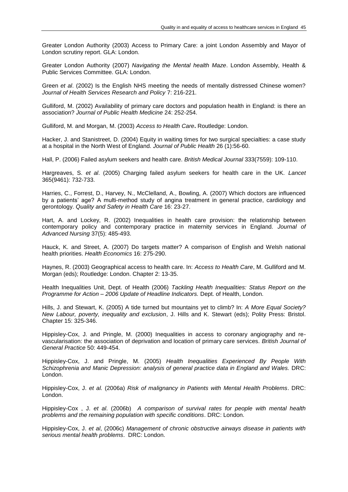Greater London Authority (2003) Access to Primary Care: a joint London Assembly and Mayor of London scrutiny report. GLA: London.

Greater London Authority (2007) *Navigating the Mental health Maze*. London Assembly, Health & Public Services Committee. GLA: London.

Green *et al*. (2002) Is the English NHS meeting the needs of mentally distressed Chinese women? *Journal of Health Services Research and Policy* 7: 216-221.

Gulliford, M. (2002) Availability of primary care doctors and population health in England: is there an association? *Journal of Public Health Medicine* 24: 252-254.

Gulliford, M. and Morgan, M. (2003) *Access to Health Care***.** Routledge: London.

Hacker, J. and Stanistreet, D. (2004) Equity in waiting times for two surgical specialties: a case study at a hospital in the North West of England. *Journal of Public Health* 26 (1):56-60.

Hall, P. (2006) Failed asylum seekers and health care. *British Medical Journal* 333(7559): 109-110.

Hargreaves, S. *et al*. (2005) Charging failed asylum seekers for health care in the UK. *Lancet* 365(9461): 732-733.

Harries, C., Forrest, D., Harvey, N., McClelland, A., Bowling, A. (2007) Which doctors are influenced by a patients" age? A multi-method study of angina treatment in general practice, cardiology and gerontology. *Quality and Safety in Health Care* 16: 23-27.

Hart, A. and Lockey, R. (2002) Inequalities in health care provision: the relationship between contemporary policy and contemporary practice in maternity services in England. *Journal of Advanced Nursing* 37(5): 485-493.

Hauck, K. and Street, A. (2007) Do targets matter? A comparison of English and Welsh national health priorities. *Health Economics* 16: 275-290.

Haynes, R. (2003) Geographical access to health care. In: *Access to Health Care*, M. Gulliford and M. Morgan (eds); Routledge: London. Chapter 2: 13-35.

Health Inequalities Unit, Dept. of Health (2006) *Tackling Health Inequalities: Status Report on the Programme for Action – 2006 Update of Headline Indicators.* Dept. of Health, London.

Hills, J. and Stewart, K. (2005) A tide turned but mountains yet to climb? In: *A More Equal Society? New Labour, poverty, inequality and exclusion*, J. Hills and K. Stewart (eds); Polity Press: Bristol. Chapter 15: 325-346.

Hippisley-Cox, J. and Pringle, M. (2000) Inequalities in access to coronary angiography and revascularisation: the association of deprivation and location of primary care services. *British Journal of General Practice* 50: 449-454.

Hippisley-Cox, J. and Pringle, M. (2005) *Health Inequalities Experienced By People With Schizophrenia and Manic Depression: analysis of general practice data in England and Wales.* DRC: London.

Hippisley-Cox, J. *et al.* (2006a) *Risk of malignancy in Patients with Mental Health Problems*. DRC: London.

Hippisley-Cox , J. *et al*. (2006b) *A comparison of survival rates for people with mental health problems and the remaining population with specific conditions*. DRC: London.

Hippisley-Cox, J. *et al*, (2006c) *Management of chronic obstructive airways disease in patients with serious mental health problems*. DRC: London.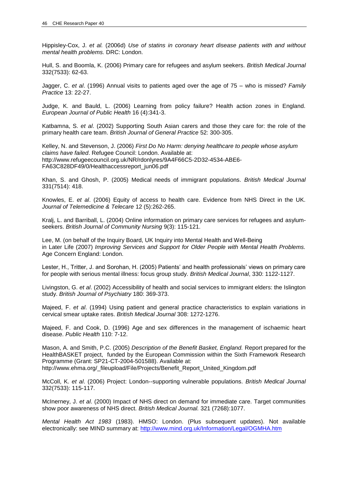Hippisley-Cox, J. *et al.* (2006d) *Use of statins in coronary heart disease patients with and without mental health problems.* DRC: London.

Hull, S. and Boomla, K. (2006) Primary care for refugees and asylum seekers. *British Medical Journal* 332(7533): 62-63.

Jagger, C. *et al*. (1996) Annual visits to patients aged over the age of 75 – who is missed? *Family Practice* 13: 22-27.

Judge, K. and Bauld, L. (2006) Learning from policy failure? Health action zones in England. *European Journal of Public Health* 16 (4):341-3.

Katbamna, S. *et al*. (2002) Supporting South Asian carers and those they care for: the role of the primary health care team. *British Journal of General Practice* 52: 300-305.

Kelley, N. and Stevenson, J. (2006) *First Do No Harm: denying healthcare to people whose asylum claims have failed*. Refugee Council: London. Available at: http://www.refugeecouncil.org.uk/NR/rdonlyres/9A4F66C5-2D32-4534-ABE6- FA63C828DF49/0/Healthaccessreport\_jun06.pdf

Khan, S. and Ghosh, P. (2005) Medical needs of immigrant populations. *British Medical Journal* 331(7514): 418.

Knowles, E. *et al*. (2006) Equity of access to health care. Evidence from NHS Direct in the UK. *Journal of Telemedicine & Telecare* 12 (5):262-265.

Kralj, L. and Barriball, L. (2004) Online information on primary care services for refugees and asylumseekers. *British Journal of Community Nursing* 9(3): 115-121.

Lee, M. (on behalf of the Inquiry Board, UK Inquiry into Mental Health and Well-Being in Later Life (2007) *Improving Services and Support for Older People with Mental Health Problems.* Age Concern England: London.

Lester, H., Tritter, J. and Sorohan, H. (2005) Patients" and health professionals" views on primary care for people with serious mental illness: focus group study. *British Medical Journal*, 330: 1122-1127.

Livingston, G. *et al*. (2002) Accessibility of health and social services to immigrant elders: the Islington study. *British Journal of Psychiatry* 180: 369-373.

Majeed, F. *et al*. (1994) Using patient and general practice characteristics to explain variations in cervical smear uptake rates. *British Medical Journal* 308: 1272-1276.

Majeed, F. and Cook, D. (1996) Age and sex differences in the management of ischaemic heart disease. *Public Health* 110: 7-12.

Mason, A. and Smith, P.C. (2005) *Description of the Benefit Basket, England.* Report prepared for the HealthBASKET project, funded by the European Commission within the Sixth Framework Research Programme (Grant: SP21-CT-2004-501588). Available at:

http://www.ehma.org/\_fileupload/File/Projects/Benefit\_Report\_United\_Kingdom.pdf

McColl, K. *et al*. (2006) Project: London--supporting vulnerable populations. *British Medical Journal* 332(7533): 115-117.

McInerney, J. *et al*. (2000) Impact of NHS direct on demand for immediate care. Target communities show poor awareness of NHS direct. *British Medical Journal.* 321 (7268):1077.

*Mental Health Act 1983* (1983). HMSO: London. (Plus subsequent updates). Not available electronically: see MIND summary at:<http://www.mind.org.uk/Information/Legal/OGMHA.htm>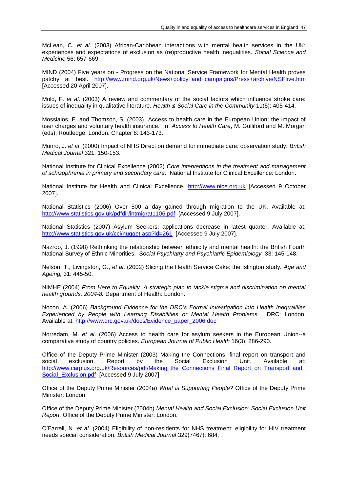McLean, C. *et al*. (2003) African-Caribbean interactions with mental health services in the UK: experiences and expectations of exclusion as (re)productive health inequalities. *Social Science and Medicine* 56: 657-669.

MIND (2004) Five years on - Progress on the National Service Framework for Mental Health proves patchy at best. <http://www.mind.org.uk/News+policy+and+campaigns/Press+archive/NSFfive.htm> [Accessed 20 April 2007].

Mold, F. *et al*. (2003) A review and commentary of the social factors which influence stroke care: issues of inequality in qualitative literature. *Health & Social Care in the Community* 11(5): 405-414.

Mossialos, E. and Thomson, S. (2003) Access to health care in the European Union: the impact of user charges and voluntary health insurance. In: *Access to Health Care*, M. Gulliford and M. Morgan (eds); Routledge: London. Chapter 8: 143-173.

Munro, J. *et al*. (2000) Impact of NHS Direct on demand for immediate care: observation study. *British Medical Journal* 321: 150-153.

National Institute for Clinical Excellence (2002) *Core interventions in the treatment and management of schizophrenia in primary and secondary care*. National Institute for Clinical Excellence: London.

National Institute for Health and Clinical Excellence. [http://www.nice.org.uk](http://www.nice.org.uk/) [Accessed 9 October 2007].

National Statistics (2006) Over 500 a day gained through migration to the UK. Available at: <http://www.statistics.gov.uk/pdfdir/intmigrat1106.pdf>[Accessed 9 July 2007].

National Statistics (2007) Asylum Seekers: applications decrease in latest quarter. Available at: <http://www.statistics.gov.uk/cci/nugget.asp?id=261>[Accessed 9 July 2007].

Nazroo, J. (1998) Rethinking the relationship between ethnicity and mental health: the British Fourth National Survey of Ethnic Minorities. *Social Psychiatry and Psychiatric Epidemiology,* 33: 145-148.

Nelson, T., Livingston, G., *et al*. (2002) Slicing the Health Service Cake: the Islington study. *Age and Ageing,* 31: 445-50.

NIMHE (2004) *From Here to Equality. A strategic plan to tackle stigma and discrimination on mental health grounds, 2004-8.* Department of Health: London.

Nocon, A. (2006) *Background Evidence for the DRC's Formal Investigation into Health Inequalities Experienced by People with Learning Disabilities or Mental Health Problems.* DRC: London. Available at: [http://www.drc.gov.uk/docs/Evidence\\_paper\\_2006.doc](http://www.drc.gov.uk/docs/Evidence_paper_2006.doc)

Norredam, M. *et al*. (2006) Access to health care for asylum seekers in the European Union--a comparative study of country policies. *European Journal of Public Health* 16(3): 286-290.

Office of the Deputy Prime Minister (2003) Making the Connections: final report on transport and social exclusion. Report by the Social Exclusion Unit. Available at: [http://www.carplus.org.uk/Resources/pdf/Making\\_the\\_Connections\\_Final\\_Report\\_on\\_Transport\\_and\\_](http://www.carplus.org.uk/Resources/pdf/Making_the_Connections_Final_Report_on_Transport_and_Social_Exclusion.pdf) [Social\\_Exclusion.pdf](http://www.carplus.org.uk/Resources/pdf/Making_the_Connections_Final_Report_on_Transport_and_Social_Exclusion.pdf) [Accessed 9 July 2007].

Office of the Deputy Prime Minister (2004a) *What is Supporting People?* Office of the Deputy Prime Minister: London.

Office of the Deputy Prime Minister (2004b) *Mental Health and Social Exclusion: Social Exclusion Unit Report.* Office of the Deputy Prime Minister: London.

O"Farrell, N. *et al*. (2004) Eligibility of non-residents for NHS treatment: eligibility for HIV treatment needs special consideration. *British Medical Journal* 329(7467): 684.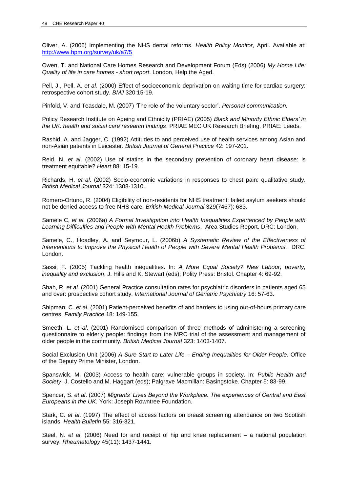Oliver, A. (2006) Implementing the NHS dental reforms. *Health Policy Monitor*, April. Available at: <http://www.hpm.org/survey/uk/a7/5>

Owen, T. and National Care Homes Research and Development Forum (Eds) (2006) *My Home Life: Quality of life in care homes - short report*. London, Help the Aged.

Pell, J., Pell, A. *et al.* (2000) Effect of socioeconomic deprivation on waiting time for cardiac surgery: retrospective cohort study. *BMJ* 320:15-19.

Pinfold, V. and Teasdale, M. (2007) "The role of the voluntary sector". *Personal communication.*

Policy Research Institute on Ageing and Ethnicity (PRIAE) (2005) *Black and Minority Ethnic Elders' in the UK: health and social care research findings*. PRIAE MEC UK Research Briefing. PRIAE: Leeds.

Rashid, A. and Jagger, C. (1992) Attitudes to and perceived use of health services among Asian and non-Asian patients in Leicester. *British Journal of General Practice* 42: 197-201.

Reid, N. *et al*. (2002) Use of statins in the secondary prevention of coronary heart disease: is treatment equitable? *Heart* 88: 15-19.

Richards, H. *et al*. (2002) Socio-economic variations in responses to chest pain: qualitative study. *British Medical Journal* 324: 1308-1310.

Romero-Ortuno, R. (2004) Eligibility of non-residents for NHS treatment: failed asylum seekers should not be denied access to free NHS care. *British Medical Journal* 329(7467): 683.

Samele C, *et al.* (2006a) *A Formal Investigation into Health Inequalities Experienced by People with Learning Difficulties and People with Mental Health Problems*. Area Studies Report. DRC: London.

Samele, C., Hoadley, A. and Seymour, L. (2006b) *A Systematic Review of the Effectiveness of Interventions to Improve the Physical Health of People with Severe Mental Health Problems.* DRC: London.

Sassi, F. (2005) Tackling health inequalities. In: *A More Equal Society? New Labour, poverty, inequality and exclusion*, J. Hills and K. Stewart (eds); Polity Press: Bristol. Chapter 4: 69-92.

Shah, R. *et al*. (2001) General Practice consultation rates for psychiatric disorders in patients aged 65 and over: prospective cohort study. *International Journal of Geriatric Psychiatry* 16: 57-63.

Shipman, C. *et al*. (2001) Patient-perceived benefits of and barriers to using out-of-hours primary care centres. *Family Practice* 18: 149-155.

Smeeth, L. *et al*. (2001) Randomised comparison of three methods of administering a screening questionnaire to elderly people: findings from the MRC trial of the assessment and management of older people in the community. *British Medical Journal* 323: 1403-1407.

Social Exclusion Unit (2006) *A Sure Start to Later Life – Ending Inequalities for Older People.* Office of the Deputy Prime Minister, London.

Spanswick, M. (2003) Access to health care: vulnerable groups in society. In: *Public Health and Society*, J. Costello and M. Haggart (eds); Palgrave Macmillan: Basingstoke. Chapter 5: 83-99.

Spencer, S. *et al*. (2007) *Migrants' Lives Beyond the Workplace. The experiences of Central and East Europeans in the UK.* York: Joseph Rowntree Foundation.

Stark, C. *et al*. (1997) The effect of access factors on breast screening attendance on two Scottish islands. *Health Bulletin* 55: 316-321.

Steel, N. *et al*. (2006) Need for and receipt of hip and knee replacement – a national population survey. *Rheumatology* 45(11): 1437-1441.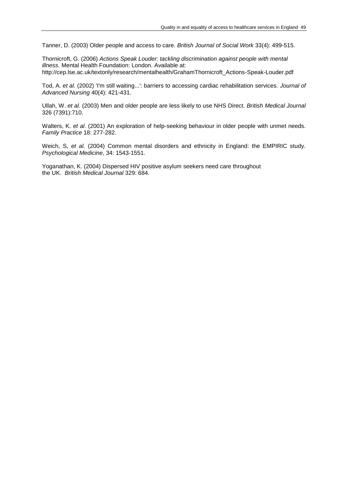Tanner, D. (2003) Older people and access to care. *British Journal of Social Work* 33(4): 499-515.

Thornicroft, G. (2006) *Actions Speak Louder: tackling discrimination against people with mental illness.* Mental Health Foundation: London. Available at: http://cep.lse.ac.uk/textonly/research/mentalhealth/GrahamThornicroft\_Actions-Speak-Louder.pdf

Tod, A. *et al*. (2002) 'I'm still waiting...': barriers to accessing cardiac rehabilitation services. *Journal of Advanced Nursing* 40(4): 421-431.

Ullah, W. *et al*. (2003) Men and older people are less likely to use NHS Direct. *British Medical Journal* 326 (7391):710.

Walters, K. *et al*. (2001) An exploration of help-seeking behaviour in older people with unmet needs. *Family Practice* 18: 277-282.

Weich, S, *et al.* (2004) Common mental disorders and ethnicity in England: the EMPIRIC study. *Psychological Medicine*, 34: 1543-1551.

Yoganathan, K. (2004) Dispersed HIV positive asylum seekers need care throughout the UK. *British Medical Journal* 329: 684.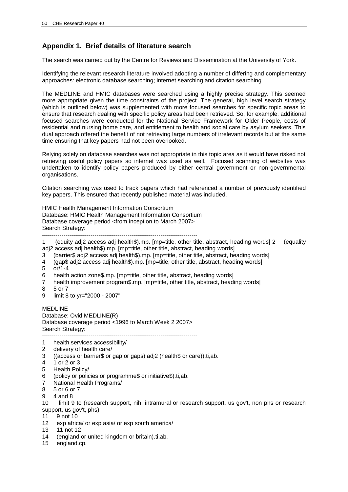# **Appendix 1. Brief details of literature search**

The search was carried out by the Centre for Reviews and Dissemination at the University of York.

Identifying the relevant research literature involved adopting a number of differing and complementary approaches: electronic database searching; internet searching and citation searching.

The MEDLINE and HMIC databases were searched using a highly precise strategy. This seemed more appropriate given the time constraints of the project. The general, high level search strategy (which is outlined below) was supplemented with more focused searches for specific topic areas to ensure that research dealing with specific policy areas had been retrieved. So, for example, additional focused searches were conducted for the National Service Framework for Older People, costs of residential and nursing home care, and entitlement to health and social care by asylum seekers. This dual approach offered the benefit of not retrieving large numbers of irrelevant records but at the same time ensuring that key papers had not been overlooked.

Relying solely on database searches was not appropriate in this topic area as it would have risked not retrieving useful policy papers so internet was used as well. Focused scanning of websites was undertaken to identify policy papers produced by either central government or non-governmental organisations.

Citation searching was used to track papers which had referenced a number of previously identified key papers. This ensured that recently published material was included.

HMIC Health Management Information Consortium Database: HMIC Health Management Information Consortium Database coverage period <from inception to March 2007> Search Strategy: --------------------------------------------------------------------------------

1 (equity adj2 access adj health\$).mp. [mp=title, other title, abstract, heading words] 2 (equality adj2 access adj health\$).mp. [mp=title, other title, abstract, heading words]

- 3 (barrier\$ adj2 access adj health\$).mp. [mp=title, other title, abstract, heading words]
- 4 (gap\$ adj2 access adj health\$).mp. [mp=title, other title, abstract, heading words]
- 5 or/1-4
- 6 health action zone\$.mp. [mp=title, other title, abstract, heading words]
- 7 health improvement program\$.mp. [mp=title, other title, abstract, heading words]
- 8 5 or 7
- 9 limit 8 to yr="2000 2007"

MEDLINE Database: Ovid MEDLINE(R) Database coverage period <1996 to March Week 2 2007> Search Strategy: --------------------------------------------------------------------------------

- 1 health services accessibility/
- 2 delivery of health care/
- 3 ((access or barrier\$ or gap or gaps) adj2 (health\$ or care)).ti,ab.
- 4 1 or 2 or 3
- 5 Health Policy/
- 6 (policy or policies or programme\$ or initiative\$).ti,ab.
- 7 National Health Programs/
- 8 5 or 6 or 7
- 9 4 and 8

10 limit 9 to (research support, nih, intramural or research support, us gov't, non phs or research support, us gov't, phs)

- 11 9 not 10
- 12 exp africa/ or exp asia/ or exp south america/
- 13 11 not 12
- 14 (england or united kingdom or britain).ti,ab.
- 15 england.cp.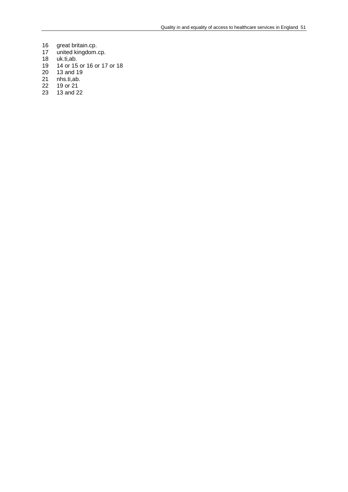- 16 great britain.cp.<br>17 united kingdom.
- 17 united kingdom.cp.
- 18 uk.ti,ab.
- 19 14 or 15 or 16 or 17 or 18
- 20 13 and 19
- 21 nhs.ti,ab.<br>22 19 or 21
- 22 19 or 21<br>23 13 and 2
- 13 and 22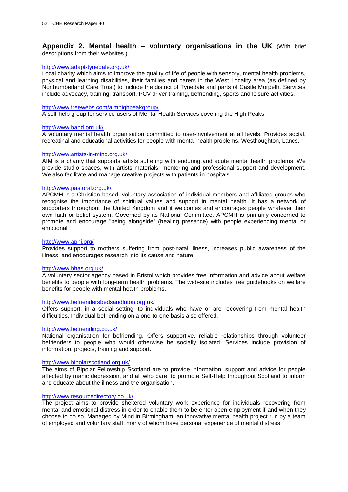## **Appendix 2. Mental health – voluntary organisations in the UK** (With brief descriptions from their websites.)

## <http://www.adapt-tynedale.org.uk/>

Local charity which aims to improve the quality of life of people with sensory, mental health problems, physical and learning disabilities, their families and carers in the West Locality area (as defined by Northumberland Care Trust) to include the district of Tynedale and parts of Castle Morpeth. Services include advocacy, training, transport, PCV driver training, befriending, sports and leisure activities.

#### <http://www.freewebs.com/aimhighpeakgroup/>

A self-help group for service-users of Mental Health Services covering the High Peaks.

#### <http://www.band.org.uk/>

A voluntary mental health organisation committed to user-involvement at all levels. Provides social, recreatinal and educational activities for people with mental health problems. Westhoughton, Lancs.

## <http://www.artists-in-mind.org.uk/>

AIM is a charity that supports artists suffering with enduring and acute mental health problems. We provide studio spaces, with artists materials, mentoring and professional support and development. We also facilitate and manage creative projects with patients in hospitals.

## <http://www.pastoral.org.uk/>

APCMH is a Christian based, voluntary association of individual members and affiliated groups who recognise the importance of spiritual values and support in mental health. It has a network of supporters throughout the United Kingdom and it welcomes and encourages people whatever their own faith or belief system. Governed by its National Committee, APCMH is primarily concerned to promote and encourage "being alongside" (healing presence) with people experiencing mental or emotional

## <http://www.apni.org/>

Provides support to mothers suffering from post-natal illness, increases public awareness of the illness, and encourages research into its cause and nature.

#### <http://www.bhas.org.uk/>

A voluntary sector agency based in Bristol which provides free information and advice about welfare benefits to people with long-term health problems. The web-site includes free guidebooks on welfare benefits for people with mental health problems.

#### <http://www.befriendersbedsandluton.org.uk/>

Offers support, in a social setting, to individuals who have or are recovering from mental health difficulties. Individual befriending on a one-to-one basis also offered.

#### <http://www.befriending.co.uk/>

National organisation for befriending. Offers supportive, reliable relationships through volunteer befrienders to people who would otherwise be socially isolated. Services include provision of information, projects, training and support.

#### <http://www.bipolarscotland.org.uk/>

The aims of Bipolar Fellowship Scotland are to provide information, support and advice for people affected by manic depression, and all who care; to promote Self-Help throughout Scotland to inform and educate about the illness and the organisation.

## <http://www.resourcedirectory.co.uk/>

The project aims to provide sheltered voluntary work experience for individuals recovering from mental and emotional distress in order to enable them to be enter open employment if and when they choose to do so. Managed by Mind in Birmingham, an innovative mental health project run by a team of employed and voluntary staff, many of whom have personal experience of mental distress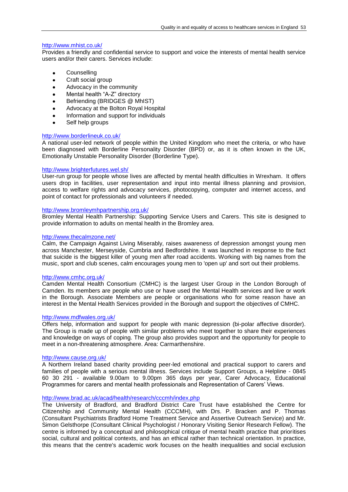## <http://www.mhist.co.uk/>

Provides a friendly and confidential service to support and voice the interests of mental health service users and/or their carers. Services include:

- **Counselling**  $\bullet$
- Craft social group  $\bullet$
- $\bullet$ Advocacy in the community
- Mental health "A-Z" directory  $\bullet$
- Befriending (BRIDGES @ MhIST)  $\blacksquare$
- Advocacy at the Bolton Royal Hospital  $\bullet$
- Information and support for individuals  $\bullet$
- Self help groups

## <http://www.borderlineuk.co.uk/>

A national user-led network of people within the United Kingdom who meet the criteria, or who have been diagnosed with Borderline Personality Disorder (BPD) or, as it is often known in the UK, Emotionally Unstable Personality Disorder (Borderline Type).

## <http://www.brighterfutures.wel.sh/>

User-run group for people whose lives are affected by mental health difficulties in Wrexham. It offers users drop in facilities, user representation and input into mental illness planning and provision, access to welfare rights and advocacy services, photocopying, computer and internet access, and point of contact for professionals and volunteers if needed.

## <http://www.bromleymhpartnership.org.uk/>

Bromley Mental Health Partnership: Supporting Service Users and Carers. This site is designed to provide information to adults on mental health in the Bromley area.

## <http://www.thecalmzone.net/>

Calm, the Campaign Against Living Miserably, raises awareness of depression amongst young men across Manchester, Merseyside, Cumbria and Bedfordshire. It was launched in response to the fact that suicide is the biggest killer of young men after road accidents. Working with big names from the music, sport and club scenes, calm encourages young men to 'open up' and sort out their problems.

## <http://www.cmhc.org.uk/>

Camden Mental Health Consortium (CMHC) is the largest User Group in the London Borough of Camden. Its members are people who use or have used the Mental Health services and live or work in the Borough. Associate Members are people or organisations who for some reason have an interest in the Mental Health Services provided in the Borough and support the objectives of CMHC.

## <http://www.mdfwales.org.uk/>

Offers help, information and support for people with manic depression (bi-polar affective disorder). The Group is made up of people with similar problems who meet together to share their experiences and knowledge on ways of coping. The group also provides support and the opportunity for people to meet in a non-threatening atmosphere. Area: Carmarthenshire.

## <http://www.cause.org.uk/>

A Northern Ireland based charity providing peer-led emotional and practical support to carers and families of people with a serious mental illness. Services include Support Groups, a Helpline - 0845 60 30 291 - available 9.00am to 9.00pm 365 days per year, Carer Advocacy, Educational Programmes for carers and mental health professionals and Representation of Carers" Views.

## <http://www.brad.ac.uk/acad/health/research/cccmh/index.php>

The University of Bradford, and Bradford District Care Trust have established the Centre for Citizenship and Community Mental Health (CCCMH), with Drs. P. Bracken and P. Thomas (Consultant Psychiatrists Bradford Home Treatment Service and Assertive Outreach Service) and Mr. Simon Gelsthorpe (Consultant Clinical Psychologist / Honorary Visiting Senior Research Fellow). The centre is informed by a conceptual and philosophical critique of mental health practice that prioritises social, cultural and political contexts, and has an ethical rather than technical orientation. In practice, this means that the centre's academic work focuses on the health inequalities and social exclusion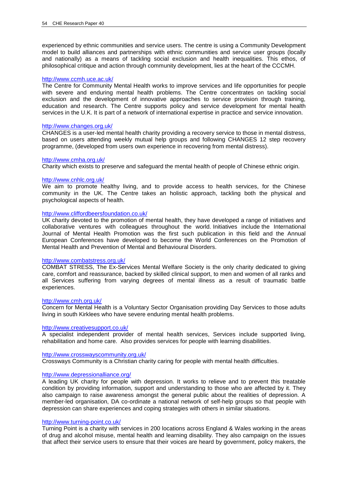experienced by ethnic communities and service users. The centre is using a Community Development model to build alliances and partnerships with ethnic communities and service user groups (locally and nationally) as a means of tackling social exclusion and health inequalities. This ethos, of philosophical critique and action through community development, lies at the heart of the CCCMH.

#### <http://www.ccmh.uce.ac.uk/>

The Centre for Community Mental Health works to improve services and life opportunities for people with severe and enduring mental health problems. The Centre concentrates on tackling social exclusion and the development of innovative approaches to service provision through training, education and research. The Centre supports policy and service development for mental health services in the U.K. It is part of a network of international expertise in practice and service innovation.

#### <http://www.changes.org.uk/>

CHANGES is a user-led mental health charity providing a recovery service to those in mental distress, based on users attending weekly mutual help groups and following CHANGES 12 step recovery programme, (developed from users own experience in recovering from mental distress).

## <http://www.cmha.org.uk/>

Charity which exists to preserve and safeguard the mental health of people of Chinese ethnic origin.

## <http://www.cnhlc.org.uk/>

We aim to promote healthy living, and to provide access to health services, for the Chinese community in the UK. The Centre takes an holistic approach, tackling both the physical and psychological aspects of health.

## <http://www.cliffordbeersfoundation.co.uk/>

UK charity devoted to the promotion of mental health, they have developed a range of initiatives and collaborative ventures with colleagues throughout the world. Initiatives include the International Journal of Mental Health Promotion was the first such publication in this field and the Annual European Conferences have developed to become the World Conferences on the Promotion of Mental Health and Prevention of Mental and Behavioural Disorders.

#### <http://www.combatstress.org.uk/>

COMBAT STRESS, The Ex-Services Mental Welfare Society is the only charity dedicated to giving care, comfort and reassurance, backed by skilled clinical support, to men and women of all ranks and all Services suffering from varying degrees of mental illness as a result of traumatic battle experiences.

#### <http://www.cmh.org.uk/>

Concern for Mental Health is a Voluntary Sector Organisation providing Day Services to those adults living in south Kirklees who have severe enduring mental health problems.

#### <http://www.creativesupport.co.uk/>

A specialist independent provider of mental health services, Services include supported living, rehabilitation and home care. Also provides services for people with learning disabilities.

#### <http://www.crosswayscommunity.org.uk/>

Crossways Community is a Christian charity caring for people with mental health difficulties.

## <http://www.depressionalliance.org/>

A leading UK charity for people with depression. It works to relieve and to prevent this treatable condition by providing information, support and understanding to those who are affected by it. They also campaign to raise awareness amongst the general public about the realities of depression. A member-led organisation, DA co-ordinate a national network of self-help groups so that people with depression can share experiences and coping strategies with others in similar situations.

## <http://www.turning-point.co.uk/>

Turning Point is a charity with services in 200 locations across England & Wales working in the areas of drug and alcohol misuse, mental health and learning disability. They also campaign on the issues that affect their service users to ensure that their voices are heard by government, policy makers, the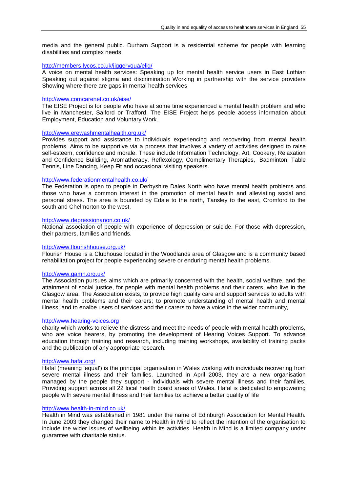media and the general public. Durham Support is a residential scheme for people with learning disabilities and complex needs.

## <http://members.lycos.co.uk/jiggeryqua/elig/>

A voice on mental health services: Speaking up for mental health service users in East Lothian Speaking out against stigma and discrimination Working in partnership with the service providers Showing where there are gaps in mental health services

## <http://www.comcarenet.co.uk/eise/>

The EISE Project is for people who have at some time experienced a mental health problem and who live in Manchester, Salford or Trafford. The EISE Project helps people access information about Employment, Education and Voluntary Work.

## <http://www.erewashmentalhealth.org.uk/>

Provides support and assistance to individuals experiencing and recovering from mental health problems. Aims to be supportive via a process that involves a variety of activities designed to raise self-esteem, confidence and morale. These include Information Technology, Art, Cookery, Relaxation and Confidence Building, Aromatherapy, Reflexology, Complimentary Therapies, Badminton, Table Tennis, Line Dancing, Keep Fit and occasional visiting speakers.

## <http://www.federationmentalhealth.co.uk/>

The Federation is open to people in Derbyshire Dales North who have mental health problems and those who have a common interest in the promotion of mental health and alleviating social and personal stress. The area is bounded by Edale to the north, Tansley to the east, Cromford to the south and Chelmorton to the west.

## <http://www.depressionanon.co.uk/>

National association of people with experience of depression or suicide. For those with depression, their partners, families and friends.

## <http://www.flourishhouse.org.uk/>

Flourish House is a Clubhouse located in the Woodlands area of Glasgow and is a community based rehabilitation project for people experiencing severe or enduring mental health problems.

## <http://www.gamh.org.uk/>

The Association pursues aims which are primarily concerned with the health, social welfare, and the attainment of social justice, for people with mental health problems and their carers, who live in the Glasgow area. The Association exists, to provide high quality care and support services to adults with mental health problems and their carers; to promote understanding of mental health and mental illness; and to enalbe users of services and their carers to have a voice in the wider community,

## [http://www.hearing-voices.org](http://www.hearing-voices.org/)

charity which works to relieve the distress and meet the needs of people with mental health problems, who are voice hearers, by promoting the development of Hearing Voices Support. To advance education through training and research, including training workshops, availability of training packs and the publication of any appropriate research.

## <http://www.hafal.org/>

Hafal (meaning 'equal') is the principal organisation in Wales working with individuals recovering from severe mental illness and their families. Launched in April 2003, they are a new organisation managed by the people they support - individuals with severe mental illness and their families. Providing support across all 22 local health board areas of Wales, Hafal is dedicated to empowering people with severe mental illness and their families to: achieve a better quality of life

## <http://www.health-in-mind.co.uk/>

Health in Mind was established in 1981 under the name of Edinburgh Association for Mental Health. In June 2003 they changed their name to Health in Mind to reflect the intention of the organisation to include the wider issues of wellbeing within its activities. Health in Mind is a limited company under guarantee with charitable status.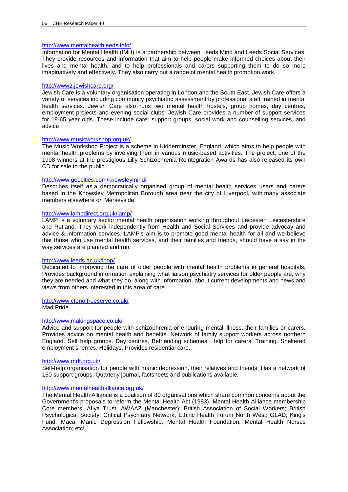## <http://www.mentalhealthleeds.info/>

Information for Mental Health (IMH) is a partnership between Leeds Mind and Leeds Social Services. They provide resources and information that aim to help people make informed choices about their lives and mental health, and to help professionals and carers supporting them to do so more imaginatively and effectively. They also carry out a range of mental health promotion work.

## <http://www2.jewishcare.org/>

Jewish Care is a voluntary organisation operating in London and the South East. Jewish Care offers a variety of services including community psychiatric assessment by professional staff trained in mental health services. Jewish Care also runs two mental health hostels, group homes, day centres, employment projects and evening social clubs. Jewish Care provides a number of support services for 18-65 year olds. These include carer support groups, social work and counselling services, and advice

## <http://www.musicworkshop.org.uk/>

The Music Workshop Project is a scheme in Kidderminster, England, which aims to help people with mental health problems by involving them in various music-based activities. The project, one of the 1998 winners at the prestigious Lilly Schizophrenia Reintegration Awards has also released its own CD for sale to the public.

## <http://www.geocities.com/knowsleymind/>

Describes itself as a democratically organised group of mental health services users and carers based in the Knowsley Metropolitan Borough area near the city of Liverpool, with many associate members elsewhere on Merseyside.

## <http://www.lampdirect.org.uk/lamp/>

LAMP is a voluntary sector mental health organisation working throughout Leicester, Leicestershire and Rutland. They work independently from Health and Social Services and provide advocay and advice & information services. LAMP's aim is to promote good mental health for all and we believe that those who use mental health services, and their families and friends, should have a say in the way services are planned and run.

## <http://www.leeds.ac.uk/lpop/>

Dedicated to improving the care of older people with mental health problems in general hospitals. Provides background information explaining what liaison psychiatry services for older people are, why they are needed and what they do, along with information, about current developments and news and views from others interested in this area of care.

## <http://www.ctono.freeserve.co.uk/>

Mad Pride

## <http://www.makingspace.co.uk/>

Advice and support for people with schizophrenia or enduring mental illness, their families or carers. Provides advice on mental health and benefits. Network of family support workers across northern England. Self help groups. Day centres. Befriending schemes. Help for carers. Training. Sheltered employment shemes. Holidays. Provides residential care.

## <http://www.mdf.org.uk/>

Self-help organisation for people with manic depression, their relatives and friends. Has a network of 150 support groups. Quarterly journal, factsheets and publications available.

## <http://www.mentalhealthalliance.org.uk/>

The Mental Health Alliance is a coalition of 80 organisations which share common concerns about the Government's proposals to reform the Mental Health Act (1983). Mental Health Alliance membership Core members: Afiya Trust; AWAAZ (Manchester); British Association of Social Workers; British Psychological Society; Critical Psychiatry Network; Ethnic Health Forum North West; GLAD; King's Fund; Maca; Manic Depression Fellowship; Mental Health Foundation; Mental Health Nurses Association; etc!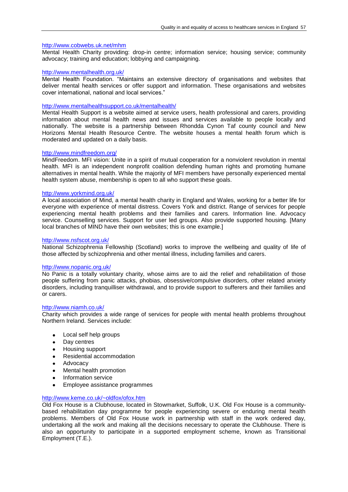## <http://www.cobwebs.uk.net/mhm>

Mental Health Charity providing: drop-in centre; information service; housing service; community advocacy; training and education; lobbying and campaigning.

## <http://www.mentalhealth.org.uk/>

Mental Health Foundation. "Maintains an extensive directory of organisations and websites that deliver mental health services or offer support and information. These organisations and websites cover international, national and local services."

## <http://www.mentalhealthsupport.co.uk/mentalhealth/>

Mental Health Support is a website aimed at service users, health professional and carers, providing information about mental health news and issues and services available to people locally and nationally. The website is a partnership between Rhondda Cynon Taf county council and New Horizons Mental Health Resource Centre. The website houses a mental health forum which is moderated and updated on a daily basis.

## <http://www.mindfreedom.org/>

MindFreedom. MFI vision: Unite in a spirit of mutual cooperation for a nonviolent revolution in mental health. MFI is an independent nonprofit coalition defending human rights and promoting humane alternatives in mental health. While the majority of MFI members have personally experienced mental health system abuse, membership is open to all who support these goals.

## <http://www.yorkmind.org.uk/>

A local association of Mind, a mental health charity in England and Wales, working for a better life for everyone with experience of mental distress. Covers York and district. Range of services for people experiencing mental health problems and their families and carers. Information line. Advocacy service. Counselling services. Support for user led groups. Also provide supported housing. [Many local branches of MIND have their own websites; this is one example.]

## <http://www.nsfscot.org.uk/>

National Schizophrenia Fellowship (Scotland) works to improve the wellbeing and quality of life of those affected by schizophrenia and other mental illness, including families and carers.

## <http://www.nopanic.org.uk/>

No Panic is a totally voluntary charity, whose aims are to aid the relief and rehabilitation of those people suffering from panic attacks, phobias, obsessive/compulsive disorders, other related anxiety disorders, including tranquilliser withdrawal, and to provide support to sufferers and their families and or carers.

## <http://www.niamh.co.uk/>

Charity which provides a wide range of services for people with mental health problems throughout Northern Ireland. Services include:

- Local self help groups  $\bullet$
- Day centres  $\bullet$
- Housing support  $\bullet$
- Residential accommodation  $\bullet$
- $\bullet$ Advocacy
- Mental health promotion  $\bullet$
- Information service  $\bullet$
- Employee assistance programmes  $\bullet$

## <http://www.keme.co.uk/~oldfox/ofox.htm>

Old Fox House is a Clubhouse, located in Stowmarket, Suffolk, U.K. Old Fox House is a communitybased rehabilitation day programme for people experiencing severe or enduring mental health problems. Members of Old Fox House work in partnership with staff in the work ordered day, undertaking all the work and making all the decisions necessary to operate the Clubhouse. There is also an opportunity to participate in a supported employment scheme, known as Transitional Employment (T.E.).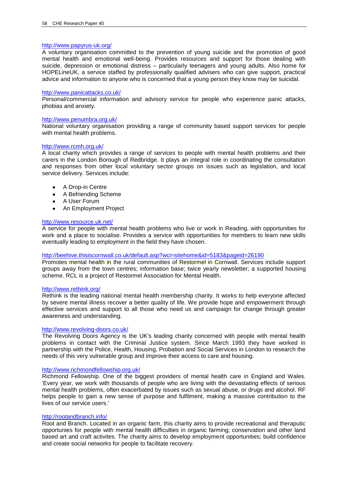## <http://www.papyrus-uk.org/>

A voluntary organisation committed to the prevention of young suicide and the promotion of good mental health and emotional well-being. Provides resources and support for those dealing with suicide, depression or emotional distress – particularly teenagers and young adults. Also home for HOPELineUK, a service staffed by professionally qualified advisers who can give support, practical advice and information to anyone who is concerned that a young person they know may be suicidal.

## <http://www.panicattacks.co.uk/>

Personal/commercial information and advisory service for people who experience panic attacks, phobias and anxiety.

#### <http://www.penumbra.org.uk/>

National voluntary organisation providing a range of community based support services for people with mental health problems.

#### <http://www.rcmh.org.uk/>

A local charity which provides a range of services to people with mental health problems and their carers in the London Borough of Redbridge. It plays an integral role in coordinating the consultation and responses from other local voluntary sector groups on issues such as legislation, and local service delivery. Services include:

- A Drop-in Centre  $\bullet$
- $\bullet$ A Befriending Scheme
- A User Forum  $\bullet$
- An Employment Project

## <http://www.resource.uk.net/>

A service for people with mental health problems who live or work in Reading, with opportunities for work and a place to socialise. Provides a service with opportunities for members to learn new skills eventually leading to employment in the field they have chosen.

## <http://beehive.thisiscornwall.co.uk/default.asp?wci=sitehome&id=5183&pageid=26190>

Promotes mental health in the rural communities of Restormel in Cornwall. Services include support groups away from the town centres; information base; twice yearly newsletter; a supported housing scheme. RCL is a project of Restormel Association for Mental Health.

## <http://www.rethink.org/>

Rethink is the leading national mental health membership charity. It works to help everyone affected by severe mental illness recover a better quality of life. We provide hope and empowerment through effective services and support to all those who need us and campaign for change through greater awareness and understanding.

## <http://www.revolving-doors.co.uk/>

The Revolving Doors Agency is the UK's leading charity concerned with people with mental health problems in contact with the Criminal Justice system. Since March 1993 they have worked in partnership with the Police, Health, Housing, Probation and Social Services in London to research the needs of this very vulnerable group and improve their access to care and housing.

## <http://www.richmondfellowship.org.uk/>

Richmond Fellowship. One of the biggest providers of mental health care in England and Wales. 'Every year, we work with thousands of people who are living with the devastating effects of serious mental health problems, often exacerbated by issues such as sexual abuse, or drugs and alcohol. RF helps people to gain a new sense of purpose and fulfilment, making a massive contribution to the lives of our service users.'

#### <http://rootandbranch.info/>

Root and Branch. Located in an organic farm, this charity aims to provide recreational and theraputic opportunies for people with mental health difficulties in organic farming; conservation and other land based art and craft activites. The charity aims to develop employment opportunities; build confidence and create social networks for people to facilitate recovery.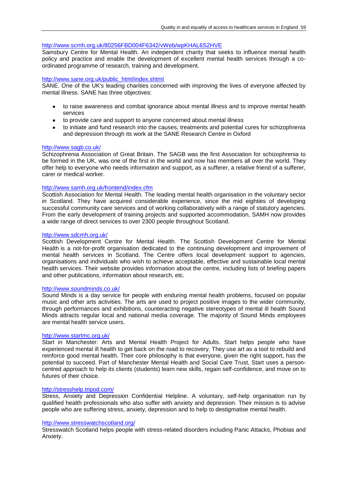## <http://www.scmh.org.uk/80256FBD004F6342/vWeb/wpKHAL6S2HVE>

Sainsbury Centre for Mental Health. An independent charity that seeks to influence mental health policy and practice and enable the development of excellent mental health services through a coordinated programme of research, training and development.

## [http://www.sane.org.uk/public\\_html/index.shtml](http://www.sane.org.uk/public_html/index.shtml)

SANE. One of the UK's leading charities concerned with improving the lives of everyone affected by mental illness. SANE has three objectives:

- to raise awareness and combat ignorance about mental illness and to improve mental health services
- to provide care and support to anyone concerned about mental illness
- $\bullet$ to initiate and fund research into the causes, treatments and potential cures for schizophrenia and depression through its work at the SANE Research Centre in Oxford

## <http://www.sagb.co.uk/>

Schizophrenia Association of Great Britain. The SAGB was the first Association for schizophrenia to be formed in the UK, was one of the first in the world and now has members all over the world. They offer help to everyone who needs information and support, as a sufferer, a relative friend of a sufferer, carer or medical worker.

## <http://www.samh.org.uk/frontend/index.cfm>

Scottish Association for Mental Health. The leading mental health organisation in the voluntary sector in Scotland. They have acquired considerable experience, since the mid eighties of developing successful community care services and of working collaboratively with a range of statutory agencies. From the early development of training projects and supported accommodation, SAMH now provides a wide range of direct services to over 2300 people throughout Scotland.

## <http://www.sdcmh.org.uk/>

Scottish Development Centre for Mental Health. The Scottish Development Centre for Mental Health is a not-for-profit organisation dedicated to the continuing development and improvement of mental health services in Scotland. The Centre offers local development support to agencies, organisations and individuals who wish to achieve acceptable, effective and sustainable local mental health services. Their website provides information about the centre, including lists of briefing papers and other publications, information about research, etc.

## <http://www.soundminds.co.uk/>

Sound Minds is a day service for people with enduring mental health problems, focused on popular music and other arts activities. The arts are used to project positive images to the wider community, through performances and exhibitions, counteracting negative stereotypes of mental ill health Sound Minds attracts regular local and national media coverage. The majority of Sound Minds employees are mental health service users.

## <http://www.startmc.org.uk/>

Start in Manchester: Arts and Mental Health Project for Adults. Start helps people who have experienced mental ill health to get back on the road to recovery. They use art as a tool to rebuild and reinforce good mental health. Their core philosophy is that everyone, given the right support, has the potential to succeed. Part of Manchester Mental Health and Social Care Trust, Start uses a personcentred approach to help its clients (students) learn new skills, regain self-confidence, and move on to futures of their choice.

## <http://stresshelp.tripod.com/>

Stress, Anxiety and Depression Confidential Helpline. A voluntary, self-help organisation run by qualified health professionals who also suffer with anxiety and depression. Their mission is to advise people who are suffering stress, anxiety, depression and to help to destigmatise mental health.

#### <http://www.stresswatchscotland.org/>

Stresswatch Scotland helps people with stress-related disorders including Panic Attacks, Phobias and Anxiety.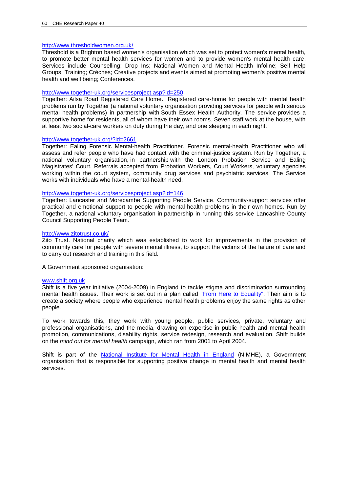## <http://www.thresholdwomen.org.uk/>

Threshold is a Brighton based women's organisation which was set to protect women's mental health, to promote better mental health services for women and to provide women's mental health care. Services include Counselling; Drop Ins; National Women and Mental Health Infoline; Self Help Groups; Training; Crèches; Creative projects and events aimed at promoting women's positive mental health and well being; Conferences.

## <http://www.together-uk.org/servicesproject.asp?id=250>

Together: Ailsa Road Registered Care Home. Registered care-home for people with mental health problems run by Together (a national voluntary organisation providing services for people with serious mental health problems) in partnership with South Essex Health Authority. The service provides a supportive home for residents, all of whom have their own rooms. Seven staff work at the house, with at least two social-care workers on duty during the day, and one sleeping in each night.

## <http://www.together-uk.org/?id=2661>

Together: Ealing Forensic Mental-health Practitioner. Forensic mental-health Practitioner who will assess and refer people who have had contact with the criminal-justice system. Run by Together, a national voluntary organisation, in partnership with the London Probation Service and Ealing Magistrates' Court. Referrals accepted from Probation Workers, Court Workers, voluntary agencies working within the court system, community drug services and psychiatric services. The Service works with individuals who have a mental-health need.

## <http://www.together-uk.org/servicesproject.asp?id=146>

Together: Lancaster and Morecambe Supporting People Service. Community-support services offer practical and emotional support to people with mental-health problems in their own homes. Run by Together, a national voluntary organisation in partnership in running this service Lancashire County Council Supporting People Team.

## <http://www.zitotrust.co.uk/>

Zito Trust. National charity which was established to work for improvements in the provision of community care for people with severe mental illness, to support the victims of the failure of care and to carry out research and training in this field.

A Government sponsored organisation:

## [www.shift.org.uk](http://www.shift.org.uk/)

Shift is a five year initiative (2004-2009) in England to tackle stigma and discrimination surrounding mental health issues. Their work is set out in a plan called ["From Here to Equality".](http://kc.nimhe.org.uk/upload/FIVE%20YEAR%20STIGMA%20AND%20DISC%20PLAN.pdf) Their aim is to create a society where people who experience mental health problems enjoy the same rights as other people.

To work towards this, they work with young people, public services, private, voluntary and professional organisations, and the media, drawing on expertise in public health and mental health promotion, communications, disability rights, service redesign, research and evaluation. Shift builds on the *mind out for mental health* campaign, which ran from 2001 to April 2004.

Shift is part of the [National Institute for Mental Health in England](http://www.nimhe.org.uk/) (NIMHE), a Government organisation that is responsible for supporting positive change in mental health and mental health services.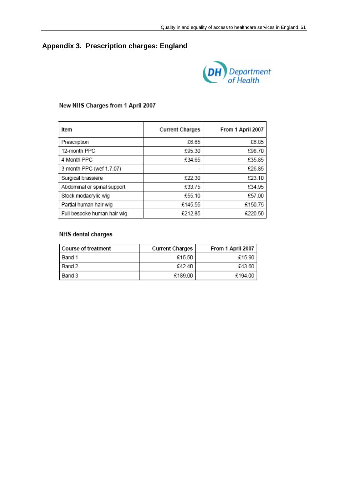# **Appendix 3. Prescription charges: England**



## New NHS Charges from 1 April 2007

| Item                        | <b>Current Charges</b> | From 1 April 2007 |  |
|-----------------------------|------------------------|-------------------|--|
| Prescription                | £6.65                  | £6.85             |  |
| 12-month PPC                | £95.30                 | £98.70            |  |
| 4-Month PPC                 | £34.65                 | £35.85            |  |
| 3-month PPC (wef 1.7.07)    |                        | £26.85            |  |
| Surgical brassiere          | £22.30                 | £23.10            |  |
| Abdominal or spinal support | £33.75                 | £34.95            |  |
| Stock modacrylic wig        | £55.10                 | £57.00            |  |
| Partial human hair wig      | £145.55                | £150.75           |  |
| Full bespoke human hair wig | £212.85                | £220.50           |  |

# NHS dental charges

| l Course of treatment | <b>Current Charges</b> | From 1 April 2007 |
|-----------------------|------------------------|-------------------|
| Band 1                | £15.50                 | £15.90            |
| l Band 2              | £42.40                 | £43.60            |
| Band 3                | £189.00                | £194.00           |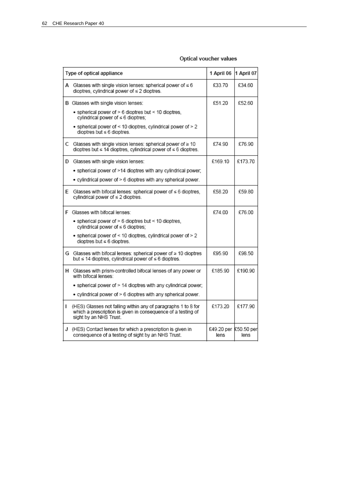## Optical voucher values

| Type of optical appliance |                                                                                                                                                         | 1 April 06                    | 1 April 07 |
|---------------------------|---------------------------------------------------------------------------------------------------------------------------------------------------------|-------------------------------|------------|
| А                         | Glasses with single vision lenses: spherical power of $\leq 6$<br>dioptres, cylindrical power of ≤ 2 dioptres.                                          | £33.70                        | £34.60     |
|                           | B Glasses with single vision lenses:                                                                                                                    | £51.20                        | £52.60     |
|                           | . spherical power of > 6 dioptres but < 10 dioptres,<br>cylindrical power of ≤ 6 dioptres;                                                              |                               |            |
|                           | · spherical power of < 10 dioptres, cylindrical power of > 2<br>dioptres but $\leq 6$ dioptres.                                                         |                               |            |
|                           | C Glasses with single vision lenses: spherical power of $\geq 10$<br>dioptres but ≤ 14 dioptres, cylindrical power of ≤ 6 dioptres.                     | £74.90                        | £76.90     |
|                           | D Glasses with single vision lenses:                                                                                                                    | £169.10                       | £173.70    |
|                           | . spherical power of >14 dioptres with any cylindrical power;                                                                                           |                               |            |
|                           | . cylindrical power of > 6 dioptres with any spherical power.                                                                                           |                               |            |
| E                         | Glasses with bifocal lenses: spherical power of $\leq 6$ dioptres.<br>cylindrical power of ≤ 2 dioptres.                                                | £58.20                        | £59.80     |
|                           | F Glasses with bifocal lenses:                                                                                                                          | £74.00                        | £76.00     |
|                           | · spherical power of > 6 dioptres but < 10 dioptres,<br>cylindrical power of ≤ 6 dioptres;                                                              |                               |            |
|                           | . spherical power of < 10 dioptres, cylindrical power of > 2<br>dioptres but $\leq 6$ dioptres.                                                         |                               |            |
|                           | G Glasses with bifocal lenses: spherical power of ≥ 10 dioptres<br>but ≤ 14 dioptres, cylindrical power of ≤ 6 dioptres.                                | £95.90                        | £98.50     |
| н                         | Glasses with prism-controlled bifocal lenses of any power or<br>with bifocal lenses:                                                                    | £185.90                       | £190.90    |
|                           | . spherical power of > 14 dioptres with any cylindrical power:                                                                                          |                               |            |
|                           | . cylindrical power of > 6 dioptres with any spherical power.                                                                                           |                               |            |
| L                         | (HES) Glasses not falling within any of paragraphs 1 to 8 for<br>which a prescription is given in consequence of a testing of<br>sight by an NHS Trust. | £173.20                       | £177.90    |
| J                         | (HES) Contact lenses for which a prescription is given in<br>consequence of a testing of sight by an NHS Trust.                                         | £49.20 per £50.50 per<br>lens | lens       |